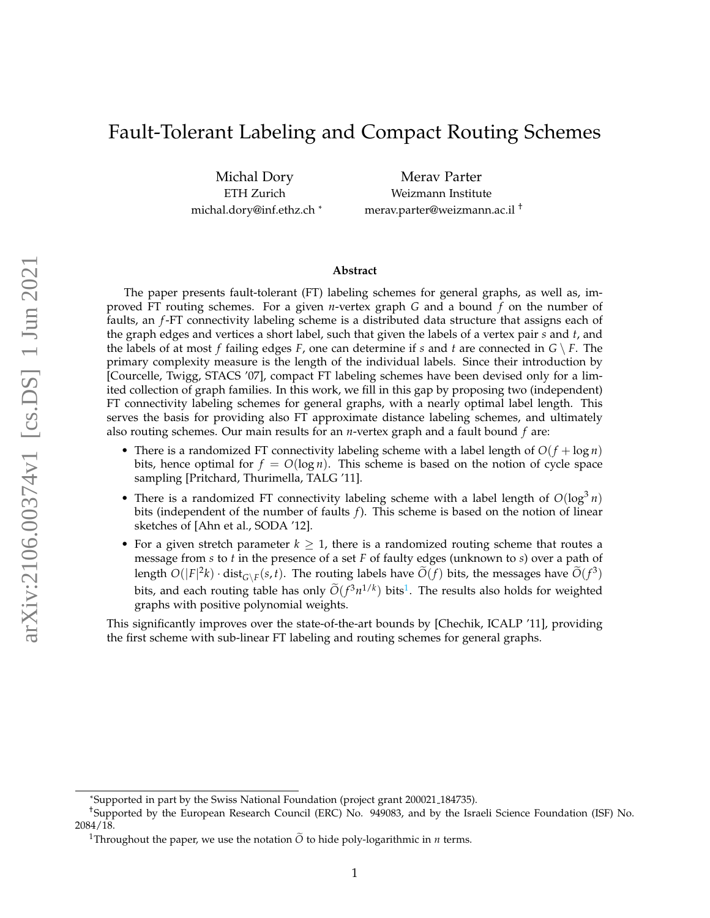# Fault-Tolerant Labeling and Compact Routing Schemes

Michal Dory ETH Zurich michal.dory@inf.ethz.ch \*

Merav Parter Weizmann Institute merav.parter@weizmann.ac.il †

#### **Abstract**

The paper presents fault-tolerant (FT) labeling schemes for general graphs, as well as, improved FT routing schemes. For a given *n*-vertex graph *G* and a bound *f* on the number of faults, an *f*-FT connectivity labeling scheme is a distributed data structure that assigns each of the graph edges and vertices a short label, such that given the labels of a vertex pair *s* and *t*, and the labels of at most *f* failing edges *F*, one can determine if *s* and *t* are connected in  $G \setminus F$ . The primary complexity measure is the length of the individual labels. Since their introduction by [Courcelle, Twigg, STACS '07], compact FT labeling schemes have been devised only for a limited collection of graph families. In this work, we fill in this gap by proposing two (independent) FT connectivity labeling schemes for general graphs, with a nearly optimal label length. This serves the basis for providing also FT approximate distance labeling schemes, and ultimately also routing schemes. Our main results for an *n*-vertex graph and a fault bound *f* are:

- There is a randomized FT connectivity labeling scheme with a label length of  $O(f + \log n)$ bits, hence optimal for  $f = O(\log n)$ . This scheme is based on the notion of cycle space sampling [Pritchard, Thurimella, TALG '11].
- There is a randomized FT connectivity labeling scheme with a label length of  $O(log^3 n)$ bits (independent of the number of faults *f*). This scheme is based on the notion of linear sketches of [Ahn et al., SODA '12].
- For a given stretch parameter  $k \geq 1$ , there is a randomized routing scheme that routes a message from *s* to *t* in the presence of a set *F* of faulty edges (unknown to *s*) over a path of length  $O(|F|^2k) \cdot dist_{G \setminus F}(s,t)$ . The routing labels have  $\widetilde{O}(f)$  bits, the messages have  $\widetilde{O}(f^3)$ bits, and each routing table has only  $O(f^3 n^{1/k})$  $O(f^3 n^{1/k})$  $O(f^3 n^{1/k})$  bits<sup>1</sup>. The results also holds for weighted graphs with positive polynomial weights.

This significantly improves over the state-of-the-art bounds by [Chechik, ICALP '11], providing the first scheme with sub-linear FT labeling and routing schemes for general graphs.

<sup>\*</sup>Supported in part by the Swiss National Foundation (project grant 200021 184735).

<sup>†</sup>Supported by the European Research Council (ERC) No. 949083, and by the Israeli Science Foundation (ISF) No. 2084/18.

<span id="page-0-0"></span><sup>&</sup>lt;sup>1</sup>Throughout the paper, we use the notation  $\tilde{O}$  to hide poly-logarithmic in *n* terms.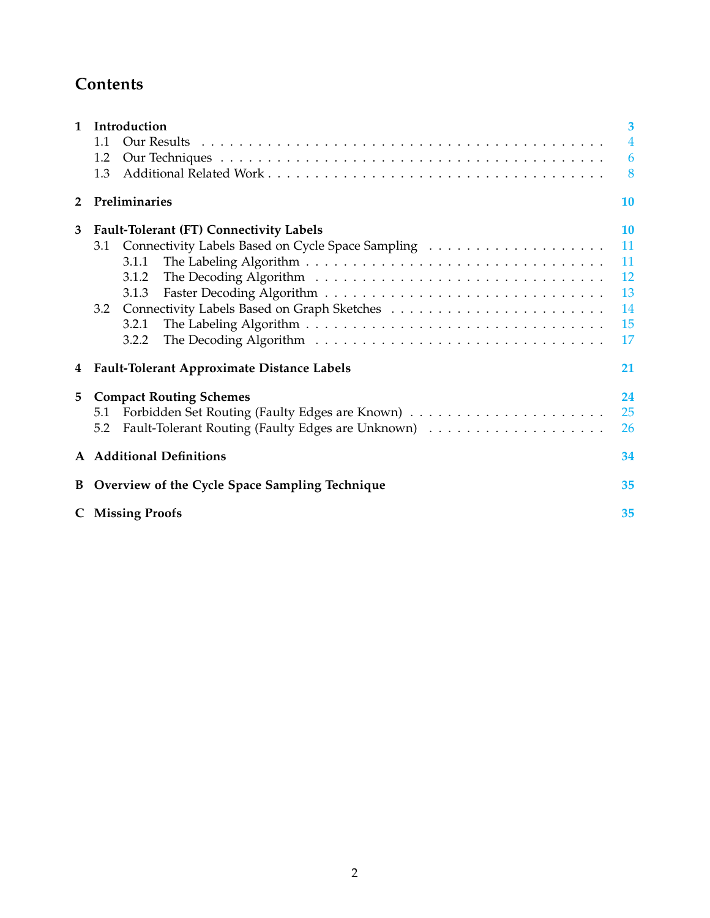# **Contents**

| $\mathbf{1}$   | Introduction                                      | 3              |  |  |
|----------------|---------------------------------------------------|----------------|--|--|
|                | 1.1                                               | $\overline{4}$ |  |  |
|                | 1.2                                               | 6              |  |  |
|                | 1.3                                               | 8              |  |  |
| $\overline{2}$ | Preliminaries                                     |                |  |  |
| 3              | <b>Fault-Tolerant (FT) Connectivity Labels</b>    | <b>10</b>      |  |  |
|                | 3.1                                               | 11             |  |  |
|                | 3.1.1                                             | 11             |  |  |
|                | 3.1.2                                             | 12             |  |  |
|                | 3.1.3                                             | 13             |  |  |
|                | 3.2                                               | 14             |  |  |
|                | 3.2.1                                             | 15             |  |  |
|                | 3.2.2                                             | 17             |  |  |
| 4              | <b>Fault-Tolerant Approximate Distance Labels</b> |                |  |  |
| 5              | <b>Compact Routing Schemes</b>                    | 24             |  |  |
|                | 5.1                                               | 25             |  |  |
|                | 5.2                                               | 26             |  |  |
|                | A Additional Definitions                          |                |  |  |
| B              | Overview of the Cycle Space Sampling Technique    |                |  |  |
|                | <b>C</b> Missing Proofs                           |                |  |  |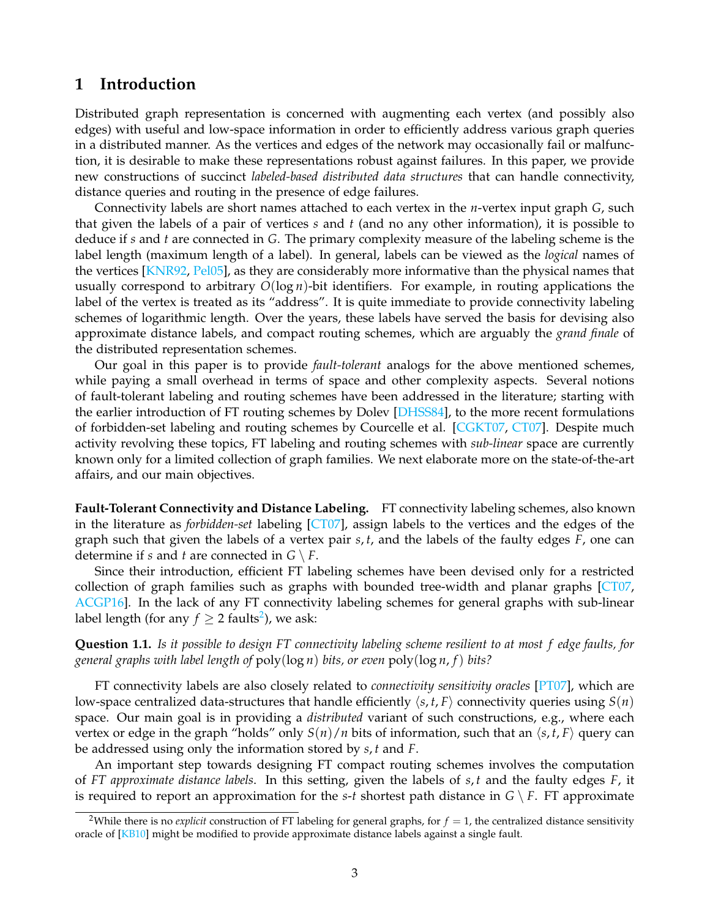## <span id="page-2-0"></span>**1 Introduction**

Distributed graph representation is concerned with augmenting each vertex (and possibly also edges) with useful and low-space information in order to efficiently address various graph queries in a distributed manner. As the vertices and edges of the network may occasionally fail or malfunction, it is desirable to make these representations robust against failures. In this paper, we provide new constructions of succinct *labeled-based distributed data structures* that can handle connectivity, distance queries and routing in the presence of edge failures.

Connectivity labels are short names attached to each vertex in the *n*-vertex input graph *G*, such that given the labels of a pair of vertices *s* and *t* (and no any other information), it is possible to deduce if *s* and *t* are connected in *G*. The primary complexity measure of the labeling scheme is the label length (maximum length of a label). In general, labels can be viewed as the *logical* names of the vertices [\[KNR92,](#page-32-0) [Pel05\]](#page-33-2), as they are considerably more informative than the physical names that usually correspond to arbitrary  $O(\log n)$ -bit identifiers. For example, in routing applications the label of the vertex is treated as its "address". It is quite immediate to provide connectivity labeling schemes of logarithmic length. Over the years, these labels have served the basis for devising also approximate distance labels, and compact routing schemes, which are arguably the *grand finale* of the distributed representation schemes.

Our goal in this paper is to provide *fault-tolerant* analogs for the above mentioned schemes, while paying a small overhead in terms of space and other complexity aspects. Several notions of fault-tolerant labeling and routing schemes have been addressed in the literature; starting with the earlier introduction of FT routing schemes by Dolev [\[DHSS84\]](#page-31-0), to the more recent formulations of forbidden-set labeling and routing schemes by Courcelle et al. [\[CGKT07,](#page-31-1) [CT07\]](#page-31-2). Despite much activity revolving these topics, FT labeling and routing schemes with *sub-linear* space are currently known only for a limited collection of graph families. We next elaborate more on the state-of-the-art affairs, and our main objectives.

**Fault-Tolerant Connectivity and Distance Labeling.** FT connectivity labeling schemes, also known in the literature as *forbidden-set* labeling [\[CT07\]](#page-31-2), assign labels to the vertices and the edges of the graph such that given the labels of a vertex pair *s*, *t*, and the labels of the faulty edges *F*, one can determine if *s* and *t* are connected in  $G \setminus F$ .

Since their introduction, efficient FT labeling schemes have been devised only for a restricted collection of graph families such as graphs with bounded tree-width and planar graphs [\[CT07,](#page-31-2) [ACGP16\]](#page-30-0). In the lack of any FT connectivity labeling schemes for general graphs with sub-linear label length (for any  $f \geq 2$  $f \geq 2$  faults<sup>2</sup>), we ask:

<span id="page-2-2"></span>**Question 1.1.** *Is it possible to design FT connectivity labeling scheme resilient to at most f edge faults, for general graphs with label length of* poly(log *n*) *bits, or even* poly(log *n*, *f*) *bits?*

FT connectivity labels are also closely related to *connectivity sensitivity oracles* [\[PT07\]](#page-33-3), which are low-space centralized data-structures that handle efficiently  $\langle s, t, F \rangle$  connectivity queries using  $S(n)$ space. Our main goal is in providing a *distributed* variant of such constructions, e.g., where each vertex or edge in the graph "holds" only  $S(n)/n$  bits of information, such that an  $\langle s, t, F \rangle$  query can be addressed using only the information stored by *s*, *t* and *F*.

An important step towards designing FT compact routing schemes involves the computation of *FT approximate distance labels*. In this setting, given the labels of *s*, *t* and the faulty edges *F*, it is required to report an approximation for the *s*-*t* shortest path distance in  $G \setminus F$ . FT approximate

<span id="page-2-1"></span><sup>&</sup>lt;sup>2</sup>While there is no *explicit* construction of FT labeling for general graphs, for  $f = 1$ , the centralized distance sensitivity oracle of [\[KB10\]](#page-32-1) might be modified to provide approximate distance labels against a single fault.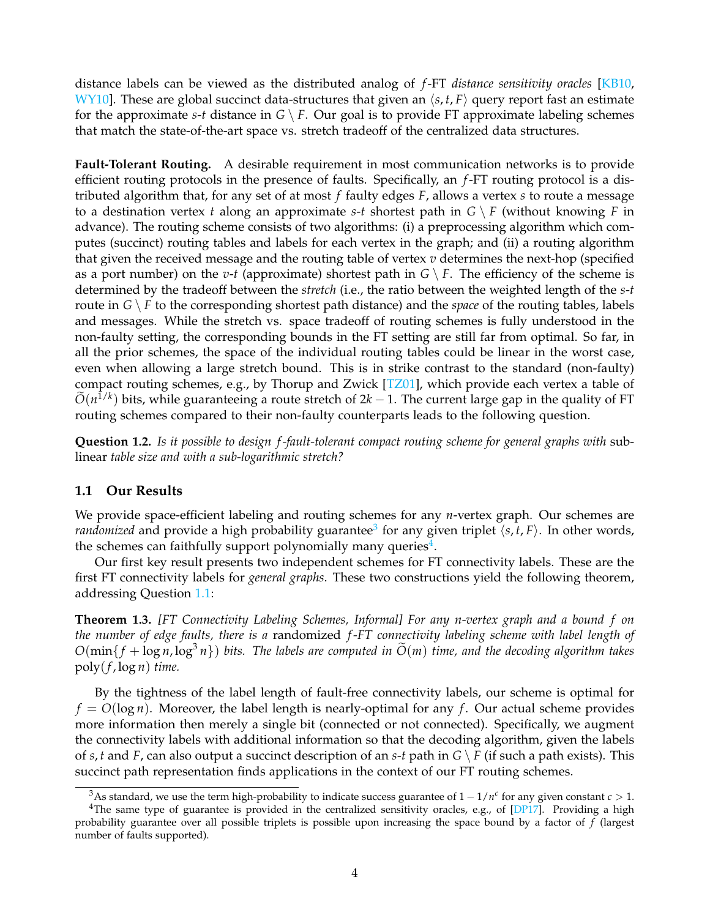distance labels can be viewed as the distributed analog of *f*-FT *distance sensitivity oracles* [\[KB10,](#page-32-1) [WY10\]](#page-33-4). These are global succinct data-structures that given an  $\langle s, t, F \rangle$  query report fast an estimate for the approximate *s*-*t* distance in  $G \setminus F$ . Our goal is to provide FT approximate labeling schemes that match the state-of-the-art space vs. stretch tradeoff of the centralized data structures.

**Fault-Tolerant Routing.** A desirable requirement in most communication networks is to provide efficient routing protocols in the presence of faults. Specifically, an *f*-FT routing protocol is a distributed algorithm that, for any set of at most *f* faulty edges *F*, allows a vertex *s* to route a message to a destination vertex *t* along an approximate *s*-*t* shortest path in  $G \setminus F$  (without knowing *F* in advance). The routing scheme consists of two algorithms: (i) a preprocessing algorithm which computes (succinct) routing tables and labels for each vertex in the graph; and (ii) a routing algorithm that given the received message and the routing table of vertex  $v$  determines the next-hop (specified as a port number) on the *v*-*t* (approximate) shortest path in  $G \setminus F$ . The efficiency of the scheme is determined by the tradeoff between the *stretch* (i.e., the ratio between the weighted length of the *s*-*t* route in  $G \setminus F$  to the corresponding shortest path distance) and the *space* of the routing tables, labels and messages. While the stretch vs. space tradeoff of routing schemes is fully understood in the non-faulty setting, the corresponding bounds in the FT setting are still far from optimal. So far, in all the prior schemes, the space of the individual routing tables could be linear in the worst case, even when allowing a large stretch bound. This is in strike contrast to the standard (non-faulty) compact routing schemes, e.g., by Thorup and Zwick [\[TZ01\]](#page-33-5), which provide each vertex a table of  $O(n^{1/k})$  bits, while guaranteeing a route stretch of  $2k - 1$ . The current large gap in the quality of FT routing schemes compared to their non-faulty counterparts leads to the following question.

<span id="page-3-3"></span>**Question 1.2.** *Is it possible to design f -fault-tolerant compact routing scheme for general graphs with* sublinear *table size and with a sub-logarithmic stretch?*

### <span id="page-3-0"></span>**1.1 Our Results**

We provide space-efficient labeling and routing schemes for any *n*-vertex graph. Our schemes are *randomized* and provide a high probability guarantee<sup>[3](#page-3-1)</sup> for any given triplet  $\langle s, t, F \rangle$ . In other words, the schemes can faithfully support polynomially many queries<sup>[4](#page-3-2)</sup>.

Our first key result presents two independent schemes for FT connectivity labels. These are the first FT connectivity labels for *general graphs*. These two constructions yield the following theorem, addressing Question [1.1:](#page-2-2)

**Theorem 1.3.** *[FT Connectivity Labeling Schemes, Informal] For any n-vertex graph and a bound f on the number of edge faults, there is a* randomized *f -FT connectivity labeling scheme with label length of*  $O(\min\{f + \log n, \log^3 n\})$  bits. The labels are computed in  $\widetilde{O}(m)$  time, and the decoding algorithm takes  $poly(f, \log n)$  *time.* 

By the tightness of the label length of fault-free connectivity labels, our scheme is optimal for  $f = O(\log n)$ . Moreover, the label length is nearly-optimal for any f. Our actual scheme provides more information then merely a single bit (connected or not connected). Specifically, we augment the connectivity labels with additional information so that the decoding algorithm, given the labels of *s*, *t* and *F*, can also output a succinct description of an *s*-*t* path in *G* \ *F* (if such a path exists). This succinct path representation finds applications in the context of our FT routing schemes.

<span id="page-3-2"></span><span id="page-3-1"></span> $^3$ As standard, we use the term high-probability to indicate success guarantee of  $1-1/n^c$  for any given constant  $c > 1$ .

<sup>&</sup>lt;sup>4</sup>The same type of guarantee is provided in the centralized sensitivity oracles, e.g., of [\[DP17\]](#page-31-3). Providing a high probability guarantee over all possible triplets is possible upon increasing the space bound by a factor of *f* (largest number of faults supported).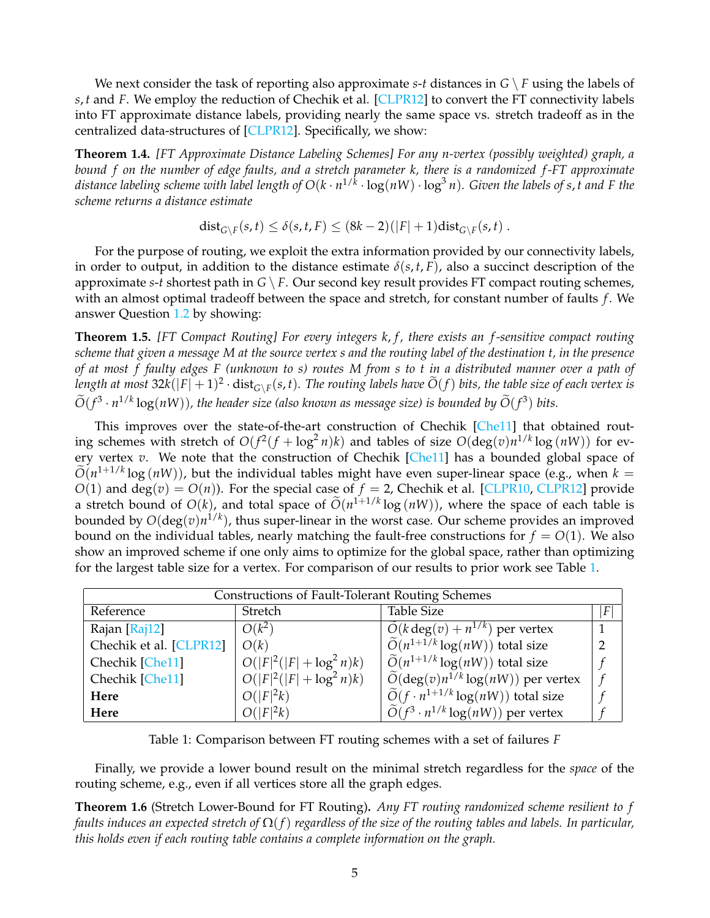We next consider the task of reporting also approximate  $s$ -*t* distances in  $G \setminus F$  using the labels of *s*, *t* and *F*. We employ the reduction of Chechik et al. [\[CLPR12\]](#page-31-4) to convert the FT connectivity labels into FT approximate distance labels, providing nearly the same space vs. stretch tradeoff as in the centralized data-structures of [\[CLPR12\]](#page-31-4). Specifically, we show:

**Theorem 1.4.** *[FT Approximate Distance Labeling Schemes] For any n-vertex (possibly weighted) graph, a bound f on the number of edge faults, and a stretch parameter k, there is a randomized f -FT approximate distance labeling scheme with label length of O*(*k* · *n* 1/*k* · log(*nW*) · log<sup>3</sup> *n*)*. Given the labels of s*, *t and F the scheme returns a distance estimate*

$$
\text{dist}_{G \setminus F}(s,t) \leq \delta(s,t,F) \leq (8k-2)(|F|+1)\text{dist}_{G \setminus F}(s,t) .
$$

For the purpose of routing, we exploit the extra information provided by our connectivity labels, in order to output, in addition to the distance estimate  $\delta(s, t, F)$ , also a succinct description of the approximate *s*-*t* shortest path in  $G \setminus F$ . Our second key result provides FT compact routing schemes, with an almost optimal tradeoff between the space and stretch, for constant number of faults *f*. We answer Question [1.2](#page-3-3) by showing:

**Theorem 1.5.** *[FT Compact Routing] For every integers k, f, there exists an f-sensitive compact routing scheme that given a message M at the source vertex s and the routing label of the destination t, in the presence of at most f faulty edges F (unknown to s) routes M from s to t in a distributed manner over a path of* length at most  $32k(|F|+1)^2 \cdot dist_{G\setminus F}(s,t)$ . The routing labels have  $\tilde{O}(f)$  bits, the table size of each vertex is  $\widetilde{O}(f^3 \cdot n^{1/k} \log(nW))$ , the header size (also known as message size) is bounded by  $\widetilde{O}(f^3)$  bits.

This improves over the state-of-the-art construction of Chechik [\[Che11\]](#page-31-5) that obtained routing schemes with stretch of  $O(f^2(f + \log^2 n)k)$  and tables of size  $O(\deg(v)n^{1/k}\log(nW))$  for every vertex *v*. We note that the construction of Chechik [\[Che11\]](#page-31-5) has a bounded global space of  $\widetilde{O}(n^{1+1/k} \log{(nW)})$ , but the individual tables might have even super-linear space (e.g., when  $k = 0$ )  $O(1)$  and deg(*v*) =  $O(n)$ ). For the special case of  $f = 2$ , Chechik et al. [\[CLPR10,](#page-31-6) [CLPR12\]](#page-31-4) provide a stretch bound of  $O(k)$ , and total space of  $\tilde{O}(n^{1+1/k} \log(nW))$ , where the space of each table is bounded by  $O(\deg(v)n^{1/k})$ , thus super-linear in the worst case. Our scheme provides an improved bound on the individual tables, nearly matching the fault-free constructions for  $f = O(1)$ . We also show an improved scheme if one only aims to optimize for the global space, rather than optimizing for the largest table size for a vertex. For comparison of our results to prior work see Table [1.](#page-4-0)

| <b>Constructions of Fault-Tolerant Routing Schemes</b> |                             |                                                        |  |  |  |
|--------------------------------------------------------|-----------------------------|--------------------------------------------------------|--|--|--|
| Reference                                              | Stretch                     | <b>Table Size</b>                                      |  |  |  |
| Rajan [Raj12]                                          | $O(k^2)$                    | $O(k \deg(v) + n^{1/k})$ per vertex                    |  |  |  |
| Chechik et al. [CLPR12]                                | O(k)                        | $\widetilde{O}(n^{1+1/k} \log(nW))$ total size         |  |  |  |
| Chechik [Che11]                                        | $O( F ^2( F  + \log^2 n)k)$ | $\widetilde{O}(n^{1+1/k} \log(nW))$ total size         |  |  |  |
| Chechik [Che11]                                        | $O( F ^2( F  + \log^2 n)k)$ | $\widetilde{O}(\deg(v)n^{1/k}\log(nW))$ per vertex     |  |  |  |
| Here                                                   | $O( F ^2k)$                 | $\widetilde{O}(f \cdot n^{1+1/k} \log(nW))$ total size |  |  |  |
| Here                                                   | $O( F ^2k)$                 | $\widetilde{O}(f^3 \cdot n^{1/k} \log(nW))$ per vertex |  |  |  |

<span id="page-4-0"></span>Table 1: Comparison between FT routing schemes with a set of failures *F*

Finally, we provide a lower bound result on the minimal stretch regardless for the *space* of the routing scheme, e.g., even if all vertices store all the graph edges.

<span id="page-4-1"></span>**Theorem 1.6** (Stretch Lower-Bound for FT Routing)**.** *Any FT routing randomized scheme resilient to f faults induces an expected stretch of* Ω(*f*) *regardless of the size of the routing tables and labels. In particular, this holds even if each routing table contains a complete information on the graph.*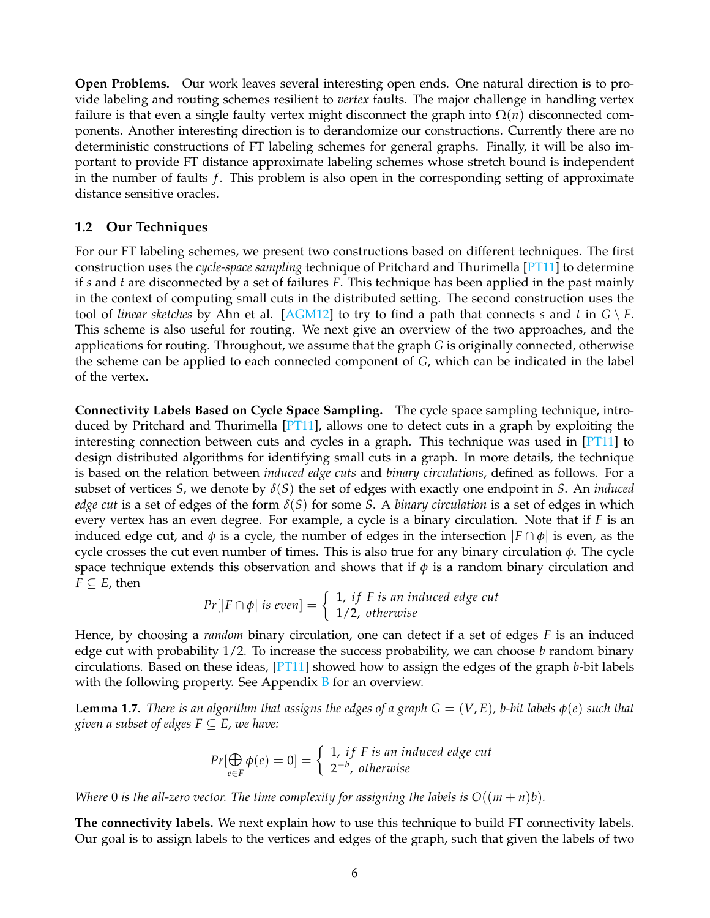**Open Problems.** Our work leaves several interesting open ends. One natural direction is to provide labeling and routing schemes resilient to *vertex* faults. The major challenge in handling vertex failure is that even a single faulty vertex might disconnect the graph into  $\Omega(n)$  disconnected components. Another interesting direction is to derandomize our constructions. Currently there are no deterministic constructions of FT labeling schemes for general graphs. Finally, it will be also important to provide FT distance approximate labeling schemes whose stretch bound is independent in the number of faults *f*. This problem is also open in the corresponding setting of approximate distance sensitive oracles.

### <span id="page-5-0"></span>**1.2 Our Techniques**

For our FT labeling schemes, we present two constructions based on different techniques. The first construction uses the *cycle-space sampling* technique of Pritchard and Thurimella [\[PT11\]](#page-33-7) to determine if *s* and *t* are disconnected by a set of failures *F*. This technique has been applied in the past mainly in the context of computing small cuts in the distributed setting. The second construction uses the tool of *linear sketches* by Ahn et al. [\[AGM12\]](#page-30-1) to try to find a path that connects *s* and *t* in  $G \setminus F$ . This scheme is also useful for routing. We next give an overview of the two approaches, and the applications for routing. Throughout, we assume that the graph *G* is originally connected, otherwise the scheme can be applied to each connected component of *G*, which can be indicated in the label of the vertex.

**Connectivity Labels Based on Cycle Space Sampling.** The cycle space sampling technique, introduced by Pritchard and Thurimella  $[PT11]$ , allows one to detect cuts in a graph by exploiting the interesting connection between cuts and cycles in a graph. This technique was used in  $[PT11]$  to design distributed algorithms for identifying small cuts in a graph. In more details, the technique is based on the relation between *induced edge cuts* and *binary circulations*, defined as follows. For a subset of vertices *S*, we denote by *δ*(*S*) the set of edges with exactly one endpoint in *S*. An *induced edge cut* is a set of edges of the form *δ*(*S*) for some *S*. A *binary circulation* is a set of edges in which every vertex has an even degree. For example, a cycle is a binary circulation. Note that if *F* is an induced edge cut, and  $\phi$  is a cycle, the number of edges in the intersection  $|F \cap \phi|$  is even, as the cycle crosses the cut even number of times. This is also true for any binary circulation *φ*. The cycle space technique extends this observation and shows that if  $\phi$  is a random binary circulation and  $F \subseteq E$ , then

$$
Pr[|F \cap \phi| \text{ is even}] = \left\{ \begin{array}{l} 1, \text{ if } F \text{ is an induced edge cut} \\ 1/2, \text{ otherwise} \end{array} \right.
$$

Hence, by choosing a *random* binary circulation, one can detect if a set of edges *F* is an induced edge cut with probability 1/2. To increase the success probability, we can choose *b* random binary circulations. Based on these ideas, [\[PT11\]](#page-33-7) showed how to assign the edges of the graph *b*-bit labels with the following property. See Appendix  $\overline{B}$  $\overline{B}$  $\overline{B}$  for an overview.

<span id="page-5-1"></span>**Lemma 1.7.** *There is an algorithm that assigns the edges of a graph*  $G = (V, E)$ *, b-bit labels*  $\phi(e)$  *such that given a subset of edges*  $F \subseteq E$ *, we have:* 

$$
Pr[\bigoplus_{e \in F} \phi(e) = 0] = \begin{cases} 1, & if F is an induced edge cut \\ 2^{-b}, & otherwise \end{cases}
$$

*Where* 0 *is the all-zero vector. The time complexity for assigning the labels is*  $O((m + n)b)$ *.* 

**The connectivity labels.** We next explain how to use this technique to build FT connectivity labels. Our goal is to assign labels to the vertices and edges of the graph, such that given the labels of two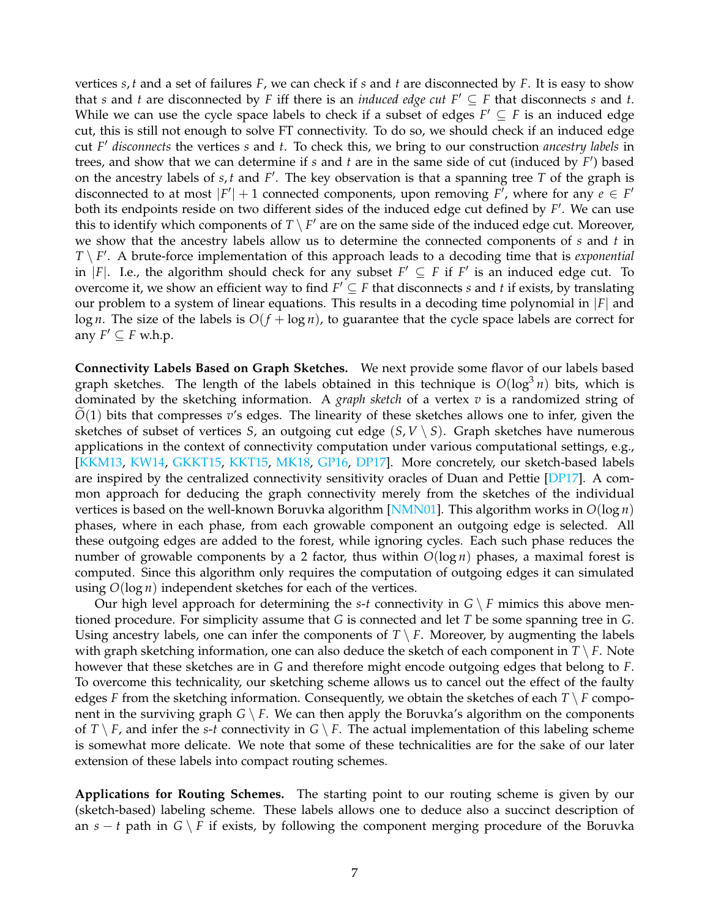vertices *s*, *t* and a set of failures *F*, we can check if *s* and *t* are disconnected by *F*. It is easy to show that *s* and *t* are disconnected by *F* iff there is an *induced edge cut*  $F' \subseteq F$  that disconnects *s* and *t*. While we can use the cycle space labels to check if a subset of edges  $F' \subseteq F$  is an induced edge cut, this is still not enough to solve FT connectivity. To do so, we should check if an induced edge cut *F* <sup>0</sup> *disconnects* the vertices *s* and *t*. To check this, we bring to our construction *ancestry labels* in trees, and show that we can determine if *s* and *t* are in the same side of cut (induced by *F* 0 ) based on the ancestry labels of  $s, t$  and  $F'$ . The key observation is that a spanning tree  $T$  of the graph is disconnected to at most  $|F'| + 1$  connected components, upon removing  $F'$ , where for any  $e \in F'$ both its endpoints reside on two different sides of the induced edge cut defined by F'. We can use this to identify which components of  $T \setminus F'$  are on the same side of the induced edge cut. Moreover, we show that the ancestry labels allow us to determine the connected components of *s* and *t* in *T* \ *F*'. A brute-force implementation of this approach leads to a decoding time that is *exponential* in |*F*|. I.e., the algorithm should check for any subset  $F' \subseteq F$  if  $F'$  is an induced edge cut. To overcome it, we show an efficient way to find  $F' \subseteq F$  that disconnects *s* and *t* if exists, by translating our problem to a system of linear equations. This results in a decoding time polynomial in |*F*| and  $\log n$ . The size of the labels is  $O(f + \log n)$ , to guarantee that the cycle space labels are correct for any  $F' \subseteq F$  w.h.p.

**Connectivity Labels Based on Graph Sketches.** We next provide some flavor of our labels based graph sketches. The length of the labels obtained in this technique is  $O(log^3 n)$  bits, which is dominated by the sketching information. A *graph sketch* of a vertex *v* is a randomized string of  $O(1)$  bits that compresses  $v'$ s edges. The linearity of these sketches allows one to infer, given the sketches of subset of vertices *S*, an outgoing cut edge  $(S, V \setminus S)$ . Graph sketches have numerous applications in the context of connectivity computation under various computational settings, e.g., [\[KKM13,](#page-32-2) [KW14,](#page-32-3) [GKKT15,](#page-32-4) [KKT15,](#page-32-5) [MK18,](#page-32-6) [GP16,](#page-32-7) [DP17\]](#page-31-3). More concretely, our sketch-based labels are inspired by the centralized connectivity sensitivity oracles of Duan and Pettie [\[DP17\]](#page-31-3). A common approach for deducing the graph connectivity merely from the sketches of the individual vertices is based on the well-known Boruvka algorithm [\[NMN01\]](#page-32-8). This algorithm works in *O*(log *n*) phases, where in each phase, from each growable component an outgoing edge is selected. All these outgoing edges are added to the forest, while ignoring cycles. Each such phase reduces the number of growable components by a 2 factor, thus within  $O(log n)$  phases, a maximal forest is computed. Since this algorithm only requires the computation of outgoing edges it can simulated using *O*(log *n*) independent sketches for each of the vertices.

Our high level approach for determining the *s*-*t* connectivity in  $G \setminus F$  mimics this above mentioned procedure. For simplicity assume that *G* is connected and let *T* be some spanning tree in *G*. Using ancestry labels, one can infer the components of  $T \setminus F$ . Moreover, by augmenting the labels with graph sketching information, one can also deduce the sketch of each component in  $T \setminus F$ . Note however that these sketches are in *G* and therefore might encode outgoing edges that belong to *F*. To overcome this technicality, our sketching scheme allows us to cancel out the effect of the faulty edges *F* from the sketching information. Consequently, we obtain the sketches of each  $T \setminus F$  component in the surviving graph  $G \setminus F$ . We can then apply the Boruvka's algorithm on the components of *T* \ *F*, and infer the *s*-*t* connectivity in *G* \ *F*. The actual implementation of this labeling scheme is somewhat more delicate. We note that some of these technicalities are for the sake of our later extension of these labels into compact routing schemes.

**Applications for Routing Schemes.** The starting point to our routing scheme is given by our (sketch-based) labeling scheme. These labels allows one to deduce also a succinct description of an *s* − *t* path in *G* \ *F* if exists, by following the component merging procedure of the Boruvka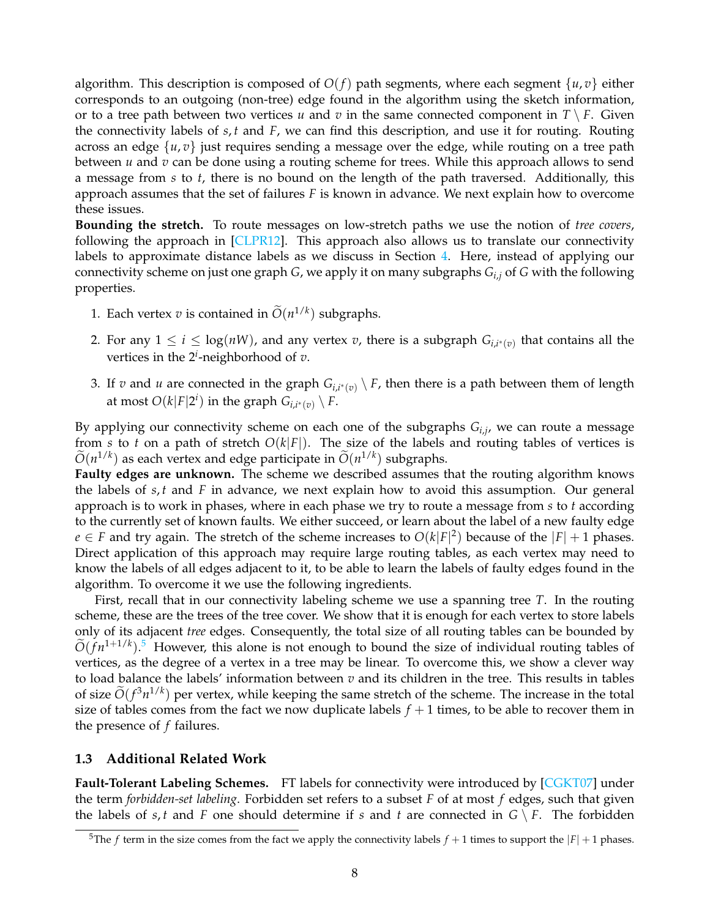algorithm. This description is composed of  $O(f)$  path segments, where each segment  $\{u, v\}$  either corresponds to an outgoing (non-tree) edge found in the algorithm using the sketch information, or to a tree path between two vertices *u* and *v* in the same connected component in  $T \setminus F$ . Given the connectivity labels of *s*, *t* and *F*, we can find this description, and use it for routing. Routing across an edge {*u*, *v*} just requires sending a message over the edge, while routing on a tree path between *u* and *v* can be done using a routing scheme for trees. While this approach allows to send a message from *s* to *t*, there is no bound on the length of the path traversed. Additionally, this approach assumes that the set of failures *F* is known in advance. We next explain how to overcome these issues.

**Bounding the stretch.** To route messages on low-stretch paths we use the notion of *tree covers*, following the approach in [\[CLPR12\]](#page-31-4). This approach also allows us to translate our connectivity labels to approximate distance labels as we discuss in Section [4.](#page-20-0) Here, instead of applying our connectivity scheme on just one graph *G*, we apply it on many subgraphs *Gi*,*<sup>j</sup>* of *G* with the following properties.

- 1. Each vertex *v* is contained in  $\widetilde{O}(n^{1/k})$  subgraphs.
- 2. For any  $1 \leq i \leq \log(nW)$ , and any vertex *v*, there is a subgraph  $G_{i,i^*(v)}$  that contains all the vertices in the 2*<sup>i</sup>* -neighborhood of *v*.
- 3. If *v* and *u* are connected in the graph  $G_{i,i^*(v)} \setminus F$ , then there is a path between them of length at most  $O(k|F|2^i)$  in the graph  $G_{i,i^*(v)} \setminus F$ .

By applying our connectivity scheme on each one of the subgraphs *Gi*,*<sup>j</sup>* , we can route a message from *s* to *t* on a path of stretch  $O(k|F|)$ . The size of the labels and routing tables of vertices is  $\widetilde{O}(n^{1/k})$  as each vertex and edge participate in  $\widetilde{O}(n^{1/k})$  subgraphs.

**Faulty edges are unknown.** The scheme we described assumes that the routing algorithm knows the labels of *s*, *t* and *F* in advance, we next explain how to avoid this assumption. Our general approach is to work in phases, where in each phase we try to route a message from *s* to *t* according to the currently set of known faults. We either succeed, or learn about the label of a new faulty edge *e* ∈ *F* and try again. The stretch of the scheme increases to  $O(k|F|^2)$  because of the  $|F| + 1$  phases. Direct application of this approach may require large routing tables, as each vertex may need to know the labels of all edges adjacent to it, to be able to learn the labels of faulty edges found in the algorithm. To overcome it we use the following ingredients.

First, recall that in our connectivity labeling scheme we use a spanning tree *T*. In the routing scheme, these are the trees of the tree cover. We show that it is enough for each vertex to store labels only of its adjacent *tree* edges. Consequently, the total size of all routing tables can be bounded by  $\tilde{O}(fn^{1+1/k})$ .<sup>[5](#page-7-1)</sup> However, this alone is not enough to bound the size of individual routing tables of vertices, as the degree of a vertex in a tree may be linear. To overcome this, we show a clever way to load balance the labels' information between *v* and its children in the tree. This results in tables of size  $O(f^3n^{1/k})$  per vertex, while keeping the same stretch of the scheme. The increase in the total size of tables comes from the fact we now duplicate labels  $f + 1$  times, to be able to recover them in the presence of *f* failures.

### <span id="page-7-0"></span>**1.3 Additional Related Work**

**Fault-Tolerant Labeling Schemes.** FT labels for connectivity were introduced by [\[CGKT07\]](#page-31-1) under the term *forbidden-set labeling*. Forbidden set refers to a subset *F* of at most *f* edges, such that given the labels of  $s, t$  and  $F$  one should determine if  $s$  and  $t$  are connected in  $G \setminus F$ . The forbidden

<span id="page-7-1"></span><sup>&</sup>lt;sup>5</sup>The *f* term in the size comes from the fact we apply the connectivity labels  $f + 1$  times to support the  $|F| + 1$  phases.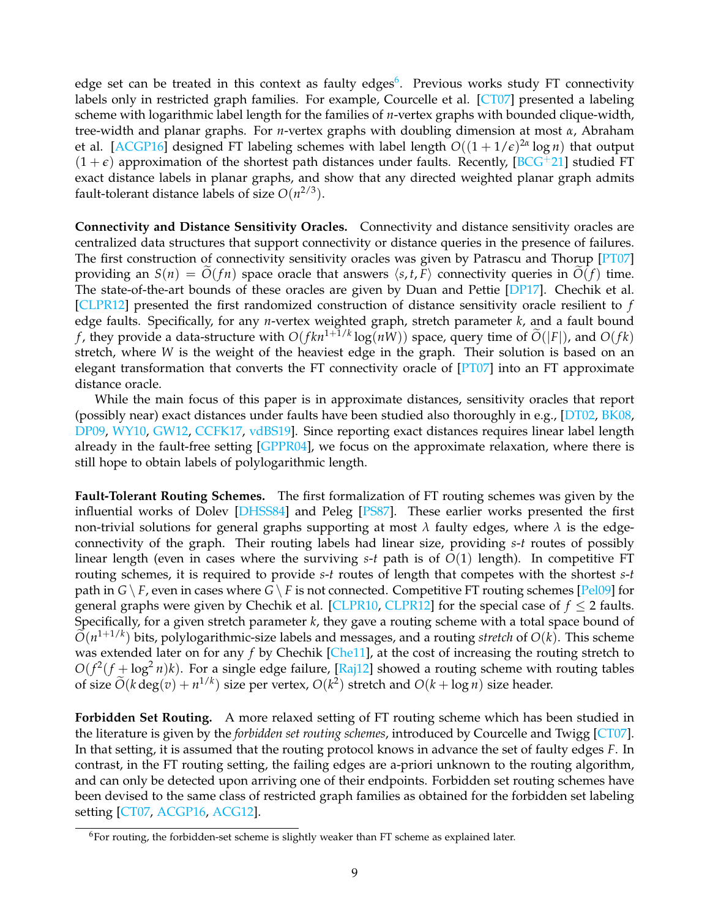edge set can be treated in this context as faulty edges<sup>[6](#page-8-1)</sup>. Previous works study FT connectivity labels only in restricted graph families. For example, Courcelle et al. [\[CT07\]](#page-31-2) presented a labeling scheme with logarithmic label length for the families of *n*-vertex graphs with bounded clique-width, tree-width and planar graphs. For *n*-vertex graphs with doubling dimension at most *α*, Abraham et al. [\[ACGP16\]](#page-30-0) designed FT labeling schemes with label length *O*((1 + 1/*e*) 2*α* log *n*) that output  $(1 + \epsilon)$  approximation of the shortest path distances under faults. Recently, [\[BCG](#page-31-7)<sup>+</sup>21] studied FT exact distance labels in planar graphs, and show that any directed weighted planar graph admits fault-tolerant distance labels of size  $O(n^{2/3})$ .

**Connectivity and Distance Sensitivity Oracles.** Connectivity and distance sensitivity oracles are centralized data structures that support connectivity or distance queries in the presence of failures. The first construction of connectivity sensitivity oracles was given by Patrascu and Thorup [\[PT07\]](#page-33-3) providing an  $S(n) = O(fn)$  space oracle that answers  $\langle s, t, F \rangle$  connectivity queries in  $O(f)$  time. The state-of-the-art bounds of these oracles are given by Duan and Pettie [\[DP17\]](#page-31-3). Chechik et al. [\[CLPR12\]](#page-31-4) presented the first randomized construction of distance sensitivity oracle resilient to *f* edge faults. Specifically, for any *n*-vertex weighted graph, stretch parameter *k*, and a fault bound *f*, they provide a data-structure with  $O(fkn^{1+1/k}\log(n\bar{W}))$  space, query time of  $\widetilde{O}(|F|)$ , and  $O(fk)$ stretch, where *W* is the weight of the heaviest edge in the graph. Their solution is based on an elegant transformation that converts the FT connectivity oracle of [\[PT07\]](#page-33-3) into an FT approximate distance oracle.

While the main focus of this paper is in approximate distances, sensitivity oracles that report (possibly near) exact distances under faults have been studied also thoroughly in e.g.,  $[DT02, BK08,$  $[DT02, BK08,$  $[DT02, BK08,$ [DP09,](#page-31-10) [WY10,](#page-33-4) [GW12,](#page-32-9) [CCFK17,](#page-31-11) [vdBS19\]](#page-33-8). Since reporting exact distances requires linear label length already in the fault-free setting [\[GPPR04\]](#page-32-10), we focus on the approximate relaxation, where there is still hope to obtain labels of polylogarithmic length.

**Fault-Tolerant Routing Schemes.** The first formalization of FT routing schemes was given by the influential works of Dolev [\[DHSS84\]](#page-31-0) and Peleg [\[PS87\]](#page-33-9). These earlier works presented the first non-trivial solutions for general graphs supporting at most  $\lambda$  faulty edges, where  $\lambda$  is the edgeconnectivity of the graph. Their routing labels had linear size, providing *s*-*t* routes of possibly linear length (even in cases where the surviving *s*-*t* path is of *O*(1) length). In competitive FT routing schemes, it is required to provide *s*-*t* routes of length that competes with the shortest *s*-*t* path in  $G \setminus F$ , even in cases where  $G \setminus F$  is not connected. Competitive FT routing schemes [\[Pel09\]](#page-33-10) for general graphs were given by Chechik et al. [\[CLPR10,](#page-31-6) [CLPR12\]](#page-31-4) for the special case of  $f \leq 2$  faults. Specifically, for a given stretch parameter *k*, they gave a routing scheme with a total space bound of  $\tilde{O}(n^{1+1/k})$  bits, polylogarithmic-size labels and messages, and a routing *stretch* of  $O(k)$ . This scheme was extended later on for any *f* by Chechik [\[Che11\]](#page-31-5), at the cost of increasing the routing stretch to  $O(f^2(f + \log^2 n)k)$ . For a single edge failure, [\[Raj12\]](#page-33-6) showed a routing scheme with routing tables of size  $\widetilde{O}(k \deg(v) + n^{1/k})$  size per vertex,  $O(k^2)$  stretch and  $O(k + \log n)$  size header.

**Forbidden Set Routing.** A more relaxed setting of FT routing scheme which has been studied in the literature is given by the *forbidden set routing schemes*, introduced by Courcelle and Twigg [\[CT07\]](#page-31-2). In that setting, it is assumed that the routing protocol knows in advance the set of faulty edges *F*. In contrast, in the FT routing setting, the failing edges are a-priori unknown to the routing algorithm, and can only be detected upon arriving one of their endpoints. Forbidden set routing schemes have been devised to the same class of restricted graph families as obtained for the forbidden set labeling setting [\[CT07,](#page-31-2) [ACGP16,](#page-30-0) [ACG12\]](#page-30-2).

<span id="page-8-1"></span><span id="page-8-0"></span> $6$ For routing, the forbidden-set scheme is slightly weaker than FT scheme as explained later.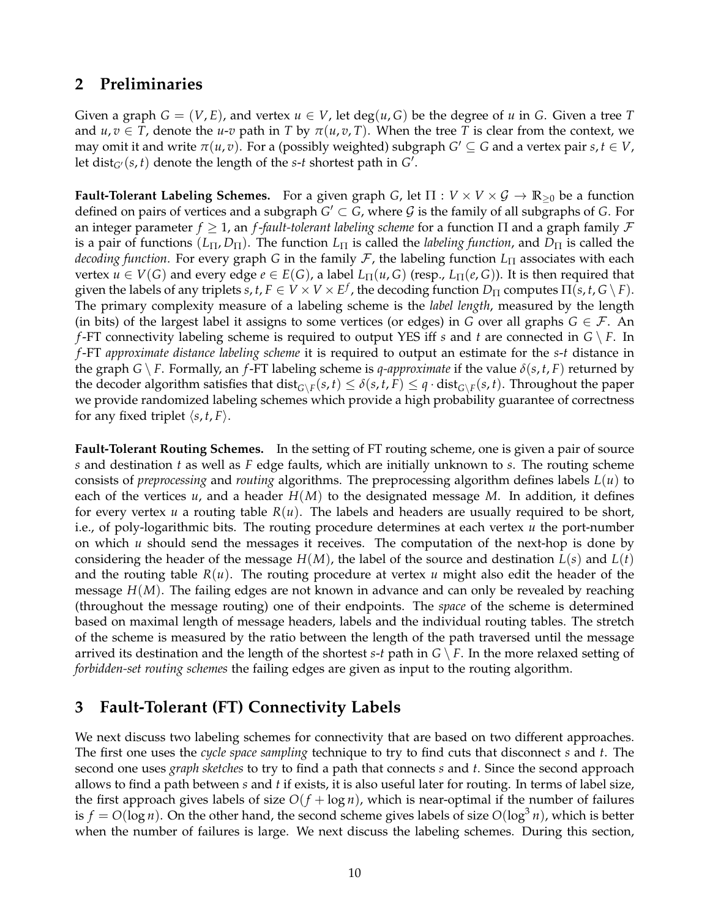## **2 Preliminaries**

Given a graph  $G = (V, E)$ , and vertex  $u \in V$ , let deg $(u, G)$  be the degree of u in G. Given a tree T and  $u, v \in T$ , denote the  $u$ -*v* path in *T* by  $\pi(u, v, T)$ . When the tree *T* is clear from the context, we may omit it and write  $\pi(u, v)$ . For a (possibly weighted) subgraph  $G' \subseteq G$  and a vertex pair  $s, t \in V$ , let  $dist_{G'}(s,t)$  denote the length of the  $s$ -*t* shortest path in  $G'$ .

**Fault-Tolerant Labeling Schemes.** For a given graph *G*, let  $\Pi : V \times V \times \mathcal{G} \to \mathbb{R}_{\geq 0}$  be a function defined on pairs of vertices and a subgraph  $G' \subset G$ , where  $\mathcal G$  is the family of all subgraphs of  $G$ . For an integer parameter *f* ≥ 1, an *f*-*fault-tolerant labeling scheme* for a function Π and a graph family F is a pair of functions  $(L_{\Pi}, D_{\Pi})$ . The function  $L_{\Pi}$  is called the *labeling function*, and  $D_{\Pi}$  is called the *decoding function*. For every graph *G* in the family *F*, the labeling function *L*<sub>Π</sub> associates with each vertex  $u \in V(G)$  and every edge  $e \in E(G)$ , a label  $L_{\Pi}(u, G)$  (resp.,  $L_{\Pi}(e, G)$ ). It is then required that given the labels of any triplets  $s,t,F\in V\times V\times E^f$  , the decoding function  $D_\Pi$  computes  $\Pi(s,t,G\setminus F).$ The primary complexity measure of a labeling scheme is the *label length*, measured by the length (in bits) of the largest label it assigns to some vertices (or edges) in *G* over all graphs  $G \in \mathcal{F}$ . An *f*-FT connectivity labeling scheme is required to output YES iff *s* and *t* are connected in *G* \ *F*. In *f*-FT *approximate distance labeling scheme* it is required to output an estimate for the *s*-*t* distance in the graph *G*  $\setminus$  *F*. Formally, an *f*-FT labeling scheme is *q-approximate* if the value  $\delta(s, t, F)$  returned by the decoder algorithm satisfies that  $dist_{G\setminus F}(s,t)\leq \delta(s,t,F)\leq q\cdot dist_{G\setminus F}(s,t).$  Throughout the paper we provide randomized labeling schemes which provide a high probability guarantee of correctness for any fixed triplet  $\langle s, t, F \rangle$ .

**Fault-Tolerant Routing Schemes.** In the setting of FT routing scheme, one is given a pair of source *s* and destination *t* as well as *F* edge faults, which are initially unknown to *s*. The routing scheme consists of *preprocessing* and *routing* algorithms. The preprocessing algorithm defines labels *L*(*u*) to each of the vertices  $u$ , and a header  $H(M)$  to the designated message M. In addition, it defines for every vertex *u* a routing table *R*(*u*). The labels and headers are usually required to be short, i.e., of poly-logarithmic bits. The routing procedure determines at each vertex *u* the port-number on which *u* should send the messages it receives. The computation of the next-hop is done by considering the header of the message  $H(M)$ , the label of the source and destination  $L(s)$  and  $L(t)$ and the routing table  $R(u)$ . The routing procedure at vertex  $u$  might also edit the header of the message *H*(*M*). The failing edges are not known in advance and can only be revealed by reaching (throughout the message routing) one of their endpoints. The *space* of the scheme is determined based on maximal length of message headers, labels and the individual routing tables. The stretch of the scheme is measured by the ratio between the length of the path traversed until the message arrived its destination and the length of the shortest *s*-*t* path in *G* \ *F*. In the more relaxed setting of *forbidden-set routing schemes* the failing edges are given as input to the routing algorithm.

## <span id="page-9-0"></span>**3 Fault-Tolerant (FT) Connectivity Labels**

We next discuss two labeling schemes for connectivity that are based on two different approaches. The first one uses the *cycle space sampling* technique to try to find cuts that disconnect *s* and *t*. The second one uses *graph sketches* to try to find a path that connects *s* and *t*. Since the second approach allows to find a path between *s* and *t* if exists, it is also useful later for routing. In terms of label size, the first approach gives labels of size  $O(f + \log n)$ , which is near-optimal if the number of failures is  $f = O(\log n)$ . On the other hand, the second scheme gives labels of size  $O(\log^3 n)$ , which is better when the number of failures is large. We next discuss the labeling schemes. During this section,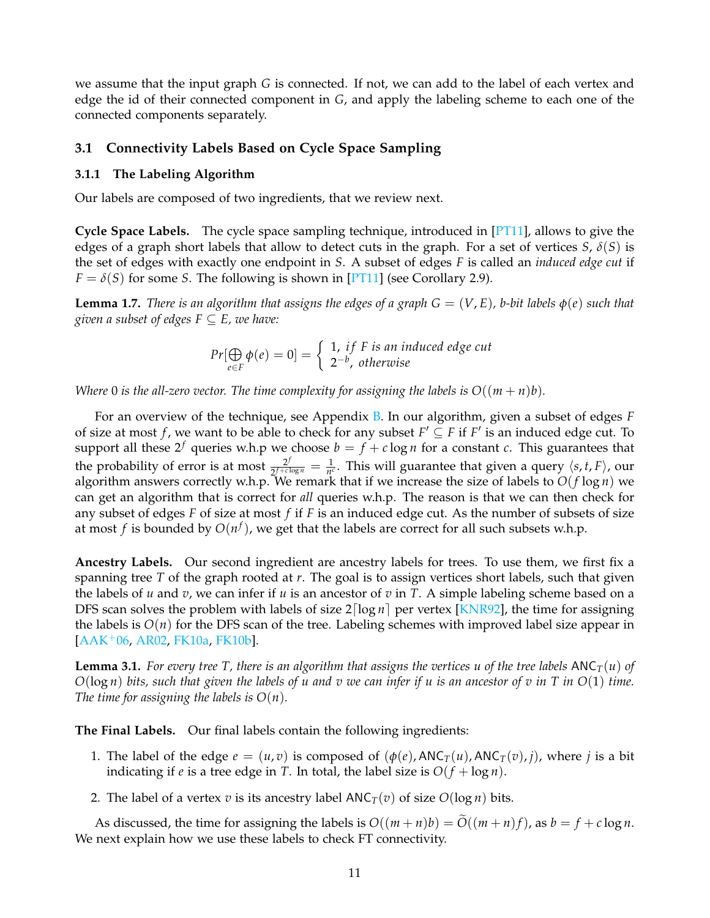we assume that the input graph *G* is connected. If not, we can add to the label of each vertex and edge the id of their connected component in *G*, and apply the labeling scheme to each one of the connected components separately.

### <span id="page-10-0"></span>**3.1 Connectivity Labels Based on Cycle Space Sampling**

#### <span id="page-10-1"></span>**3.1.1 The Labeling Algorithm**

Our labels are composed of two ingredients, that we review next.

**Cycle Space Labels.** The cycle space sampling technique, introduced in [\[PT11\]](#page-33-7), allows to give the edges of a graph short labels that allow to detect cuts in the graph. For a set of vertices *S*, *δ*(*S*) is the set of edges with exactly one endpoint in *S*. A subset of edges *F* is called an *induced edge cut* if  $F = \delta(S)$  for some *S*. The following is shown in [\[PT11\]](#page-33-7) (see Corollary 2.9).

**Lemma 1.7.** *There is an algorithm that assigns the edges of a graph*  $G = (V, E)$ *, b-bit labels*  $\phi(e)$  *such that given a subset of edges*  $F \subseteq E$ *, we have:* 

$$
Pr[\bigoplus_{e \in F} \phi(e) = 0] = \begin{cases} 1, & if F is an induced edge cut \\ 2^{-b}, & otherwise \end{cases}
$$

*Where* 0 *is the all-zero vector. The time complexity for assigning the labels is*  $O((m + n)b)$ *.* 

For an overview of the technique, see Appendix [B.](#page-33-1) In our algorithm, given a subset of edges *F* of size at most *f*, we want to be able to check for any subset  $F' \subseteq F$  if  $F'$  is an induced edge cut. To support all these 2<sup>*f*</sup> queries w.h.p we choose  $b = f + c \log n$  for a constant *c*. This guarantees that the probability of error is at most  $\frac{2^j}{2^{f+c}}$  $\frac{2^f}{2^f + c \log n} = \frac{1}{n^c}$ . This will guarantee that given a query  $\langle s, t, F \rangle$ , our algorithm answers correctly w.h.p. We remark that if we increase the size of labels to  $O(f \log n)$  we can get an algorithm that is correct for *all* queries w.h.p. The reason is that we can then check for any subset of edges *F* of size at most *f* if *F* is an induced edge cut. As the number of subsets of size at most  $f$  is bounded by  $O(n^f)$ , we get that the labels are correct for all such subsets w.h.p.

**Ancestry Labels.** Our second ingredient are ancestry labels for trees. To use them, we first fix a spanning tree *T* of the graph rooted at *r*. The goal is to assign vertices short labels, such that given the labels of *u* and *v*, we can infer if *u* is an ancestor of *v* in *T*. A simple labeling scheme based on a DFS scan solves the problem with labels of size  $2\lfloor \log n \rfloor$  per vertex [\[KNR92\]](#page-32-0), the time for assigning the labels is *O*(*n*) for the DFS scan of the tree. Labeling schemes with improved label size appear in [\[AAK](#page-30-3)+06, [AR02,](#page-30-4) [FK10a,](#page-31-12) [FK10b\]](#page-32-11).

<span id="page-10-3"></span>**Lemma 3.1.** For every tree T, there is an algorithm that assigns the vertices u of the tree labels  $ANC_T(u)$  of *O*(log *n*) *bits, such that given the labels of u and v we can infer if u is an ancestor of v in T in O*(1) *time. The time for assigning the labels is O*(*n*)*.*

**The Final Labels.** Our final labels contain the following ingredients:

- 1. The label of the edge  $e = (u, v)$  is composed of  $(\phi(e), \text{ANC}_T(u), \text{ANC}_T(v), j)$ , where *j* is a bit indicating if *e* is a tree edge in *T*. In total, the label size is  $O(f + \log n)$ .
- 2. The label of a vertex *v* is its ancestry label  $\text{ANC}_T(v)$  of size  $O(\log n)$  bits.

<span id="page-10-2"></span>As discussed, the time for assigning the labels is  $O((m+n)b) = O((m+n)f)$ , as  $b = f + c \log n$ . We next explain how we use these labels to check FT connectivity.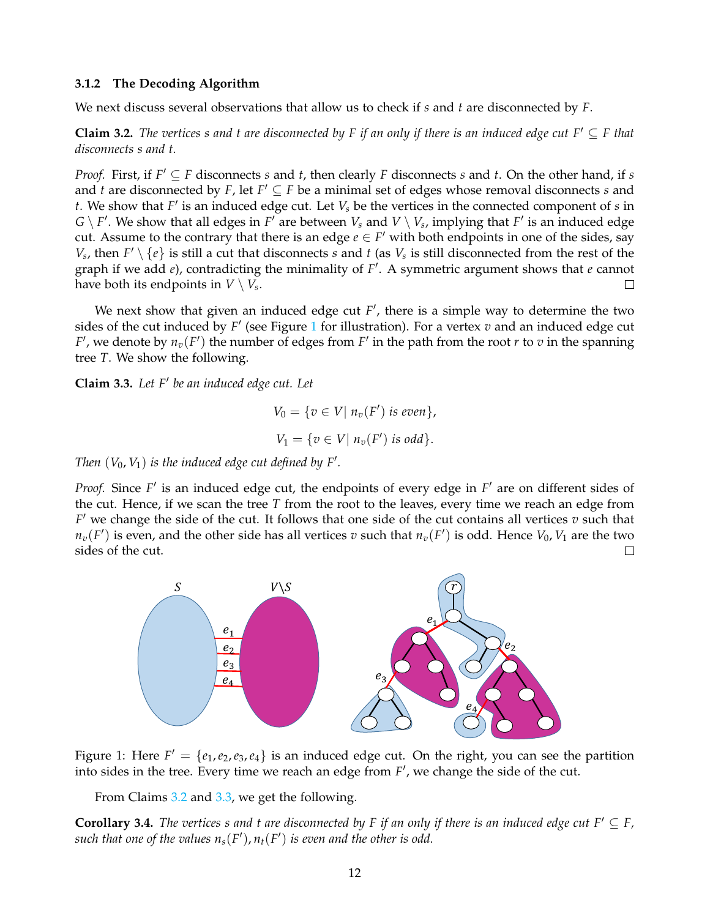#### **3.1.2 The Decoding Algorithm**

We next discuss several observations that allow us to check if *s* and *t* are disconnected by *F*.

<span id="page-11-1"></span>**Claim 3.2.** *The vertices s and t are disconnected by F if an only if there is an induced edge cut F'*  $\subseteq$  *F that disconnects s and t.*

*Proof.* First, if  $F' \subseteq F$  disconnects *s* and *t*, then clearly *F* disconnects *s* and *t*. On the other hand, if *s* and *t* are disconnected by *F*, let  $F' \subseteq F$  be a minimal set of edges whose removal disconnects *s* and  $t$ . We show that  $F'$  is an induced edge cut. Let  $V_s$  be the vertices in the connected component of  $s$  in  $G \setminus F'$ . We show that all edges in  $F'$  are between  $V_s$  and  $V \setminus V_s$ , implying that  $F'$  is an induced edge cut. Assume to the contrary that there is an edge  $e \in F'$  with both endpoints in one of the sides, say *V*<sub>*s*</sub>, then  $F' \setminus \{e\}$  is still a cut that disconnects *s* and *t* (as *V*<sub>*s*</sub> is still disconnected from the rest of the graph if we add *e*), contradicting the minimality of F'. A symmetric argument shows that *e* cannot have both its endpoints in  $V \setminus V_s.$ 

We next show that given an induced edge cut  $F'$ , there is a simple way to determine the two sides of the cut induced by  $F'$  (see Figure [1](#page-11-0) for illustration). For a vertex  $v$  and an induced edge cut *F*', we denote by  $n_v(F)$  the number of edges from *F*<sup>'</sup> in the path from the root *r* to *v* in the spanning tree *T*. We show the following.

<span id="page-11-2"></span>**Claim 3.3.** Let F' be an induced edge cut. Let

<span id="page-11-0"></span>
$$
V_0 = \{ v \in V | n_v(F') \text{ is even} \},
$$
  

$$
V_1 = \{ v \in V | n_v(F') \text{ is odd} \}.
$$

*Then*  $(V_0, V_1)$  *is the induced edge cut defined by F'.* 

*Proof.* Since F' is an induced edge cut, the endpoints of every edge in F' are on different sides of the cut. Hence, if we scan the tree *T* from the root to the leaves, every time we reach an edge from  $F'$  we change the side of the cut. It follows that one side of the cut contains all vertices  $v$  such that  $n_v(F')$  is even, and the other side has all vertices  $v$  such that  $n_v(F')$  is odd. Hence  $V_0$ ,  $V_1$  are the two sides of the cut. П



Figure 1: Here  $F' = \{e_1, e_2, e_3, e_4\}$  is an induced edge cut. On the right, you can see the partition into sides in the tree. Every time we reach an edge from  $F'$ , we change the side of the cut.

From Claims [3.2](#page-11-1) and [3.3,](#page-11-2) we get the following.

<span id="page-11-3"></span>**Corollary 3.4.** *The vertices s and t are disconnected by F if an only if there is an induced edge cut F'*  $\subseteq$  *F*, such that one of the values  $n_s(F')$ ,  $n_t(F')$  is even and the other is odd.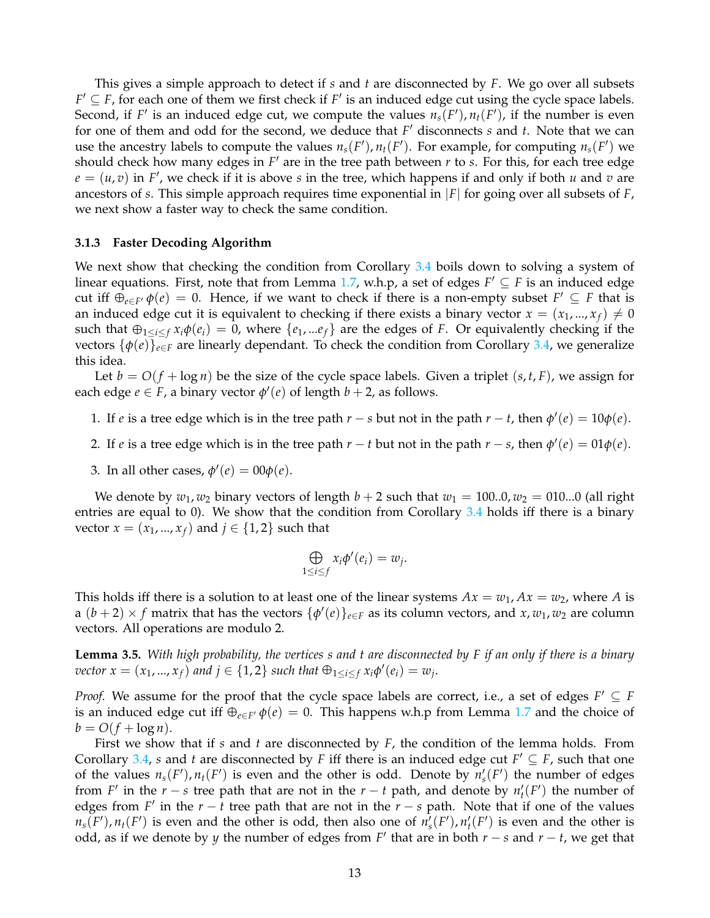This gives a simple approach to detect if *s* and *t* are disconnected by *F*. We go over all subsets  $F' \subseteq F$ , for each one of them we first check if  $F'$  is an induced edge cut using the cycle space labels. Second, if  $F'$  is an induced edge cut, we compute the values  $n_s(F')$ ,  $n_t(F')$ , if the number is even for one of them and odd for the second, we deduce that *F*' disconnects *s* and *t*. Note that we can use the ancestry labels to compute the values  $n_s(F')$ ,  $n_t(F')$ . For example, for computing  $n_s(F')$  we should check how many edges in *F'* are in the tree path between *r* to *s*. For this, for each tree edge  $e = (u, v)$  in *F*<sup>'</sup>, we check if it is above *s* in the tree, which happens if and only if both *u* and *v* are ancestors of *s*. This simple approach requires time exponential in |*F*| for going over all subsets of *F*, we next show a faster way to check the same condition.

#### <span id="page-12-0"></span>**3.1.3 Faster Decoding Algorithm**

We next show that checking the condition from Corollary [3.4](#page-11-3) boils down to solving a system of linear equations. First, note that from Lemma [1.7,](#page-5-1) w.h.p, a set of edges  $F' \subseteq F$  is an induced edge cut iff  $\oplus_{e\in F'} \phi(e) = 0$ . Hence, if we want to check if there is a non-empty subset  $F' \subseteq F$  that is an induced edge cut it is equivalent to checking if there exists a binary vector  $x = (x_1, ..., x_f) \neq 0$ such that  $\bigoplus_{1\leq i\leq f} x_i \phi(e_i) = 0$ , where  $\{e_1, ... e_f\}$  are the edges of *F*. Or equivalently checking if the vectors  $\{\phi(e)\}_{e \in F}$  are linearly dependant. To check the condition from Corollary [3.4,](#page-11-3) we generalize this idea.

Let  $b = O(f + \log n)$  be the size of the cycle space labels. Given a triplet  $(s, t, F)$ , we assign for each edge  $e \in F$ , a binary vector  $\phi'(e)$  of length  $b + 2$ , as follows.

- 1. If *e* is a tree edge which is in the tree path  $r s$  but not in the path  $r t$ , then  $\phi'(e) = 10\phi(e)$ .
- 2. If *e* is a tree edge which is in the tree path  $r t$  but not in the path  $r s$ , then  $\phi'(e) = 01\phi(e)$ .
- 3. In all other cases,  $\phi'(e) = 00\phi(e)$ .

We denote by  $w_1, w_2$  binary vectors of length  $b + 2$  such that  $w_1 = 100..0, w_2 = 010...0$  (all right entries are equal to 0). We show that the condition from Corollary  $3.4$  holds iff there is a binary *vector*  $x = (x_1, ..., x_f)$  and  $j \in \{1, 2\}$  such that

$$
\bigoplus_{1\leq i\leq f}x_i\phi'(e_i)=w_j.
$$

This holds iff there is a solution to at least one of the linear systems  $Ax = w_1$ ,  $Ax = w_2$ , where *A* is a  $(b+2) \times f$  matrix that has the vectors  $\{\phi'(e)\}_{e \in F}$  as its column vectors, and  $x, w_1, w_2$  are column vectors. All operations are modulo 2.

**Lemma 3.5.** *With high probability, the vertices s and t are disconnected by F if an only if there is a binary*  $\text{vector } x = (x_1, ..., x_f)$  and  $j \in \{1, 2\}$  such that  $\bigoplus_{1 \leq i \leq f} x_i \phi'(e_i) = w_j$ .

*Proof.* We assume for the proof that the cycle space labels are correct, i.e., a set of edges  $F' \subseteq F$ is an induced edge cut iff  $\oplus_{e \in F'} \phi(e) = 0$ . This happens w.h.p from Lemma [1.7](#page-5-1) and the choice of  $b = O(f + \log n)$ .

First we show that if *s* and *t* are disconnected by *F*, the condition of the lemma holds. From Corollary [3.4,](#page-11-3) *s* and *t* are disconnected by *F* iff there is an induced edge cut  $F' \subseteq F$ , such that one of the values  $n_s(F')$ ,  $n_t(F')$  is even and the other is odd. Denote by  $n_s'(F')$  the number of edges from *F'* in the *r* − *s* tree path that are not in the *r* − *t* path, and denote by  $n'_{t}(F')$  the number of edges from *F'* in the  $r - t$  tree path that are not in the  $r - s$  path. Note that if one of the values  $n_s(F')$ ,  $n_t(F')$  is even and the other is odd, then also one of  $n_s(F')$ ,  $n_t'(F')$  is even and the other is odd, as if we denote by *y* the number of edges from  $F'$  that are in both  $r - s$  and  $r - t$ , we get that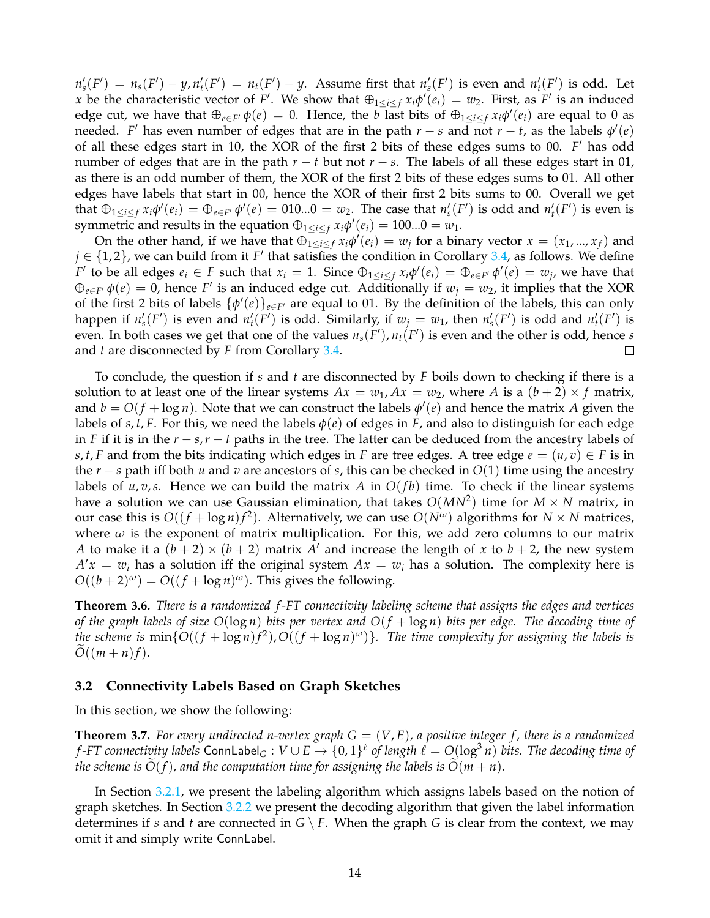$n_s'(F') = n_s(F') - y$ ,  $n_t'(F') = n_t(F') - y$ . Assume first that  $n_s'(F')$  is even and  $n_t'(F')$  is odd. Let x be the characteristic vector of *F*<sup>'</sup>. We show that  $\bigoplus_{1\leq i\leq f} x_i \phi'(e_i) = w_2$ . First, as *F*<sup>'</sup> is an induced edge cut, we have that  $\oplus_{e \in F'} \phi(e) = 0$ . Hence, the *b* last bits of  $\oplus_{1 \leq i \leq f} x_i \phi'(e_i)$  are equal to 0 as needed. *F*' has even number of edges that are in the path  $r - s$  and not  $r - t$ , as the labels  $\phi'(e)$ of all these edges start in 10, the XOR of the first 2 bits of these edges sums to 00. F' has odd number of edges that are in the path  $r - t$  but not  $r - s$ . The labels of all these edges start in 01, as there is an odd number of them, the XOR of the first 2 bits of these edges sums to 01. All other edges have labels that start in 00, hence the XOR of their first 2 bits sums to 00. Overall we get that  $\bigoplus_{1\leq i\leq f}x_i\phi'(e_i)=\bigoplus_{e\in F'}\phi'(e)=010...0=w_2$ . The case that  $n'_s(F')$  is odd and  $n'_t(F')$  is even is symmetric and results in the equation  $\bigoplus_{1 \leq i \leq f} x_i \phi'(e_i) = 100...0 = w_1$ .

On the other hand, if we have that  $\bigoplus_{1\leq i\leq f} x_i \phi'(e_i) = w_j$  for a binary vector  $x = (x_1, ..., x_f)$  and  $j \in \{1,2\}$ , we can build from it *F*' that satisfies the condition in Corollary [3.4,](#page-11-3) as follows. We define F' to be all edges  $e_i \in F$  such that  $x_i = 1$ . Since  $\bigoplus_{1 \leq i \leq f} x_i \phi'(e_i) = \bigoplus_{e \in F'} \phi'(e) = w_j$ , we have that  $\bigoplus_{e \in F'} \phi(e) = 0$ , hence *F*' is an induced edge cut. Additionally if  $w_j = w_2$ , it implies that the XOR of the first 2 bits of labels  $\{\phi'(e)\}_{e \in F'}$  are equal to 01. By the definition of the labels, this can only happen if  $n_s'(F')$  is even and  $n_t'(F')$  is odd. Similarly, if  $w_j = w_1$ , then  $n_s'(F')$  is odd and  $n_t'(F')$  is even. In both cases we get that one of the values  $n_s(F')$ ,  $n_t(F')$  is even and the other is odd, hence *s* and *t* are disconnected by *F* from Corollary [3.4.](#page-11-3)  $\Box$ 

To conclude, the question if *s* and *t* are disconnected by *F* boils down to checking if there is a solution to at least one of the linear systems  $Ax = w_1$ ,  $Ax = w_2$ , where A is a  $(b+2) \times f$  matrix, and  $b = O(f + \log n)$ . Note that we can construct the labels  $\phi'(e)$  and hence the matrix *A* given the labels of *s*, *t*, *F*. For this, we need the labels  $\phi(e)$  of edges in *F*, and also to distinguish for each edge in *F* if it is in the *r* − *s*,*r* − *t* paths in the tree. The latter can be deduced from the ancestry labels of *s*, *t*, *F* and from the bits indicating which edges in *F* are tree edges. A tree edge  $e = (u, v) \in F$  is in the *r* − *s* path iff both *u* and *v* are ancestors of *s*, this can be checked in *O*(1) time using the ancestry labels of  $u, v, s$ . Hence we can build the matrix A in  $O(fb)$  time. To check if the linear systems have a solution we can use Gaussian elimination, that takes  $O(MN^2)$  time for  $M\times N$  matrix, in our case this is  $O((f + \log n)f^2)$ . Alternatively, we can use  $O(N^{\omega})$  algorithms for  $N \times N$  matrices, where  $\omega$  is the exponent of matrix multiplication. For this, we add zero columns to our matrix *A* to make it a  $(b+2) \times (b+2)$  matrix *A'* and increase the length of *x* to  $b+2$ , the new system  $A'x = w_i$  has a solution iff the original system  $Ax = w_i$  has a solution. The complexity here is  $O((b+2)^\omega) = O((f + \log n)^\omega)$ . This gives the following.

**Theorem 3.6.** *There is a randomized f -FT connectivity labeling scheme that assigns the edges and vertices of the graph labels of size O*(log *n*) *bits per vertex and O*(*f* + log *n*) *bits per edge. The decoding time of the scheme is*  $\min\{O((f + \log n)f^2), O((f + \log n)^{\omega})\}$ . The time complexity for assigning the labels is  $O((m+n)f).$ 

### <span id="page-13-0"></span>**3.2 Connectivity Labels Based on Graph Sketches**

In this section, we show the following:

**Theorem 3.7.** For every undirected n-vertex graph  $G = (V, E)$ , a positive integer f, there is a randomized *f*-FT connectivity labels  ${\sf ConnLabel}_G: V\cup E\to \{0,1\}^\ell$  of length  $\ell=O(\log^3 n)$  bits. The decoding time of *the scheme is*  $O(f)$ *, and the computation time for assigning the labels is*  $O(m + n)$ *.* 

<span id="page-13-1"></span>In Section [3.2.1,](#page-13-1) we present the labeling algorithm which assigns labels based on the notion of graph sketches. In Section [3.2.2](#page-15-0) we present the decoding algorithm that given the label information determines if *s* and *t* are connected in  $G \setminus F$ . When the graph *G* is clear from the context, we may omit it and simply write ConnLabel.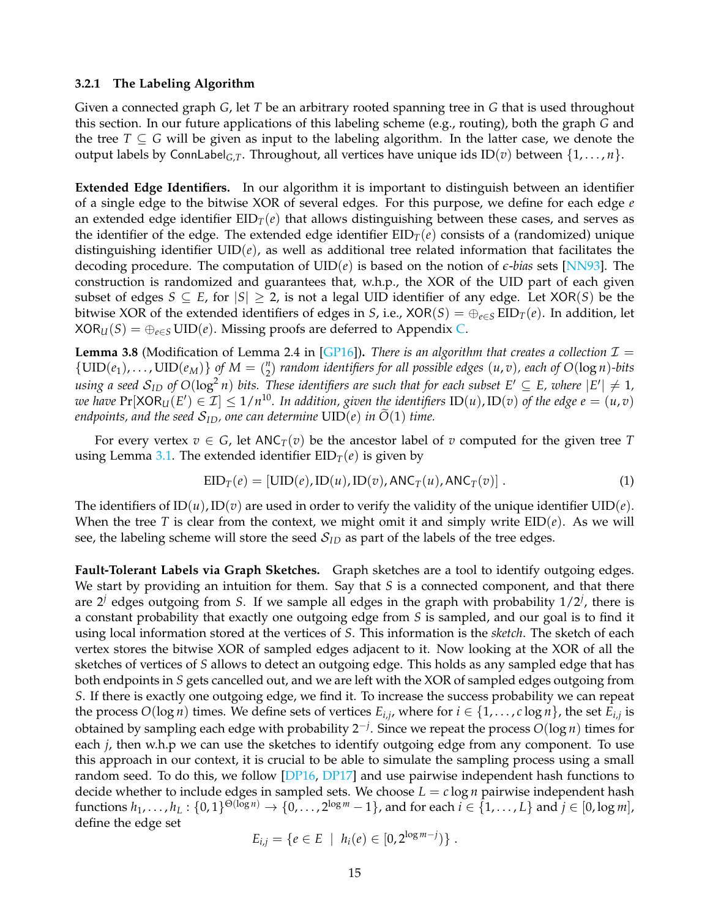#### **3.2.1 The Labeling Algorithm**

Given a connected graph *G*, let *T* be an arbitrary rooted spanning tree in *G* that is used throughout this section. In our future applications of this labeling scheme (e.g., routing), both the graph *G* and the tree  $T \subseteq G$  will be given as input to the labeling algorithm. In the latter case, we denote the output labels by ConnLabel*G*,*T*. Throughout, all vertices have unique ids ID(*v*) between {1, . . . , *n*}.

**Extended Edge Identifiers.** In our algorithm it is important to distinguish between an identifier of a single edge to the bitwise XOR of several edges. For this purpose, we define for each edge *e* an extended edge identifier EID*T*(*e*) that allows distinguishing between these cases, and serves as the identifier of the edge. The extended edge identifier  $EID<sub>T</sub>(e)$  consists of a (randomized) unique distinguishing identifier  $UID(e)$ , as well as additional tree related information that facilitates the decoding procedure. The computation of UID(*e*) is based on the notion of *e*-*bias* sets [\[NN93\]](#page-32-12). The construction is randomized and guarantees that, w.h.p., the XOR of the UID part of each given subset of edges  $S \subseteq E$ , for  $|S| \geq 2$ , is not a legal UID identifier of any edge. Let XOR(S) be the bitwise XOR of the extended identifiers of edges in *S*, i.e., XOR(*S*) =  $\bigoplus_{e \in S}$  EID<sub>*T*</sub>(*e*). In addition, let  $XOR_U(S) = \bigoplus_{e \in S} \text{UID}(e)$ . Missing proofs are deferred to Appendix [C.](#page-34-0)

<span id="page-14-1"></span>**Lemma 3.8** (Modification of Lemma 2.4 in [\[GP16\]](#page-32-7)). *There is an algorithm that creates a collection*  $\mathcal{I} =$  $\{UID(e_1), \ldots, UN(e_M)\}$  of  $M = \binom{n}{2}$ 2 ) *random identifiers for all possible edges* (*u*, *v*)*, each of O*(log *n*)*-bits*  $u$ sing a seed  $\mathcal{S}_{ID}$  of  $O(\log^2 n)$  bits. These identifiers are such that for each subset  $E'\subseteq E$ , where  $|E'|\neq 1$ ,  $\alpha$  *we have*  $\Pr[\text{XOR}_U(E') \in \mathcal{I}] \leq 1/n^{10}$ . In addition, given the identifiers  $\text{ID}(u)$ ,  $\text{ID}(v)$  of the edge  $e = (u, v)$ *endpoints, and the seed*  $S_{ID}$ *, one can determine*  $UID(e)$  *in*  $\tilde{O}(1)$  *time.* 

For every vertex  $v \in G$ , let  $\text{ANC}_T(v)$  be the ancestor label of v computed for the given tree T using Lemma [3.1.](#page-10-3) The extended identifier  $EID_T(e)$  is given by

<span id="page-14-0"></span>
$$
EID_T(e) = [UID(e), ID(u), ID(v), ANC_T(u), ANC_T(v)].
$$
\n(1)

The identifiers of  $ID(u)$ ,  $ID(v)$  are used in order to verify the validity of the unique identifier  $UID(e)$ . When the tree *T* is clear from the context, we might omit it and simply write  $EID(e)$ . As we will see, the labeling scheme will store the seed  $S<sub>ID</sub>$  as part of the labels of the tree edges.

**Fault-Tolerant Labels via Graph Sketches.** Graph sketches are a tool to identify outgoing edges. We start by providing an intuition for them. Say that *S* is a connected component, and that there are 2*<sup>j</sup>* edges outgoing from *S*. If we sample all edges in the graph with probability 1/2*<sup>j</sup>* , there is a constant probability that exactly one outgoing edge from *S* is sampled, and our goal is to find it using local information stored at the vertices of *S*. This information is the *sketch*. The sketch of each vertex stores the bitwise XOR of sampled edges adjacent to it. Now looking at the XOR of all the sketches of vertices of *S* allows to detect an outgoing edge. This holds as any sampled edge that has both endpoints in *S* gets cancelled out, and we are left with the XOR of sampled edges outgoing from *S*. If there is exactly one outgoing edge, we find it. To increase the success probability we can repeat the process  $O(\log n)$  times. We define sets of vertices  $E_{i,j}$ , where for  $i \in \{1, \ldots, c \log n\}$ , the set  $E_{i,j}$  is obtained by sampling each edge with probability 2−*<sup>j</sup>* . Since we repeat the process *O*(log *n*) times for each *j*, then w.h.p we can use the sketches to identify outgoing edge from any component. To use this approach in our context, it is crucial to be able to simulate the sampling process using a small random seed. To do this, we follow [\[DP16,](#page-31-13) [DP17\]](#page-31-3) and use pairwise independent hash functions to decide whether to include edges in sampled sets. We choose  $L = c \log n$  pairwise independent hash  $\text{functions } h_1, \ldots, h_L: \{0, 1\}^{\Theta(\log n)} \to \{0, \ldots, 2^{\log m} - 1\}, \text{and for each } i \in \{1, \ldots, L\} \text{ and } j \in [0, \log m],$ define the edge set

$$
E_{i,j} = \{e \in E \mid h_i(e) \in [0, 2^{\log m - j})\}.
$$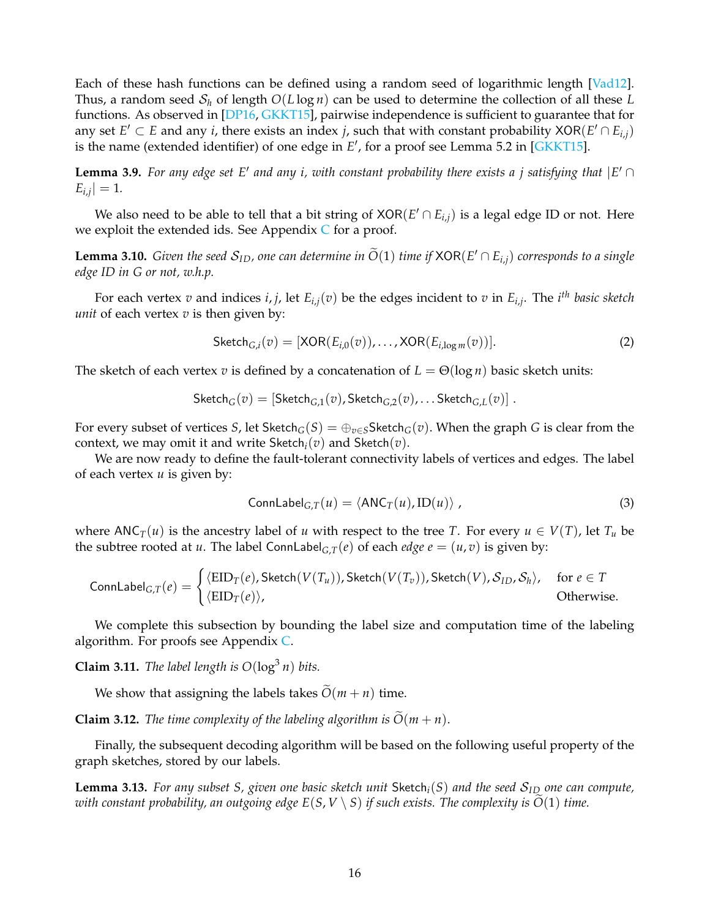Each of these hash functions can be defined using a random seed of logarithmic length [\[Vad12\]](#page-33-11). Thus, a random seed S*<sup>h</sup>* of length *O*(*L* log *n*) can be used to determine the collection of all these *L* functions. As observed in [\[DP16,](#page-31-13) [GKKT15\]](#page-32-4), pairwise independence is sufficient to guarantee that for any set  $E' \subset E$  and any *i*, there exists an index *j*, such that with constant probability XOR( $E' \cap E_{i,j}$ ) is the name (extended identifier) of one edge in  $E'$ , for a proof see Lemma 5.2 in [\[GKKT15\]](#page-32-4).

<span id="page-15-6"></span>**Lemma 3.9.** For any edge set E' and any i, with constant probability there exists a j satisfying that  $|E' \cap$  $E_{i,j}| = 1.$ 

We also need to be able to tell that a bit string of  $XOR(E' \cap E_{i,j})$  is a legal edge ID or not. Here we exploit the extended ids. See Appendix  $C$  for a proof.

<span id="page-15-3"></span>**Lemma 3.10.** *Given the seed*  $S_{ID}$ , one can determine in  $\widetilde{O}(1)$  *time if*  $XOR(E' \cap E_{i,j})$  *corresponds to a single edge ID in G or not, w.h.p.*

For each vertex *v* and indices *i*, *j*, let *Ei*,*j*(*v*) be the edges incident to *v* in *Ei*,*<sup>j</sup>* . The *i th basic sketch unit* of each vertex *v* is then given by:

<span id="page-15-5"></span>
$$
Sketch_{G,i}(v) = [XOR(E_{i,0}(v)), \dots, XOR(E_{i,\log m}(v))].
$$
\n(2)

The sketch of each vertex *v* is defined by a concatenation of  $L = \Theta(\log n)$  basic sketch units:

$$
\mathsf{Sketch}_G(v) = [\mathsf{Sketch}_{G,1}(v), \mathsf{Sketch}_{G,2}(v), \dots \mathsf{Sketch}_{G,L}(v)] .
$$

For every subset of vertices *S*, let Sketch<sub>*G*</sub>(*S*) =  $\bigoplus_{v \in S}$ Sketch<sub>*G*</sub>(*v*). When the graph *G* is clear from the context, we may omit it and write  $\mathsf{Sketch}_i(v)$  and  $\mathsf{Sketch}(v)$ .

We are now ready to define the fault-tolerant connectivity labels of vertices and edges. The label of each vertex *u* is given by:

<span id="page-15-2"></span>
$$
ConnLabel_{G,T}(u) = \langle ANC_T(u), ID(u) \rangle,
$$
\n(3)

where  $\text{ANC}_T(u)$  is the ancestry label of *u* with respect to the tree *T*. For every  $u \in V(T)$ , let  $T_u$  be the subtree rooted at *u*. The label ConnLabel<sub>G,T</sub>(*e*) of each *edge*  $e = (u, v)$  is given by:

$$
\text{ConnLabel}_{G,T}(e) = \begin{cases} \langle \text{EID}_T(e), \text{Sketch}(V(T_u)), \text{Sketch}(V(T_v)), \text{Sketch}(V), \mathcal{S}_{ID}, \mathcal{S}_h \rangle, & \text{for } e \in T \\ \langle \text{EID}_T(e) \rangle, & \text{Otherwise.} \end{cases}
$$

We complete this subsection by bounding the label size and computation time of the labeling algorithm. For proofs see Appendix [C.](#page-34-0)

<span id="page-15-4"></span>**Claim 3.11.** The label length is  $O(log^3 n)$  bits.

We show that assigning the labels takes  $O(m + n)$  time.

<span id="page-15-7"></span>**Claim 3.12.** *The time complexity of the labeling algorithm is*  $\tilde{O}(m + n)$ *.* 

Finally, the subsequent decoding algorithm will be based on the following useful property of the graph sketches, stored by our labels.

<span id="page-15-1"></span><span id="page-15-0"></span>**Lemma 3.13.** *For any subset S, given one basic sketch unit* Sketch*i*(*S*) *and the seed* S*ID one can compute, with constant probability, an outgoing edge*  $E(S, V \setminus S)$  *if such exists. The complexity is*  $\widetilde{O}(1)$  *time.*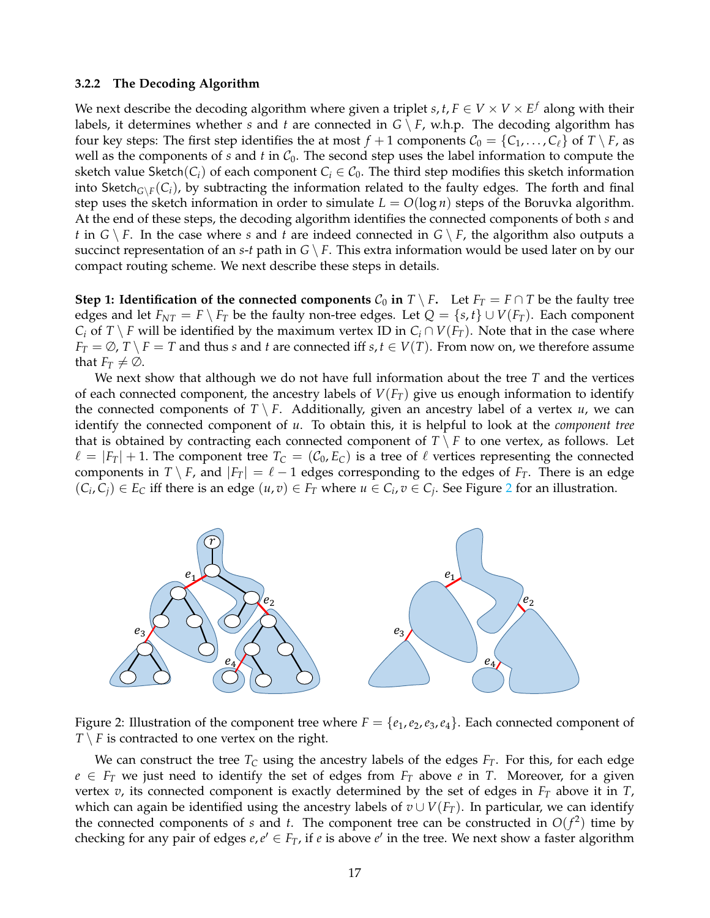#### **3.2.2 The Decoding Algorithm**

We next describe the decoding algorithm where given a triplet  $s, t, F \in V \times V \times E^f$  along with their labels, it determines whether *s* and *t* are connected in  $G \setminus F$ , w.h.p. The decoding algorithm has four key steps: The first step identifies the at most  $f + 1$  components  $C_0 = \{C_1, \ldots, C_\ell\}$  of  $T \setminus F$ , as well as the components of  $s$  and  $t$  in  $C_0$ . The second step uses the label information to compute the sketch value Sketch( $C_i$ ) of each component  $C_i \in C_0$ . The third step modifies this sketch information into Sketch ${}_{G\setminus F}(C_i)$ , by subtracting the information related to the faulty edges. The forth and final step uses the sketch information in order to simulate  $L = O(\log n)$  steps of the Boruvka algorithm. At the end of these steps, the decoding algorithm identifies the connected components of both *s* and *t* in  $G \setminus F$ . In the case where *s* and *t* are indeed connected in  $G \setminus F$ , the algorithm also outputs a succinct representation of an *s*-*t* path in  $G \setminus F$ . This extra information would be used later on by our compact routing scheme. We next describe these steps in details.

**Step 1: Identification of the connected components**  $C_0$  **in**  $T \setminus F$ . Let  $F_T = F \cap T$  be the faulty tree edges and let  $F_{NT} = F \setminus F_T$  be the faulty non-tree edges. Let  $Q = \{s, t\} \cup V(F_T)$ . Each component *C*<sup>*i*</sup> of *T*  $\setminus$  *F* will be identified by the maximum vertex ID in *C*<sup>*i*</sup> ∩ *V*(*F*<sub>*T*</sub>). Note that in the case where  $F_T = \emptyset$ ,  $T \setminus F = T$  and thus *s* and *t* are connected iff *s*,  $t \in V(T)$ . From now on, we therefore assume that  $F_T \neq \emptyset$ .

We next show that although we do not have full information about the tree *T* and the vertices of each connected component, the ancestry labels of  $V(F_T)$  give us enough information to identify the connected components of  $T \setminus F$ . Additionally, given an ancestry label of a vertex  $u$ , we can identify the connected component of *u*. To obtain this, it is helpful to look at the *component tree* that is obtained by contracting each connected component of  $T \setminus F$  to one vertex, as follows. Let  $\ell = |F_T| + 1$ . The component tree  $T_C = (\mathcal{C}_0, E_C)$  is a tree of  $\ell$  vertices representing the connected components in *T* \ *F*, and  $|F_T| = \ell - 1$  edges corresponding to the edges of  $F_T$ . There is an edge  $(C_i, C_j) \in E_C$  iff there is an edge  $(u, v) \in F_T$  where  $u \in C_i$ ,  $v \in C_j$ . See Figure [2](#page-16-0) for an illustration.



<span id="page-16-0"></span>Figure 2: Illustration of the component tree where  $F = \{e_1, e_2, e_3, e_4\}$ . Each connected component of  $T \setminus F$  is contracted to one vertex on the right.

We can construct the tree  $T_C$  using the ancestry labels of the edges  $F_T$ . For this, for each edge  $e \in F_T$  we just need to identify the set of edges from  $F_T$  above *e* in *T*. Moreover, for a given vertex *v*, its connected component is exactly determined by the set of edges in *F<sup>T</sup>* above it in *T*, which can again be identified using the ancestry labels of  $v \cup V(F_T)$ . In particular, we can identify the connected components of *s* and *t*. The component tree can be constructed in  $O(f^2)$  time by checking for any pair of edges  $e, e' \in F_T$ , if  $e$  is above  $e'$  in the tree. We next show a faster algorithm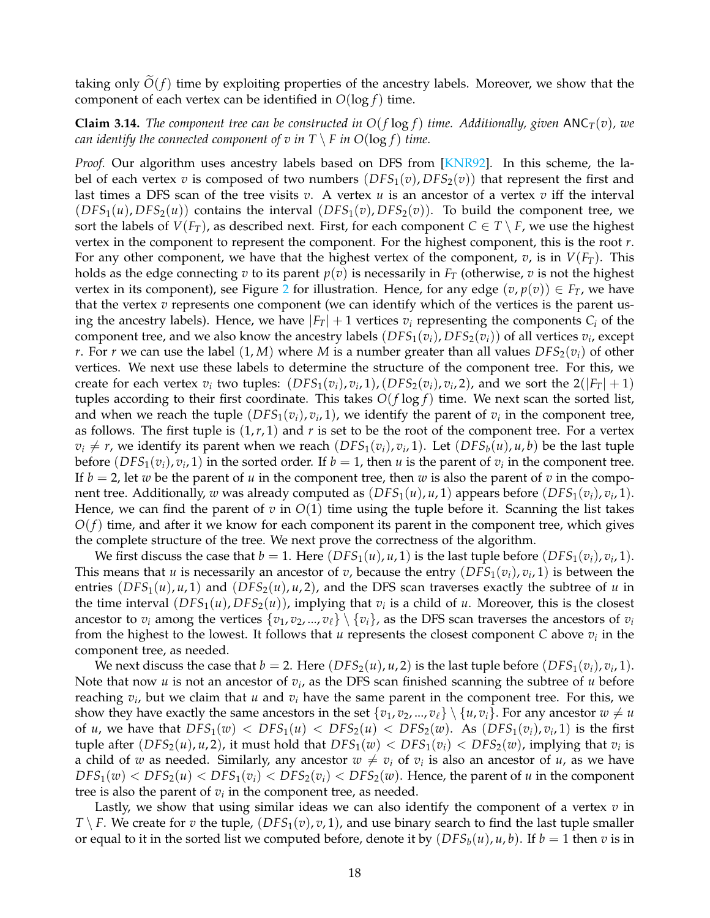taking only  $O(f)$  time by exploiting properties of the ancestry labels. Moreover, we show that the component of each vertex can be identified in  $O(\log f)$  time.

<span id="page-17-0"></span>**Claim 3.14.** *The component tree can be constructed in*  $O(f \log f)$  *time. Additionally, given*  $\text{ANC}_T(v)$ *, we can identify the connected component of v in*  $T \setminus F$  *in*  $O(\log f)$  *time.* 

*Proof.* Our algorithm uses ancestry labels based on DFS from [\[KNR92\]](#page-32-0). In this scheme, the label of each vertex *v* is composed of two numbers  $(DFS<sub>1</sub>(v), DFS<sub>2</sub>(v))$  that represent the first and last times a DFS scan of the tree visits *v*. A vertex *u* is an ancestor of a vertex *v* iff the interval  $(DFS<sub>1</sub>(u), DFS<sub>2</sub>(u))$  contains the interval  $(DFS<sub>1</sub>(v),DFS<sub>2</sub>(v)).$  To build the component tree, we sort the labels of  $V(F_T)$ , as described next. First, for each component  $C \in T \setminus F$ , we use the highest vertex in the component to represent the component. For the highest component, this is the root *r*. For any other component, we have that the highest vertex of the component,  $v$ , is in  $V(F_T)$ . This holds as the edge connecting  $v$  to its parent  $p(v)$  is necessarily in  $F<sub>T</sub>$  (otherwise,  $v$  is not the highest vertex in its component), see Figure [2](#page-16-0) for illustration. Hence, for any edge  $(v, p(v)) \in F_T$ , we have that the vertex *v* represents one component (we can identify which of the vertices is the parent using the ancestry labels). Hence, we have  $|F_T| + 1$  vertices  $v_i$  representing the components  $C_i$  of the component tree, and we also know the ancestry labels  $(DFS_1(v_i), DFS_2(v_i))$  of all vertices  $v_i$ , except *r*. For *r* we can use the label  $(1, M)$  where *M* is a number greater than all values  $DFS_2(v_i)$  of other vertices. We next use these labels to determine the structure of the component tree. For this, we create for each vertex  $v_i$  two tuples:  $(DFS_1(v_i), v_i, 1), (DFS_2(v_i), v_i, 2),$  and we sort the  $2(|F_T| + 1)$ tuples according to their first coordinate. This takes  $O(f \log f)$  time. We next scan the sorted list, and when we reach the tuple  $(DFS_1(v_i), v_i, 1)$ , we identify the parent of  $v_i$  in the component tree, as follows. The first tuple is  $(1,r,1)$  and  $r$  is set to be the root of the component tree. For a vertex  $v_i \neq r$ , we identify its parent when we reach  $(DFS_1(v_i), v_i, 1)$ . Let  $(DFS_b(u), u, b)$  be the last tuple before  $(DFS_1(v_i), v_i, 1)$  in the sorted order. If  $b = 1$ , then *u* is the parent of  $v_i$  in the component tree. If  $b = 2$ , let *w* be the parent of *u* in the component tree, then *w* is also the parent of *v* in the component tree. Additionally,  $w$  was already computed as  $(DFS<sub>1</sub>(u), u, 1)$  appears before  $(DFS<sub>1</sub>(v<sub>i</sub>), v<sub>i</sub>, 1)$ . Hence, we can find the parent of  $v$  in  $O(1)$  time using the tuple before it. Scanning the list takes  $O(f)$  time, and after it we know for each component its parent in the component tree, which gives the complete structure of the tree. We next prove the correctness of the algorithm.

We first discuss the case that  $b = 1$ . Here  $(DFS_1(u), u, 1)$  is the last tuple before  $(DFS_1(v_i), v_i, 1)$ . This means that *u* is necessarily an ancestor of *v*, because the entry  $(DFS<sub>1</sub>(v<sub>i</sub>), v<sub>i</sub>, 1)$  is between the entries  $(DFS_1(u), u, 1)$  and  $(DFS_2(u), u, 2)$ , and the DFS scan traverses exactly the subtree of *u* in the time interval  $(DFS_1(u), DFS_2(u))$ , implying that  $v_i$  is a child of *u*. Moreover, this is the closest ancestor to  $v_i$  among the vertices  $\{v_1, v_2, ..., v_\ell\} \setminus \{v_i\}$ , as the DFS scan traverses the ancestors of  $v_i$ from the highest to the lowest. It follows that *u* represents the closest component *C* above *v<sup>i</sup>* in the component tree, as needed.

We next discuss the case that  $b = 2$ . Here  $(DFS_2(u), u, 2)$  is the last tuple before  $(DFS_1(v_i), v_i, 1)$ . Note that now *u* is not an ancestor of  $v_i$ , as the DFS scan finished scanning the subtree of *u* before reaching *v<sup>i</sup>* , but we claim that *u* and *v<sup>i</sup>* have the same parent in the component tree. For this, we show they have exactly the same ancestors in the set  $\{v_1, v_2, ..., v_\ell\} \setminus \{u, v_i\}$ . For any ancestor  $w \neq u$ of *u*, we have that  $DFS_1(w) < DFS_1(u) < DFS_2(w) < DFS_2(w)$ . As  $(DFS_1(v_i), v_i, 1)$  is the first tuple after  $(DFS_2(u), u, 2)$ , it must hold that  $DFS_1(w) < DFS_1(v_i) < DFS_2(w)$ , implying that  $v_i$  is a child of *w* as needed. Similarly, any ancestor  $w \neq v_i$  of  $v_i$  is also an ancestor of *u*, as we have  $DFS_1(w) < DFS_2(u) < DFS_1(v_i) < DFS_2(v_i) < DFS_2(w)$ . Hence, the parent of *u* in the component tree is also the parent of  $v_i$  in the component tree, as needed.

Lastly, we show that using similar ideas we can also identify the component of a vertex *v* in *T* \ *F*. We create for *v* the tuple,  $(DFS_1(v), v, 1)$ , and use binary search to find the last tuple smaller or equal to it in the sorted list we computed before, denote it by  $(DFS_b(u), u, b)$ . If  $b = 1$  then  $v$  is in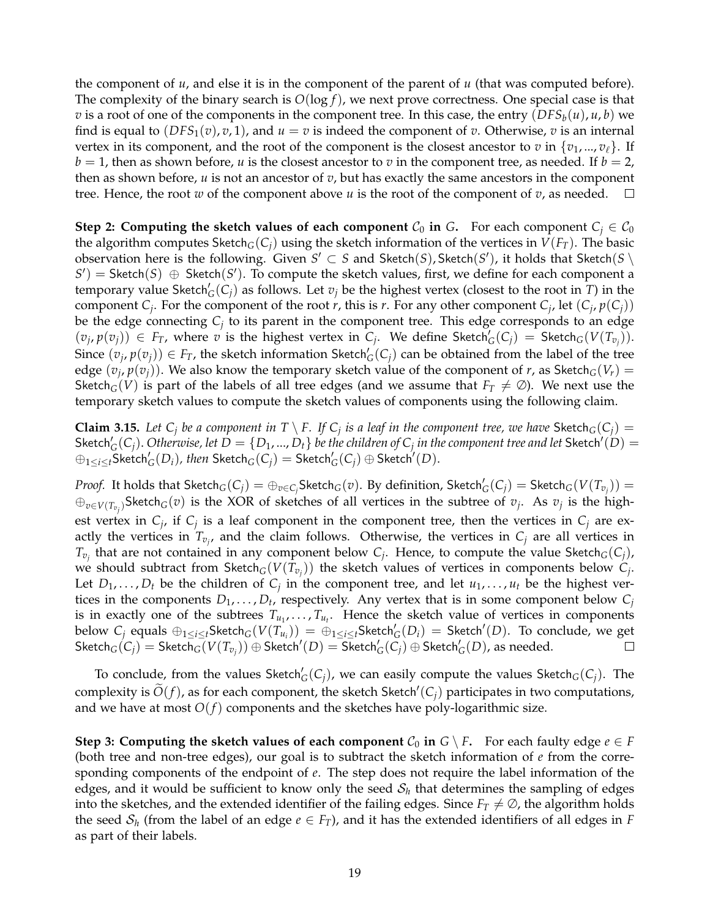the component of *u*, and else it is in the component of the parent of *u* (that was computed before). The complexity of the binary search is *O*(log *f*), we next prove correctness. One special case is that *v* is a root of one of the components in the component tree. In this case, the entry  $(DFS_b(u), u, b)$  we find is equal to  $(DFS_1(v), v, 1)$ , and  $u = v$  is indeed the component of *v*. Otherwise, *v* is an internal vertex in its component, and the root of the component is the closest ancestor to *v* in  $\{v_1, ..., v_\ell\}$ . If  $b = 1$ , then as shown before, *u* is the closest ancestor to *v* in the component tree, as needed. If  $b = 2$ , then as shown before, *u* is not an ancestor of *v*, but has exactly the same ancestors in the component tree. Hence, the root *w* of the component above *u* is the root of the component of *v*, as needed.  $\Box$ 

**Step 2: Computing the sketch values of each component**  $C_0$  in G. For each component  $C_i \in C_0$ the algorithm computes Sketch<sub>*G*</sub>(*C<sub>i</sub>*) using the sketch information of the vertices in  $V(F_T)$ . The basic observation here is the following. Given  $S' \subset S$  and  $\mathsf{Sketch}(S)$ ,  $\mathsf{Sketch}(S')$ , it holds that  $\mathsf{Sketch}(S \setminus S')$  $S'$ ) = Sketch(*S*)  $\oplus$  Sketch(*S'*). To compute the sketch values, first, we define for each component a temporary value Sketch $G'(C_j)$  as follows. Let  $v_j$  be the highest vertex (closest to the root in *T*) in the component  $C_j$ . For the component of the root *r*, this is *r*. For any other component  $C_j$ , let  $(C_j, p(C_j))$ be the edge connecting  $C_j$  to its parent in the component tree. This edge corresponds to an edge  $(v_j, p(v_j)) \in F_T$ , where v is the highest vertex in  $C_j$ . We define Sketch $\zeta(C_j) =$  Sketch $\zeta(V(T_{v_j}))$ . Since  $(v_j, p(v_j)) \in F_T$ , the sketch information Sketch'<sub>G</sub>(C<sub>j</sub>) can be obtained from the label of the tree edge  $(v_j, p(v_j))$ . We also know the temporary sketch value of the component of *r*, as Sketch<sub>*G*</sub>(*V<sub>r</sub>*) = Sketch<sub>G</sub>(*V*) is part of the labels of all tree edges (and we assume that  $F_T \neq \emptyset$ ). We next use the temporary sketch values to compute the sketch values of components using the following claim.

**Claim 3.15.** Let  $C_j$  be a component in  $T \setminus F$ . If  $C_j$  is a leaf in the component tree, we have Sketch<sub>G</sub>( $C_j$ ) =  $\mathsf{Sketch}_G'(C_j)$ . Otherwise, let  $D = \{D_1,...,D_t\}$  be the children of  $C_j$  in the component tree and let  $\mathsf{Sketch}'(D) = 0$  $\oplus_{1\leq i\leq t}$ Sketch $'_G(D_i)$ *, then* Sketch $_G(C_j)=$  Sketch $'_G(C_j)\oplus$  Sketch $'(D)$ .

*Proof.* It holds that  $\mathsf{Sketch}_G(C_j) = \oplus_{v \in C_j} \mathsf{Sketch}_G(v)$ . By definition,  $\mathsf{Sketch}_G'(C_j) = \mathsf{Sketch}_G(V(T_{v_j})) = \emptyset$  $⊕_{v∈V(T_{v_j})}$ Sketch<sub>*G*</sub>(*v*) is the XOR of sketches of all vertices in the subtree of *v<sub>j</sub>*. As *v<sub>j</sub>* is the highest vertex in  $C_j$ , if  $C_j$  is a leaf component in the component tree, then the vertices in  $C_j$  are exactly the vertices in  $T_{v_j}$ , and the claim follows. Otherwise, the vertices in  $C_j$  are all vertices in *Tvj* that are not contained in any component below *C<sup>j</sup>* . Hence, to compute the value Sketch*G*(*Cj*), we should subtract from  $\mathsf{Sketch}_G(V(T_{v_j}))$  the sketch values of vertices in components below  $C_j$ . Let  $D_1, \ldots, D_t$  be the children of  $C_j$  in the component tree, and let  $u_1, \ldots, u_t$  be the highest vertices in the components  $D_1, \ldots, D_t$ , respectively. Any vertex that is in some component below  $C_j$ is in exactly one of the subtrees  $T_{u_1}, \ldots, T_{u_t}$ . Hence the sketch value of vertices in components  $\text{below } C_j \text{ equals } \oplus_{1\leq i\leq t} \text{Sketch}_G(V(T_{u_i})) = \oplus_{1\leq i\leq t} \text{Sketch}_G'(D_i) = \text{Sketch}'(D).$  To conclude, we get  $\operatorname{Sketch}_G(C_j) = \operatorname{Sketch}_G(V(T_{v_j})) \oplus \operatorname{Sketch}'(D) = \operatorname{\overline{Sketch}}'_G(\widetilde{C_j}) \oplus \operatorname{Sketch}'_G(D)$ , as needed.  $\Box$ 

To conclude, from the values Sketch $\zeta(G_j)$ , we can easily compute the values Sketch $_G(C_j)$ . The complexity is  $\widetilde{O}(f)$ , as for each component, the sketch Sketch'( $C_j$ ) participates in two computations, and we have at most  $O(f)$  components and the sketches have poly-logarithmic size.

**Step 3: Computing the sketch values of each component**  $C_0$  in  $G \setminus F$ . For each faulty edge  $e \in F$ (both tree and non-tree edges), our goal is to subtract the sketch information of *e* from the corresponding components of the endpoint of *e*. The step does not require the label information of the edges, and it would be sufficient to know only the seed  $\mathcal{S}_h$  that determines the sampling of edges into the sketches, and the extended identifier of the failing edges. Since  $F_T \neq \emptyset$ , the algorithm holds the seed  $S_h$  (from the label of an edge  $e \in F_T$ ), and it has the extended identifiers of all edges in  $F$ as part of their labels.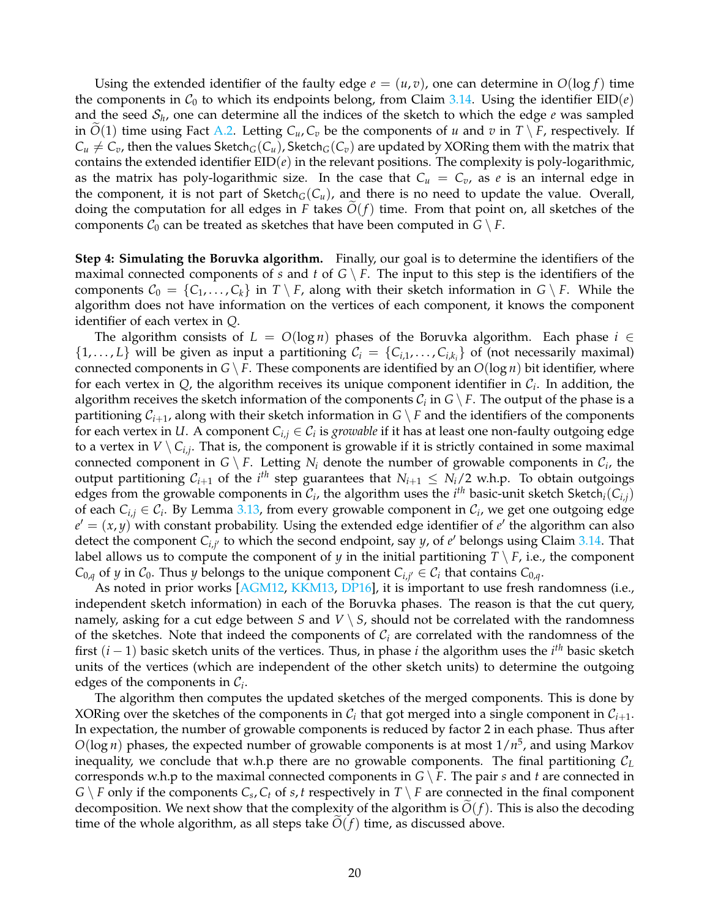Using the extended identifier of the faulty edge  $e = (u, v)$ , one can determine in  $O(\log f)$  time the components in  $C_0$  to which its endpoints belong, from Claim [3.14.](#page-17-0) Using the identifier  $EID(e)$ and the seed  $S_h$ , one can determine all the indices of the sketch to which the edge  $e$  was sampled in  $O(1)$  time using Fact [A.2.](#page-33-12) Letting  $C_u$ ,  $C_v$  be the components of *u* and *v* in  $T \setminus F$ , respectively. If  $C_u \neq C_v$ , then the values Sketch<sub>*G*</sub>( $C_u$ ), Sketch<sub>*G*</sub>( $C_v$ ) are updated by XORing them with the matrix that contains the extended identifier  $EID(e)$  in the relevant positions. The complexity is poly-logarithmic, as the matrix has poly-logarithmic size. In the case that  $C_u = C_v$ , as *e* is an internal edge in the component, it is not part of  $\text{Sketch}_G(C_u)$ , and there is no need to update the value. Overall, doing the computation for all edges in *F* takes  $O(f)$  time. From that point on, all sketches of the components  $\mathcal{C}_0$  can be treated as sketches that have been computed in  $G \setminus F$ .

**Step 4: Simulating the Boruvka algorithm.** Finally, our goal is to determine the identifiers of the maximal connected components of *s* and *t* of  $G \setminus F$ . The input to this step is the identifiers of the components  $C_0 = \{C_1, \ldots, C_k\}$  in  $T \setminus F$ , along with their sketch information in  $G \setminus F$ . While the algorithm does not have information on the vertices of each component, it knows the component identifier of each vertex in *Q*.

The algorithm consists of  $L = O(\log n)$  phases of the Boruvka algorithm. Each phase  $i \in$  $\{1, \ldots, L\}$  will be given as input a partitioning  $C_i = \{C_{i,1}, \ldots, C_{i,k_i}\}\$  of (not necessarily maximal) connected components in  $G \setminus F$ . These components are identified by an  $O(\log n)$  bit identifier, where for each vertex in  $Q$ , the algorithm receives its unique component identifier in  $C_i$ . In addition, the algorithm receives the sketch information of the components  $\mathcal{C}_i$  in  $G \setminus F.$  The output of the phase is a partitioning  $C_{i+1}$ , along with their sketch information in  $G \setminus F$  and the identifiers of the components for each vertex in *U*. A component  $C_{i,j} \in C_i$  is *growable* if it has at least one non-faulty outgoing edge to a vertex in  $V \setminus C_{i,j}$ . That is, the component is growable if it is strictly contained in some maximal connected component in  $G \setminus F$ . Letting  $N_i$  denote the number of growable components in  $\mathcal{C}_i$ , the output partitioning  $C_{i+1}$  of the  $i^{th}$  step guarantees that  $N_{i+1} \le N_i/2$  w.h.p. To obtain outgoings edges from the growable components in  $\mathcal{C}_i$ , the algorithm uses the  $i^{th}$  basic-unit sketch Sketch $_i(C_{i,j})$ of each  $C_{i,j} \in \mathcal{C}_i$ . By Lemma [3.13,](#page-15-1) from every growable component in  $\mathcal{C}_i$ , we get one outgoing edge  $e' = (x, y)$  with constant probability. Using the extended edge identifier of  $e'$  the algorithm can also detect the component  $C_{i,j'}$  to which the second endpoint, say *y*, of *e'* belongs using Claim [3.14.](#page-17-0) That label allows us to compute the component of *y* in the initial partitioning  $T \setminus F$ , i.e., the component  $C_{0,q}$  of *y* in  $C_0$ . Thus *y* belongs to the unique component  $C_{i,j'} \in C_i$  that contains  $C_{0,q}$ .

As noted in prior works [\[AGM12,](#page-30-1) [KKM13,](#page-32-2) [DP16\]](#page-31-13), it is important to use fresh randomness (i.e., independent sketch information) in each of the Boruvka phases. The reason is that the cut query, namely, asking for a cut edge between *S* and  $V \setminus S$ , should not be correlated with the randomness of the sketches. Note that indeed the components of  $C<sub>i</sub>$  are correlated with the randomness of the first (*i* − 1) basic sketch units of the vertices. Thus, in phase *i* the algorithm uses the *i th* basic sketch units of the vertices (which are independent of the other sketch units) to determine the outgoing edges of the components in C*<sup>i</sup>* .

The algorithm then computes the updated sketches of the merged components. This is done by XORing over the sketches of the components in  $\mathcal{C}_i$  that got merged into a single component in  $\mathcal{C}_{i+1}$ . In expectation, the number of growable components is reduced by factor 2 in each phase. Thus after *O*(log *n*) phases, the expected number of growable components is at most 1/*n* 5 , and using Markov inequality, we conclude that w.h.p there are no growable components. The final partitioning  $C_L$ corresponds w.h.p to the maximal connected components in  $G \setminus F$ . The pair *s* and *t* are connected in  $G \setminus F$  only if the components  $C_s$ ,  $C_t$  of  $s$ ,  $t$  respectively in  $T \setminus F$  are connected in the final component decomposition. We next show that the complexity of the algorithm is  $O(f)$ . This is also the decoding time of the whole algorithm, as all steps take  $O(f)$  time, as discussed above.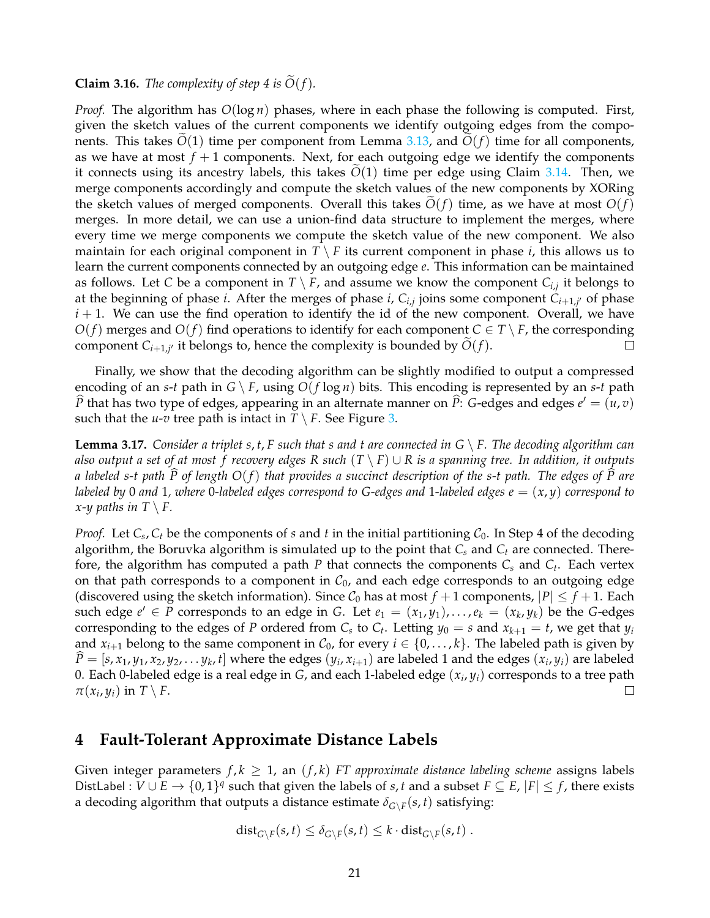### **Claim 3.16.** *The complexity of step 4 is*  $\tilde{O}(f)$ *.*

*Proof.* The algorithm has *O*(log *n*) phases, where in each phase the following is computed. First, given the sketch values of the current components we identify outgoing edges from the components. This takes  $O(1)$  time per component from Lemma [3.13,](#page-15-1) and  $O(f)$  time for all components, as we have at most  $f + 1$  components. Next, for each outgoing edge we identify the components it connects using its ancestry labels, this takes  $O(1)$  time per edge using Claim [3.14.](#page-17-0) Then, we merge components accordingly and compute the sketch values of the new components by XORing the sketch values of merged components. Overall this takes  $O(f)$  time, as we have at most  $O(f)$ merges. In more detail, we can use a union-find data structure to implement the merges, where every time we merge components we compute the sketch value of the new component. We also maintain for each original component in  $T \setminus F$  its current component in phase *i*, this allows us to learn the current components connected by an outgoing edge *e*. This information can be maintained as follows. Let C be a component in  $T \setminus F$ , and assume we know the component  $C_{i,j}$  it belongs to at the beginning of phase *i*. After the merges of phase *i*,  $C_{i,j}$  joins some component  $C_{i+1,j'}$  of phase  $i+1$ . We can use the find operation to identify the id of the new component. Overall, we have  $O(f)$  merges and  $O(f)$  find operations to identify for each component  $C \in T \setminus F$ , the corresponding component  $C_{i+1,j'}$  it belongs to, hence the complexity is bounded by  $O(f)$ .  $\Box$ 

Finally, we show that the decoding algorithm can be slightly modified to output a compressed encoding of an *s*-*t* path in  $G \setminus F$ , using  $O(f \log n)$  bits. This encoding is represented by an *s*-*t* path  $\hat{P}$  that has two type of edges, appearing in an alternate manner on  $\hat{P}$ : *G*-edges and edges  $e' = (u, v)$ such that the *u*-*v* tree path is intact in  $T \setminus F$ . See Figure [3.](#page-21-0)

<span id="page-20-1"></span>**Lemma 3.17.** *Consider a triplet s, t, F such that s and t are connected in*  $G \setminus F$ *. The decoding algorithm can also output a set of at most f recovery edges R such* (*T* \ *F*) ∪ *R is a spanning tree. In addition, it outputs a labeled s-t path P* of length  $O(f)$  that provides a succinct description of the s-t path. The edges of  $\widehat{P}$  are *labeled by* 0 *and* 1*, where* 0*-labeled edges correspond to G-edges and* 1*-labeled edges e* = (*x*, *y*) *correspond to x*-*y* paths in  $T \setminus F$ .

*Proof.* Let  $C_s$ ,  $C_t$  be the components of *s* and *t* in the initial partitioning  $C_0$ . In Step 4 of the decoding algorithm, the Boruvka algorithm is simulated up to the point that *C<sup>s</sup>* and *C<sup>t</sup>* are connected. Therefore, the algorithm has computed a path *P* that connects the components *C<sup>s</sup>* and *C<sup>t</sup>* . Each vertex on that path corresponds to a component in  $C_0$ , and each edge corresponds to an outgoing edge (discovered using the sketch information). Since  $C_0$  has at most  $f + 1$  components,  $|P| \leq f + 1$ . Each such edge  $e' \in P$  corresponds to an edge in *G*. Let  $e_1 = (x_1, y_1), \ldots, e_k = (x_k, y_k)$  be the *G*-edges corresponding to the edges of *P* ordered from  $C_s$  to  $C_t$ . Letting  $y_0 = s$  and  $x_{k+1} = t$ , we get that  $y_i$ and  $x_{i+1}$  belong to the same component in  $C_0$ , for every  $i \in \{0, \ldots, k\}$ . The labeled path is given by  $\hat{P} = [s, x_1, y_1, x_2, y_2, \dots y_k, t]$  where the edges  $(y_i, x_{i+1})$  are labeled 1 and the edges  $(x_i, y_i)$  are labeled 0. Each 0-labeled edge is a real edge in *G*, and each 1-labeled edge (*x<sup>i</sup>* , *yi*) corresponds to a tree path  $\pi(x_i, y_i)$  in  $T \setminus F$ .  $\Box$ 

## <span id="page-20-0"></span>**4 Fault-Tolerant Approximate Distance Labels**

Given integer parameters  $f, k \geq 1$ , an  $(f, k)$  *FT approximate distance labeling scheme* assigns labels DistLabel :  $V \cup E \rightarrow \{0,1\}^q$  such that given the labels of *s*, *t* and a subset  $F \subseteq E$ ,  $|F| \leq f$ , there exists a decoding algorithm that outputs a distance estimate  $\delta_{G \setminus F}(s,t)$  satisfying:

$$
\mathrm{dist}_{G\setminus F}(s,t)\leq \delta_{G\setminus F}(s,t)\leq k\cdot \mathrm{dist}_{G\setminus F}(s,t)\ .
$$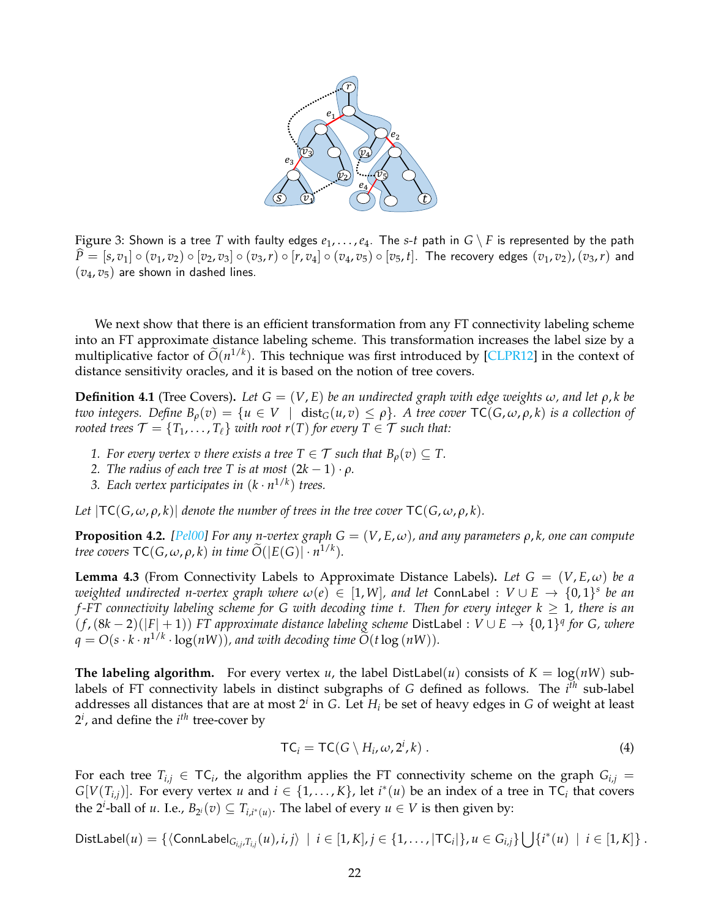<span id="page-21-0"></span>

Figure 3: Shown is a tree T with faulty edges  $e_1, \ldots, e_4$ . The *s*-*t* path in  $G \setminus F$  is represented by the path  $\widehat{P} = [s, v_1] \circ (v_1, v_2) \circ [v_2, v_3] \circ (v_3, r) \circ [r, v_4] \circ (v_4, v_5) \circ [v_5, t]$ . The recovery edges  $(v_1, v_2)$ ,  $(v_3, r)$  and  $(v_4, v_5)$  are shown in dashed lines.

We next show that there is an efficient transformation from any FT connectivity labeling scheme into an FT approximate distance labeling scheme. This transformation increases the label size by a multiplicative factor of  $\tilde{O}(n^{1/k})$ . This technique was first introduced by [\[CLPR12\]](#page-31-4) in the context of distance sensitivity oracles, and it is based on the notion of tree covers.

<span id="page-21-1"></span>**Definition 4.1** (Tree Covers). Let  $G = (V, E)$  be an undirected graph with edge weights  $\omega$ , and let  $\rho$ , k be *two integers.* Define  $B_\rho(v) = \{u \in V \mid \text{dist}_G(u,v) \leq \rho\}$ . A tree cover  $\text{TC}(G, \omega, \rho, k)$  is a collection of *rooted trees*  $\mathcal{T} = \{T_1, \ldots, T_\ell\}$  *with root r*(*T*) *for every*  $T \in \mathcal{T}$  *such that:* 

- *1. For every vertex v there exists a tree T*  $\in \mathcal{T}$  *such that*  $B_o(v) \subseteq T$ *.*
- *2. The radius of each tree T is at most*  $(2k 1) \cdot \rho$ *.*
- *3. Each vertex participates in*  $(k \cdot n^{1/k})$  *trees.*

*Let*  $|TC(G, \omega, \rho, k)|$  *denote the number of trees in the tree cover*  $TC(G, \omega, \rho, k)$ *.* 

**Proposition 4.2.** *[\[Pel00\]](#page-32-13)* For any n-vertex graph  $G = (V, E, \omega)$ , and any parameters  $\rho$ , k, one can compute *tree covers*  $TC(G, \omega, \rho, k)$  *in time*  $\widetilde{O}(|E(G)| \cdot n^{1/k})$ *.* 

**Lemma 4.3** (From Connectivity Labels to Approximate Distance Labels). Let  $G = (V, E, \omega)$  be a *weighted undirected n-vertex graph where*  $\omega(e) \in [1, W]$ , and let ConnLabel :  $V \cup E \to \{0, 1\}^s$  be an *f -FT connectivity labeling scheme for G with decoding time t. Then for every integer k* ≥ 1*, there is an*  $(f, (8k-2)(|F|+1))$  *FT approximate distance labeling scheme* DistLabel :  $V \cup E → \{0, 1\}^q$  *for G, where*  $q = O(s \cdot k \cdot n^{1/k} \cdot \log(nW))$ , and with decoding time  $\widetilde{O}(t \log(nW))$ .

**The labeling algorithm.** For every vertex *u*, the label DistLabel(*u*) consists of  $K = \log(nW)$  sublabels of FT connectivity labels in distinct subgraphs of *G* defined as follows. The *i th* sub-label addresses all distances that are at most 2*<sup>i</sup>* in *G*. Let *H<sup>i</sup>* be set of heavy edges in *G* of weight at least  $2^i$ , and define the  $i^{th}$  tree-cover by

<span id="page-21-2"></span>
$$
TC_i = TC(G \setminus H_i, \omega, 2^i, k) . \tag{4}
$$

For each tree  $T_{i,j} \in \mathsf{TC}_i$ , the algorithm applies the FT connectivity scheme on the graph  $G_{i,j}$  = *G*[*V*(*T<sub><i>i*,*j*</sub>)]. For every vertex *u* and  $i \in \{1, ..., K\}$ , let  $i^*(u)$  be an index of a tree in TC<sub>*i*</sub> that covers the 2<sup>*i*</sup>-ball of *u*. I.e.,  $B_{2^i}(v) \subseteq T_{i,i^*(u)}$ . The label of every  $u \in V$  is then given by:

DistLabel $(u) = \{ \langle \text{ConnLabel}_{G_{i,j},T_{i,j}}(u), i,j \rangle \mid i \in [1,K], j \in \{1,\ldots,|\text{TC}_i|\}, u \in G_{i,j} \} \bigcup \{i^*(u) \mid i \in [1,K]\}$ .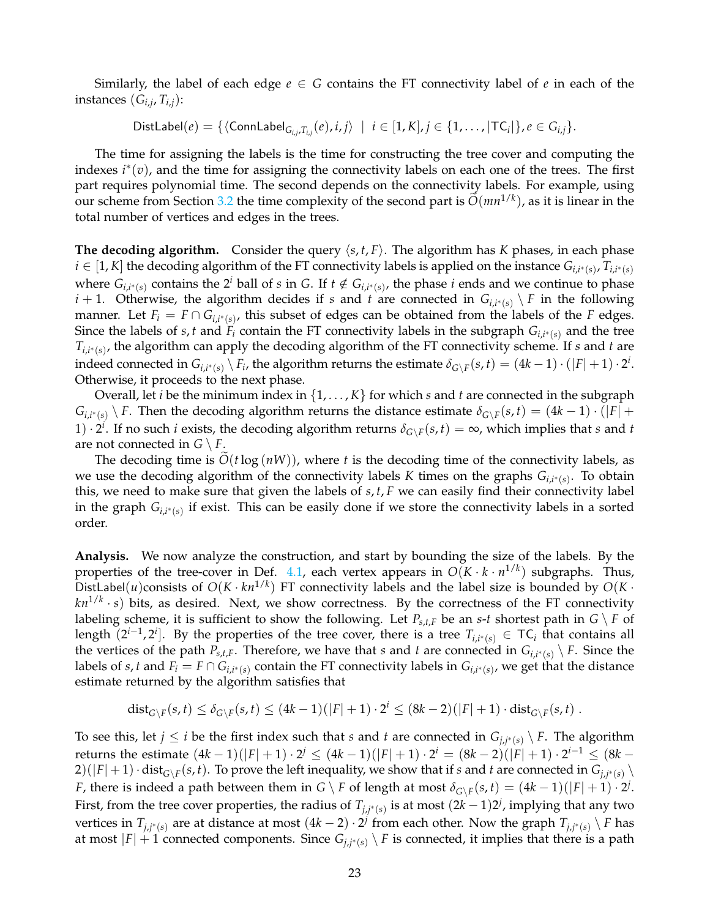Similarly, the label of each edge  $e \in G$  contains the FT connectivity label of  $e$  in each of the instances (*Gi*,*<sup>j</sup>* , *Ti*,*j*):

 $\mathrm{DistLabel}(e) = \{ \langle \mathsf{ConnLabel}_{G_{i,j},T_{i,j}}(e), i,j \rangle \ \mid \ i \in [1,K], j \in \{1,\dots,|\mathsf{TC}_i|\}, e \in G_{i,j}\}.$ 

The time for assigning the labels is the time for constructing the tree cover and computing the indexes *i* ∗ (*v*), and the time for assigning the connectivity labels on each one of the trees. The first part requires polynomial time. The second depends on the connectivity labels. For example, using our scheme from Section [3.2](#page-13-0) the time complexity of the second part is  $\tilde{O}(mn^{1/k})$ , as it is linear in the total number of vertices and edges in the trees.

**The decoding algorithm.** Consider the query  $\langle s, t, F \rangle$ . The algorithm has *K* phases, in each phase  $i \in [1, K]$  the decoding algorithm of the FT connectivity labels is applied on the instance  $G_{i,i^*(s)}$ ,  $T_{i,i^*(s)}$ where  $G_{i,i^*(s)}$  contains the 2<sup>*i*</sup> ball of *s* in *G*. If  $t \notin G_{i,i^*(s)}$ , the phase *i* ends and we continue to phase *i* + 1. Otherwise, the algorithm decides if *s* and *t* are connected in  $G_{i,i^*(s)} \setminus F$  in the following manner. Let  $F_i = F \cap G_{i,i^*(s)}$ , this subset of edges can be obtained from the labels of the *F* edges. Since the labels of *s*, *t* and  $F_i$  contain the FT connectivity labels in the subgraph  $G_{i,i^*(s)}$  and the tree *Ti*,*i* <sup>∗</sup>(*s*) , the algorithm can apply the decoding algorithm of the FT connectivity scheme. If *s* and *t* are indeed connected in  $G_{i,i^*(s)} \setminus F_i$ , the algorithm returns the estimate  $\delta_{G \setminus F}(s,t) = (4k-1) \cdot (|F|+1) \cdot 2^i$ . Otherwise, it proceeds to the next phase.

Overall, let *i* be the minimum index in {1, . . . , *K*} for which *s* and *t* are connected in the subgraph  $G_{i,i^*(s)} \setminus F$ . Then the decoding algorithm returns the distance estimate  $\delta_{G \setminus F}(s,t) = (4k-1) \cdot (|F| +$ 1)  $\cdot$  2<sup>*i*</sup>. If no such *i* exists, the decoding algorithm returns  $\delta_{G\setminus F}(s,t) = \infty$ , which implies that *s* and *t* are not connected in  $G \setminus F$ .

The decoding time is  $O(t \log(nW))$ , where *t* is the decoding time of the connectivity labels, as we use the decoding algorithm of the connectivity labels *K* times on the graphs *Gi*,*<sup>i</sup>* <sup>∗</sup>(*s*) . To obtain this, we need to make sure that given the labels of *s*, *t*, *F* we can easily find their connectivity label in the graph *Gi*,*<sup>i</sup>* <sup>∗</sup>(*s*) if exist. This can be easily done if we store the connectivity labels in a sorted order.

**Analysis.** We now analyze the construction, and start by bounding the size of the labels. By the properties of the tree-cover in Def. [4.1,](#page-21-1) each vertex appears in  $O(K \cdot k \cdot n^{1/k})$  subgraphs. Thus, DistLabel(*u*)consists of  $O(K \cdot kn^{1/k})$  FT connectivity labels and the label size is bounded by  $O(K \cdot$  $kn^{1/k} \cdot s)$  bits, as desired. Next, we show correctness. By the correctness of the FT connectivity labeling scheme, it is sufficient to show the following. Let  $P_{s,t,F}$  be an  $s$ -*t* shortest path in  $G \setminus F$  of length  $(2^{i-1}, 2^i]$ . By the properties of the tree cover, there is a tree  $T_{i,i^*(s)} \in \mathsf{TC}_i$  that contains all the vertices of the path  $P_{s,t,F}$ . Therefore, we have that *s* and *t* are connected in  $G_{i,i^*(s)} \setminus F$ . Since the labels of *s*, *t* and  $F_i = F \cap G_{i,i^*(s)}$  contain the FT connectivity labels in  $G_{i,i^*(s)}$ , we get that the distance estimate returned by the algorithm satisfies that

$$
\text{dist}_{G \setminus F}(s,t) \leq \delta_{G \setminus F}(s,t) \leq (4k-1)(|F|+1) \cdot 2^i \leq (8k-2)(|F|+1) \cdot \text{dist}_{G \setminus F}(s,t) .
$$

To see this, let  $j \leq i$  be the first index such that *s* and *t* are connected in  $G_{j,j^*(s)} \setminus F$ . The algorithm  $\text{returns the estimate } (4k-1)(|F|+1) \cdot 2^j \leq (4k-1)(|F|+1) \cdot 2^i = (8k-2)(|F|+1) \cdot 2^{i-1} \leq (8k-1)$  $(2)(|F|+1) \cdot dist_{G\setminus F}(s,t)$ . To prove the left inequality, we show that if *s* and *t* are connected in  $G_{j,j^*(s)}$ *F*, there is indeed a path between them in *G* \ *F* of length at most  $\delta_{G\setminus F}(s,t) = (4k-1)(|F|+1) \cdot 2^j$ . First, from the tree cover properties, the radius of  $T_{j,j^*(s)}$  is at most  $(2k-1)2^j$ , implying that any two vertices in  $T_{j,j^*(s)}$  are at distance at most  $(4k-2) \cdot 2^j$  from each other. Now the graph  $T_{j,j^*(s)} \setminus F$  has at most  $|F| + 1$  connected components. Since  $G_{j,j^*(s)} \setminus F$  is connected, it implies that there is a path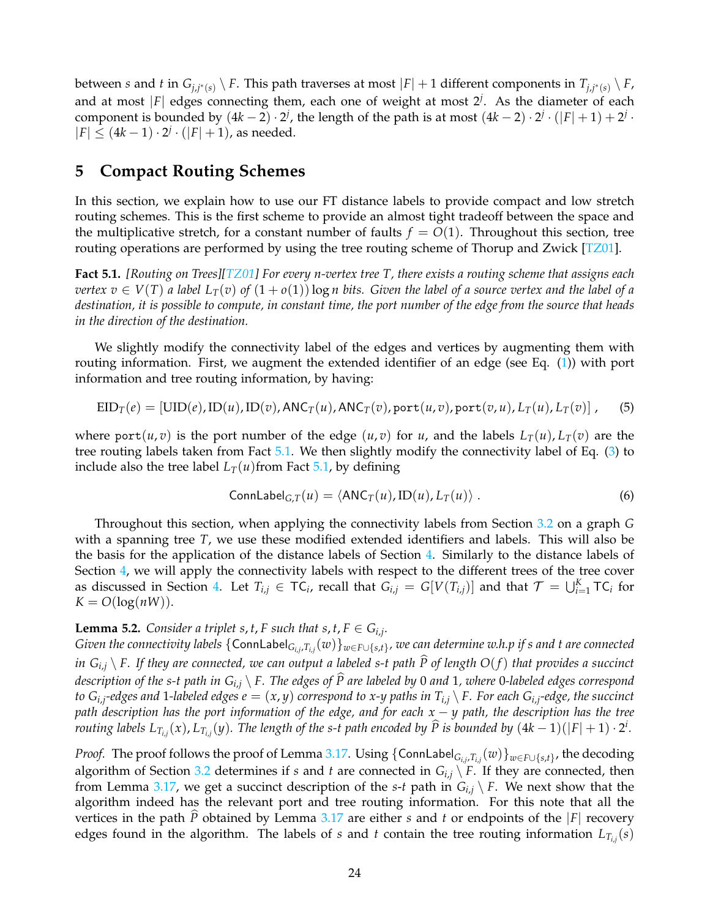between *s* and *t* in  $G_{j,j^*(s)} \setminus F$ . This path traverses at most  $|F|+1$  different components in  $T_{j,j^*(s)} \setminus F$ , and at most |*F*| edges connecting them, each one of weight at most 2*<sup>j</sup>* . As the diameter of each component is bounded by  $(4k-2) \cdot 2^j$ , the length of the path is at most  $(4k-2) \cdot 2^j \cdot (|F|+1) + 2^j \cdot$  $|F|$  ≤ (4*k* − 1) · 2<sup>*j*</sup> · (|*F*| + 1), as needed.

## <span id="page-23-0"></span>**5 Compact Routing Schemes**

In this section, we explain how to use our FT distance labels to provide compact and low stretch routing schemes. This is the first scheme to provide an almost tight tradeoff between the space and the multiplicative stretch, for a constant number of faults  $f = O(1)$ . Throughout this section, tree routing operations are performed by using the tree routing scheme of Thorup and Zwick  $[TZ01]$ .

<span id="page-23-1"></span>**Fact 5.1.** *[Routing on Trees][\[TZ01\]](#page-33-5) For every n-vertex tree T, there exists a routing scheme that assigns each vertex*  $v \in V(T)$  *a label*  $L_T(v)$  *of*  $(1+o(1))$  log *n* bits. Given the label of a source vertex and the label of a *destination, it is possible to compute, in constant time, the port number of the edge from the source that heads in the direction of the destination.*

We slightly modify the connectivity label of the edges and vertices by augmenting them with routing information. First, we augment the extended identifier of an edge (see Eq. [\(1\)](#page-14-0)) with port information and tree routing information, by having:

$$
EID_T(e) = [UID(e), ID(u), ID(v), ANC_T(u), ANC_T(v), port(u, v), port(v, u), L_T(u), L_T(v)],
$$
 (5)

where port(*u*, *v*) is the port number of the edge (*u*, *v*) for *u*, and the labels  $L_T(u)$ ,  $L_T(v)$  are the tree routing labels taken from Fact [5.1.](#page-23-1) We then slightly modify the connectivity label of Eq. [\(3\)](#page-15-2) to include also the tree label  $L_T(u)$  from Fact [5.1,](#page-23-1) by defining

<span id="page-23-3"></span>
$$
ConnLabel_{G,T}(u) = \langle ANC_T(u), ID(u), L_T(u) \rangle . \tag{6}
$$

Throughout this section, when applying the connectivity labels from Section [3.2](#page-13-0) on a graph *G* with a spanning tree *T*, we use these modified extended identifiers and labels. This will also be the basis for the application of the distance labels of Section [4.](#page-20-0) Similarly to the distance labels of Section [4,](#page-20-0) we will apply the connectivity labels with respect to the different trees of the tree cover as discussed in Section [4.](#page-20-0) Let  $T_{i,j} \in TC_i$ , recall that  $G_{i,j} = G[V(T_{i,j})]$  and that  $\mathcal{T} = \bigcup_{i=1}^K TC_i$  for  $K = O(\log(nW)).$ 

### <span id="page-23-2"></span>**Lemma 5.2.** *Consider a triplet s, t, F such that s, t,*  $F \in G_{i,j}$ *.*

*Given the connectivity labels* {ConnLabel*Gi*,*<sup>j</sup>* ,*Ti*,*<sup>j</sup>* (*w*)}*w*∈*F*∪{*s*,*t*} *, we can determine w.h.p if s and t are connected in*  $G_{i,j} \setminus F$ . If they are connected, we can output a labeled s-t path  $\widehat{P}$  of length  $O(f)$  that provides a succinct *description of the s-t path in Gi*,*<sup>j</sup>* \ *F. The edges of P are labeled by* <sup>b</sup> <sup>0</sup> *and* <sup>1</sup>*, where* <sup>0</sup>*-labeled edges correspond to Gi*,*<sup>j</sup> -edges and* 1*-labeled edges e* = (*x*, *y*) *correspond to x-y paths in Ti*,*<sup>j</sup>* \ *F. For each Gi*,*<sup>j</sup> -edge, the succinct path description has the port information of the edge, and for each x* − *y path, the description has the tree* routing labels  $L_{T_{i,j}}(x)$ ,  $L_{T_{i,j}}(y)$ . The length of the s-t path encoded by  $\widehat{P}$  is bounded by  $(4k-1)(|F|+1)\cdot 2^i$ .

*Proof.* The proof follows the proof of Lemma [3.17.](#page-20-1) Using  $\{\mathsf{ConnLabel}_{G_{i,j},T_{i,j}}(w)\}_{w\in F\cup\{s,t\}}$ , the decoding algorithm of Section [3.2](#page-13-0) determines if *s* and *t* are connected in  $G_{i,j} \setminus F$ . If they are connected, then from Lemma [3.17,](#page-20-1) we get a succinct description of the *s*-*t* path in  $G_{i,j} \setminus F$ . We next show that the algorithm indeed has the relevant port and tree routing information. For this note that all the vertices in the path  $\overline{P}$  obtained by Lemma [3.17](#page-20-1) are either *s* and *t* or endpoints of the  $|F|$  recovery edges found in the algorithm. The labels of *s* and *t* contain the tree routing information *LTi*,*<sup>j</sup>* (*s*)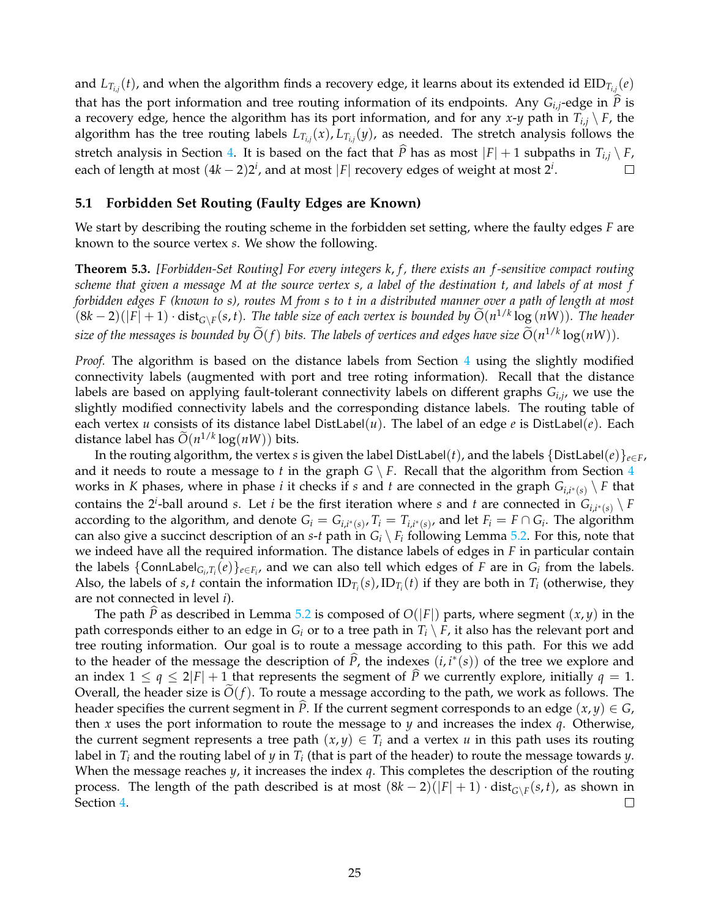and  $L_{T_{i,j}}(t)$ , and when the algorithm finds a recovery edge, it learns about its extended id  $\text{EID}_{T_{i,j}}(e)$ that has the port information and tree routing information of its endpoints. Any  $G_{i,j}$ -edge in *P* is a recovery edge, hence the algorithm has its port information, and for any *x*-*y* path in  $T_{i,j} \setminus F$ , the algorithm has the tree routing labels  $L_{T_{i,j}}(x)$ ,  $L_{T_{i,j}}(y)$ , as needed. The stretch analysis follows the stretch analysis in Section [4.](#page-20-0) It is based on the fact that  $\hat{P}$  has as most  $|F| + 1$  subpaths in  $T_{i,j} \setminus F$ , each of length at most  $(4k - 2)2^i$ , and at most  $|F|$  recovery edges of weight at most  $2^i$ . each of length at most  $(4k - 2)2<sup>i</sup>$ , and at most |*F*| recovery edges of weight at most 2<sup>*i*</sup>.

### <span id="page-24-0"></span>**5.1 Forbidden Set Routing (Faulty Edges are Known)**

We start by describing the routing scheme in the forbidden set setting, where the faulty edges *F* are known to the source vertex *s*. We show the following.

**Theorem 5.3.** *[Forbidden-Set Routing] For every integers k*, *f , there exists an f -sensitive compact routing scheme that given a message M at the source vertex s, a label of the destination t, and labels of at most f forbidden edges F (known to s), routes M from s to t in a distributed manner over a path of length at most*  $(8k-2)(|F|+1) \cdot dist_{G\setminus F}(s,t)$ . The table size of each vertex is bounded by  $\widetilde{O}(n^{1/k} \log{(nW)})$ . The header *size of the messages is bounded by*  $\widetilde{O}(f)$  *bits. The labels of vertices and edges have size*  $\widetilde{O}(n^{1/k} \log(nW)).$ 

*Proof.* The algorithm is based on the distance labels from Section [4](#page-20-0) using the slightly modified connectivity labels (augmented with port and tree roting information). Recall that the distance labels are based on applying fault-tolerant connectivity labels on different graphs *Gi*,*<sup>j</sup>* , we use the slightly modified connectivity labels and the corresponding distance labels. The routing table of each vertex *u* consists of its distance label DistLabel(*u*). The label of an edge *e* is DistLabel(*e*). Each distance label has  $\tilde{O}(n^{1/k} \log(nW))$  bits.

In the routing algorithm, the vertex *s* is given the label DistLabel(*t*), and the labels  $\{DistLabel(e)\}_{e \in F}$ , and it needs to route a message to *t* in the graph  $G \setminus F$ . Recall that the algorithm from Section [4](#page-20-0) works in *K* phases, where in phase *i* it checks if *s* and *t* are connected in the graph  $G_{i,i^*(s)} \setminus F$  that contains the 2<sup>*i*</sup>-ball around *s*. Let *i* be the first iteration where *s* and *t* are connected in  $G_{i,i^*(s)} \setminus F$ according to the algorithm, and denote  $G_i = G_{i,i^*(s)}$ ,  $T_i = T_{i,i^*(s)}$ , and let  $F_i = F \cap G_i$ . The algorithm can also give a succinct description of an *s*-*t* path in  $G_i \setminus F_i$  following Lemma [5.2.](#page-23-2) For this, note that we indeed have all the required information. The distance labels of edges in *F* in particular contain the labels  $\{ \text{ConnLabel}_{G_i,T_i}(e) \}_{e \in F_i}$ , and we can also tell which edges of *F* are in  $G_i$  from the labels. Also, the labels of *s*, *t* contain the information  $ID_{T_i}(s)$ ,  $ID_{T_i}(t)$  if they are both in  $T_i$  (otherwise, they are not connected in level *i*).

<span id="page-24-1"></span>The path  $\hat{P}$  as described in Lemma [5.2](#page-23-2) is composed of  $O(|F|)$  parts, where segment  $(x, y)$  in the path corresponds either to an edge in  $G_i$  or to a tree path in  $T_i \setminus F$ , it also has the relevant port and tree routing information. Our goal is to route a message according to this path. For this we add to the header of the message the description of  $\hat{P}$ , the indexes  $(i, i^*(s))$  of the tree we explore and an index  $1 \leq q \leq 2|F| + 1$  that represents the segment of  $\widehat{P}$  we currently explore, initially  $q = 1$ . Overall, the header size is  $O(f)$ . To route a message according to the path, we work as follows. The header specifies the current segment in *P*. If the current segment corresponds to an edge  $(x, y) \in G$ , then *x* uses the port information to route the message to *y* and increases the index *q*. Otherwise, the current segment represents a tree path  $(x, y) \in T_i$  and a vertex *u* in this path uses its routing label in *T<sup>i</sup>* and the routing label of *y* in *T<sup>i</sup>* (that is part of the header) to route the message towards *y*. When the message reaches *y*, it increases the index *q*. This completes the description of the routing process. The length of the path described is at most  $(8k-2)(|F|+1) \cdot dist_{G\setminus F}(s,t)$ , as shown in Section [4.](#page-20-0)  $\Box$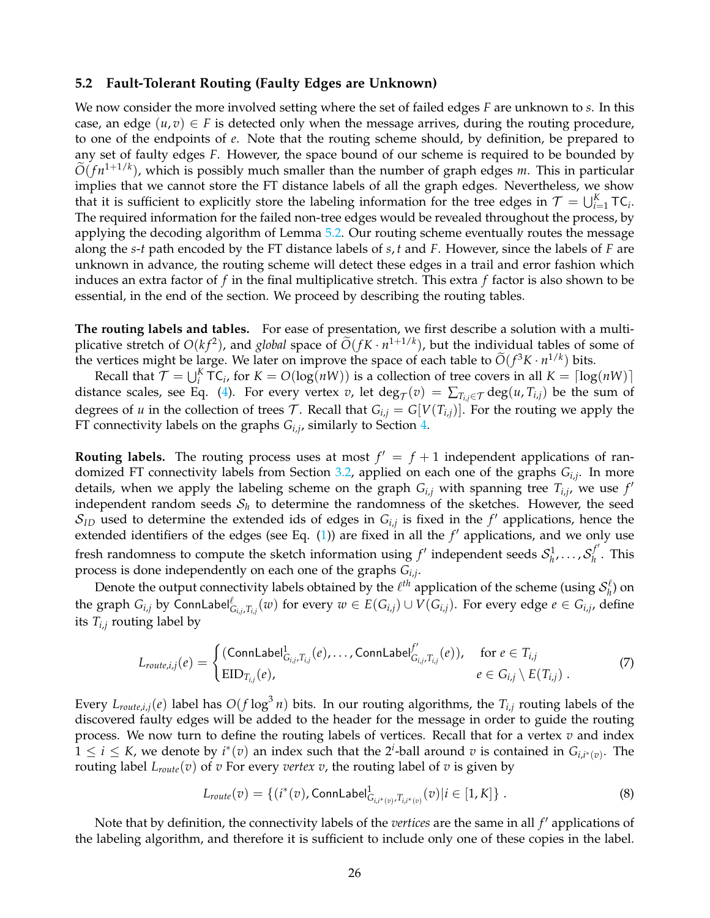#### **5.2 Fault-Tolerant Routing (Faulty Edges are Unknown)**

We now consider the more involved setting where the set of failed edges *F* are unknown to *s*. In this case, an edge  $(u, v) \in F$  is detected only when the message arrives, during the routing procedure, to one of the endpoints of *e*. Note that the routing scheme should, by definition, be prepared to any set of faulty edges *F*. However, the space bound of our scheme is required to be bounded by  $\widetilde{O}(fn^{1+1/k})$ , which is possibly much smaller than the number of graph edges *m*. This in particular implies that we cannot store the FT distance labels of all the graph edges. Nevertheless, we show that it is sufficient to explicitly store the labeling information for the tree edges in  $\mathcal{T} = \bigcup_{i=1}^K \mathsf{TC}_i$ . The required information for the failed non-tree edges would be revealed throughout the process, by applying the decoding algorithm of Lemma [5.2.](#page-23-2) Our routing scheme eventually routes the message along the *s*-*t* path encoded by the FT distance labels of *s*, *t* and *F*. However, since the labels of *F* are unknown in advance, the routing scheme will detect these edges in a trail and error fashion which induces an extra factor of *f* in the final multiplicative stretch. This extra *f* factor is also shown to be essential, in the end of the section. We proceed by describing the routing tables.

**The routing labels and tables.** For ease of presentation, we first describe a solution with a multiplicative stretch of  $O(k f^2)$ , and *global* space of  $\widetilde{O}(fK \cdot n^{1+1/k})$ , but the individual tables of some of the vertices might be large. We later on improve the space of each table to  $\tilde{O}(f^3K \cdot n^{1/k})$  bits.

Recall that  $\mathcal{T} = \bigcup_{i=1}^{K} \mathsf{TC}_i$ , for  $K = O(\log(nW))$  is a collection of tree covers in all  $K = \lceil \log(nW) \rceil$ distance scales, see Eq. [\(4\)](#page-21-2). For every vertex *v*, let  $\deg_\mathcal{T}(v) = \sum_{T_{i,j} \in \mathcal{T}} \deg(u, T_{i,j})$  be the sum of degrees of *u* in the collection of trees T. Recall that  $G_{i,j} = G[V(T_{i,j})]$ . For the routing we apply the FT connectivity labels on the graphs *Gi*,*<sup>j</sup>* , similarly to Section [4.](#page-20-0)

**Routing labels.** The routing process uses at most  $f' = f + 1$  independent applications of randomized FT connectivity labels from Section [3.2,](#page-13-0) applied on each one of the graphs *Gi*,*<sup>j</sup>* . In more details, when we apply the labeling scheme on the graph  $G_{i,j}$  with spanning tree  $T_{i,j}$ , we use  $f'$ independent random seeds  $\mathcal{S}_h$  to determine the randomness of the sketches. However, the seed  $\mathcal{S}_{ID}$  used to determine the extended ids of edges in  $G_{i,j}$  is fixed in the  $f'$  applications, hence the extended identifiers of the edges (see Eq.  $(1)$ ) are fixed in all the  $f'$  applications, and we only use fresh randomness to compute the sketch information using  $f'$  independent seeds  $\mathcal{S}_h^1$ , ...,  $\mathcal{S}_h^{f'}$  $h$ <sup>*h*</sup> . This process is done independently on each one of the graphs *Gi*,*<sup>j</sup>* .

Denote the output connectivity labels obtained by the  $\ell^{th}$  application of the scheme (using  $\mathcal{S}_h^{\ell}$ ) on the graph  $G_{i,j}$  by ConnLabel $_{G_{i,j},T_{i,j}}^{\ell}(w)$  for every  $w\in E(G_{i,j})\cup V(G_{i,j}).$  For every edge  $e\in G_{i,j}$ , define its  $T_{i,j}$  routing label by

<span id="page-25-1"></span>
$$
L_{route,i,j}(e) = \begin{cases} (\text{ConnLabel}^1_{G_{i,j},T_{i,j}}(e), \dots, \text{ConnLabel}^{f'}_{G_{i,j},T_{i,j}}(e)), & \text{for } e \in T_{i,j} \\ \text{EID}_{T_{i,j}}(e), & e \in G_{i,j} \setminus E(T_{i,j}) \end{cases}
$$
(7)

Every  $L_{route,i,j}(e)$  label has  $O(f \log^3 n)$  bits. In our routing algorithms, the  $T_{i,j}$  routing labels of the discovered faulty edges will be added to the header for the message in order to guide the routing process. We now turn to define the routing labels of vertices. Recall that for a vertex *v* and index  $1 \leq i \leq K$ , we denote by  $i^*(v)$  an index such that the 2<sup>*i*</sup>-ball around *v* is contained in  $G_{i,i^*(v)}$ . The routing label *Lroute*(*v*) of *v* For every *vertex v*, the routing label of *v* is given by

<span id="page-25-0"></span>
$$
L_{route}(v) = \{ (i^*(v), \text{ConnLabel}^1_{G_{i,i^*(v)}, T_{i,i^*(v)}}(v) | i \in [1, K] \}.
$$
\n(8)

Note that by definition, the connectivity labels of the *vertices* are the same in all  $f'$  applications of the labeling algorithm, and therefore it is sufficient to include only one of these copies in the label.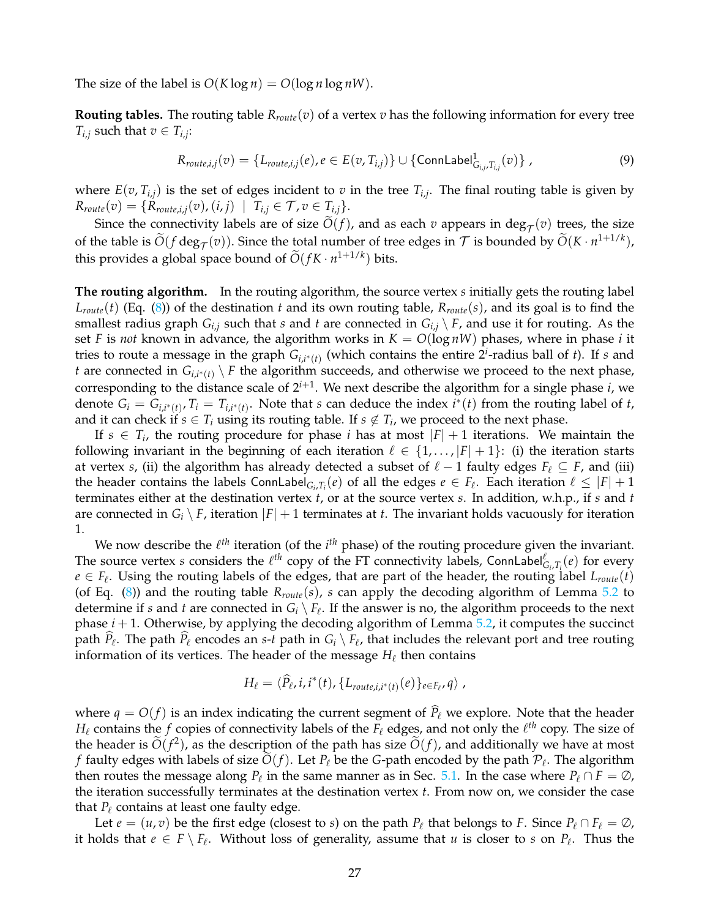The size of the label is  $O(K \log n) = O(\log n \log n)$ .

**Routing tables.** The routing table *Rroute*(*v*) of a vertex *v* has the following information for every tree *T*<sub>*i*,*j*</sub> such that  $v \in T_{i,j}$ :

<span id="page-26-0"></span>
$$
R_{route,i,j}(v) = \{L_{route,i,j}(e), e \in E(v, T_{i,j})\} \cup \{\text{ConnLabel}_{G_{i,j}, T_{i,j}}^1(v)\},\tag{9}
$$

where  $E(v, T_{i,j})$  is the set of edges incident to  $v$  in the tree  $T_{i,j}$ . The final routing table is given by  $R_{route}(v) = \{R_{route,i,j}(v), (i,j) \mid T_{i,j} \in \mathcal{T}, v \in T_{i,j}\}.$ 

Since the connectivity labels are of size  $O(f)$ , and as each *v* appears in deg<sub>T</sub>(*v*) trees, the size of the table is  $\widetilde{O}(f \deg_{\mathcal{T}}(v))$ . Since the total number of tree edges in  $\mathcal{T}$  is bounded by  $\widetilde{O}(K \cdot n^{1+1/k})$ , this provides a global space bound of  $\widetilde{O}(fK \cdot n^{1+1/k})$  bits.

**The routing algorithm.** In the routing algorithm, the source vertex *s* initially gets the routing label *Lroute*(*t*) (Eq. [\(8\)](#page-25-0)) of the destination *t* and its own routing table, *Rroute*(*s*), and its goal is to find the smallest radius graph *Gi*,*<sup>j</sup>* such that *s* and *t* are connected in *Gi*,*<sup>j</sup>* \ *F*, and use it for routing. As the set *F* is *not* known in advance, the algorithm works in  $K = O(\log nW)$  phases, where in phase *i* it tries to route a message in the graph  $G_{i,i^*(t)}$  (which contains the entire  $2^i$ -radius ball of *t*). If *s* and *t* are connected in  $G_{i,i^*(t)} \setminus F$  the algorithm succeeds, and otherwise we proceed to the next phase, corresponding to the distance scale of 2*i*+<sup>1</sup> . We next describe the algorithm for a single phase *i*, we denote  $G_i = G_{i,i^*(t)}$ ,  $T_i = T_{i,i^*(t)}$ . Note that *s* can deduce the index  $i^*(t)$  from the routing label of *t*, and it can check if  $s \in T_i$  using its routing table. If  $s \notin T_i$ , we proceed to the next phase.

If  $s \in T_i$ , the routing procedure for phase *i* has at most  $|F| + 1$  iterations. We maintain the following invariant in the beginning of each iteration  $\ell \in \{1, \ldots, |F| + 1\}$ : (i) the iteration starts at vertex *s*, (ii) the algorithm has already detected a subset of  $\ell - 1$  faulty edges  $F_\ell \subseteq F$ , and (iii) the header contains the labels ConnLabel<sub>G*i*</sub>, $T_i(e)$  of all the edges  $e \in F_{\ell}$ . Each iteration  $\ell \leq |F| + 1$ terminates either at the destination vertex *t*, or at the source vertex *s*. In addition, w.h.p., if *s* and *t* are connected in  $G_i \setminus F$ , iteration  $|F| + 1$  terminates at *t*. The invariant holds vacuously for iteration 1.

We now describe the  $\ell^{th}$  iteration (of the  $i^{th}$  phase) of the routing procedure given the invariant. The source vertex *s* considers the  $\ell^{th}$  copy of the FT connectivity labels, ConnLabel $_{G_i,T_i}^{\ell}(e)$  for every  $e \in F_{\ell}$ . Using the routing labels of the edges, that are part of the header, the routing label  $L_{route}(t)$ (of Eq. [\(8\)](#page-25-0)) and the routing table *Rroute*(*s*), *s* can apply the decoding algorithm of Lemma [5.2](#page-23-2) to determine if *s* and *t* are connected in  $G_i \setminus F_\ell$ . If the answer is no, the algorithm proceeds to the next phase  $i + 1$ . Otherwise, by applying the decoding algorithm of Lemma  $5.2$ , it computes the succinct path  $\hat{P}_\ell$ . The path  $\hat{P}_\ell$  encodes an *s*-*t* path in  $G_i \setminus F_\ell$ , that includes the relevant port and tree routing information of its vertices. The header of the message  $H_\ell$  then contains

$$
H_{\ell} = \langle \widehat{P}_{\ell}, i, i^*(t), \{L_{route,i,i^*(t)}(e)\}_{e \in F_{\ell}}, q \rangle,
$$

where  $q = O(f)$  is an index indicating the current segment of  $\hat{P}_\ell$  we explore. Note that the header  $H_\ell$  contains the  $f$  copies of connectivity labels of the  $F_\ell$  edges, and not only the  $\ell^{th}$  copy. The size of the header is  $\tilde{O}(f^2)$ , as the description of the path has size  $\tilde{O}(f)$ , and additionally we have at most *f* faulty edges with labels of size  $O(f)$ . Let  $P_\ell$  be the *G*-path encoded by the path  $P_\ell$ . The algorithm then routes the message along  $P_\ell$  in the same manner as in Sec. [5.1.](#page-24-0) In the case where  $P_\ell \cap F = \emptyset$ , the iteration successfully terminates at the destination vertex *t*. From now on, we consider the case that  $P_\ell$  contains at least one faulty edge.

Let  $e = (u, v)$  be the first edge (closest to *s*) on the path  $P_\ell$  that belongs to *F*. Since  $P_\ell \cap F_\ell = \emptyset$ , it holds that  $e \in F \setminus F_{\ell}$ . Without loss of generality, assume that  $u$  is closer to  $s$  on  $P_{\ell}$ . Thus the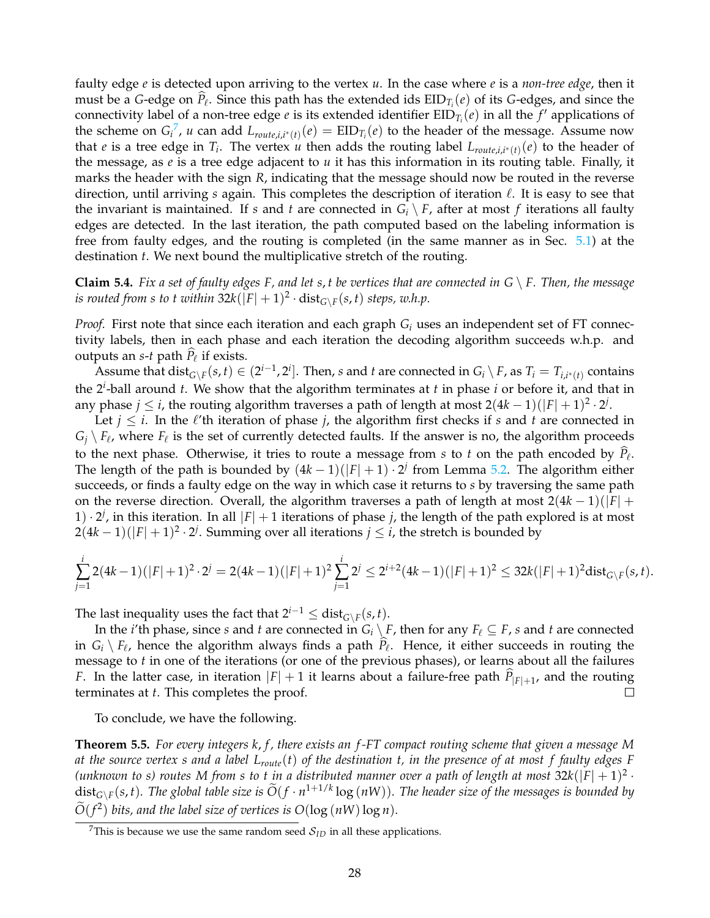faulty edge *e* is detected upon arriving to the vertex *u*. In the case where *e* is a *non-tree edge*, then it must be a *G*-edge on  $\hat{P}_\ell$ . Since this path has the extended ids  $EID_{T_i}(e)$  of its *G*-edges, and since the connectivity label of a non-tree edge *e* is its extended identifier  $\text{EID}_{T_i}(e)$  in all the  $f'$  applications of the scheme on  $G_i^7$  $G_i^7$ , *u* can add  $L_{route,i,i^*(t)}(e) = EID_{T_i}(e)$  to the header of the message. Assume now that *e* is a tree edge in  $T_i$ . The vertex *u* then adds the routing label  $L_{route,i,i^*(t)}(e)$  to the header of the message, as  $e$  is a tree edge adjacent to  $u$  it has this information in its routing table. Finally, it marks the header with the sign *R*, indicating that the message should now be routed in the reverse direction, until arriving  $s$  again. This completes the description of iteration  $\ell$ . It is easy to see that the invariant is maintained. If *s* and *t* are connected in  $G_i \setminus F$ , after at most *f* iterations all faulty edges are detected. In the last iteration, the path computed based on the labeling information is free from faulty edges, and the routing is completed (in the same manner as in Sec. [5.1\)](#page-24-0) at the destination *t*. We next bound the multiplicative stretch of the routing.

<span id="page-27-1"></span>**Claim 5.4.** *Fix a set of faulty edges F, and let s, t be vertices that are connected in*  $G \setminus F$ *. Then, the message*  $i$ *s routed from s to t within* 32 $k(|F|+1)^2 \cdot \text{dist}_{G\setminus F}(s,t)$  *steps, w.h.p.* 

*Proof.* First note that since each iteration and each graph *G<sup>i</sup>* uses an independent set of FT connectivity labels, then in each phase and each iteration the decoding algorithm succeeds w.h.p. and outputs an  $s$ -*t* path  $P_\ell$  if exists.

Assume that  $dist_{G\setminus F}(s,t)\in (2^{i-1},2^i]$ . Then, s and t are connected in  $G_i\setminus F$ , as  $T_i=T_{i,i^*(t)}$  contains the 2*<sup>i</sup>* -ball around *t*. We show that the algorithm terminates at *t* in phase *i* or before it, and that in any phase  $j \leq i$ , the routing algorithm traverses a path of length at most  $2(4k-1)(|F|+1)^2 \cdot 2^j$ .

Let  $j \leq i$ . In the  $\ell'$ th iteration of phase *j*, the algorithm first checks if *s* and *t* are connected in  $G_j \setminus F_\ell$ , where  $F_\ell$  is the set of currently detected faults. If the answer is no, the algorithm proceeds to the next phase. Otherwise, it tries to route a message from *s* to *t* on the path encoded by  $P_\ell$ . The length of the path is bounded by  $(4k-1)(|F|+1) \cdot 2^{j}$  from Lemma [5.2.](#page-23-2) The algorithm either succeeds, or finds a faulty edge on the way in which case it returns to *s* by traversing the same path on the reverse direction. Overall, the algorithm traverses a path of length at most 2(4*k* − 1)(|*F*| + 1)  $\cdot$  2<sup>*j*</sup>, in this iteration. In all |*F*| + 1 iterations of phase *j*, the length of the path explored is at most  $2(4k-1)(|F|+1)^2 \cdot 2^j$ . Summing over all iterations  $j \leq i$ , the stretch is bounded by

$$
\sum_{j=1}^i 2(4k-1)(|F|+1)^2 \cdot 2^j = 2(4k-1)(|F|+1)^2 \sum_{j=1}^i 2^j \le 2^{i+2}(4k-1)(|F|+1)^2 \le 32k(|F|+1)^2 \text{dist}_{G \setminus F}(s,t).
$$

The last inequality uses the fact that  $2^{i-1} \leq \text{dist}_{G \setminus F}(s,t)$ .

In the *i*'th phase, since *s* and *t* are connected in  $G_i \setminus F$ , then for any  $F_\ell \subseteq F$ , *s* and *t* are connected in  $G_i \setminus F_\ell$ , hence the algorithm always finds a path  $P_\ell$ . Hence, it either succeeds in routing the message to *t* in one of the iterations (or one of the previous phases), or learns about all the failures *F*. In the latter case, in iteration  $|F| + 1$  it learns about a failure-free path  $\hat{P}_{|F|+1}$ , and the routing terminates at *t*. This completes the proof.  $\Box$ 

To conclude, we have the following.

**Theorem 5.5.** *For every integers k*, *f , there exists an f -FT compact routing scheme that given a message M at the source vertex s and a label Lroute*(*t*) *of the destination t, in the presence of at most f faulty edges F* (unknown to s) routes M from s to t in a distributed manner over a path of length at most  $32k(|F|+1)^2$  ·  $dist_{G\setminus F}(s,t)$ . The global table size is  $\widetilde{O}(f\cdot n^{1+1/k}\log{(nW)})$ . The header size of the messages is bounded by  $O(f^2)$  bits, and the label size of vertices is  $O(\log(nW)\log n)$ .

<span id="page-27-0"></span><sup>&</sup>lt;sup>7</sup>This is because we use the same random seed  $S_{ID}$  in all these applications.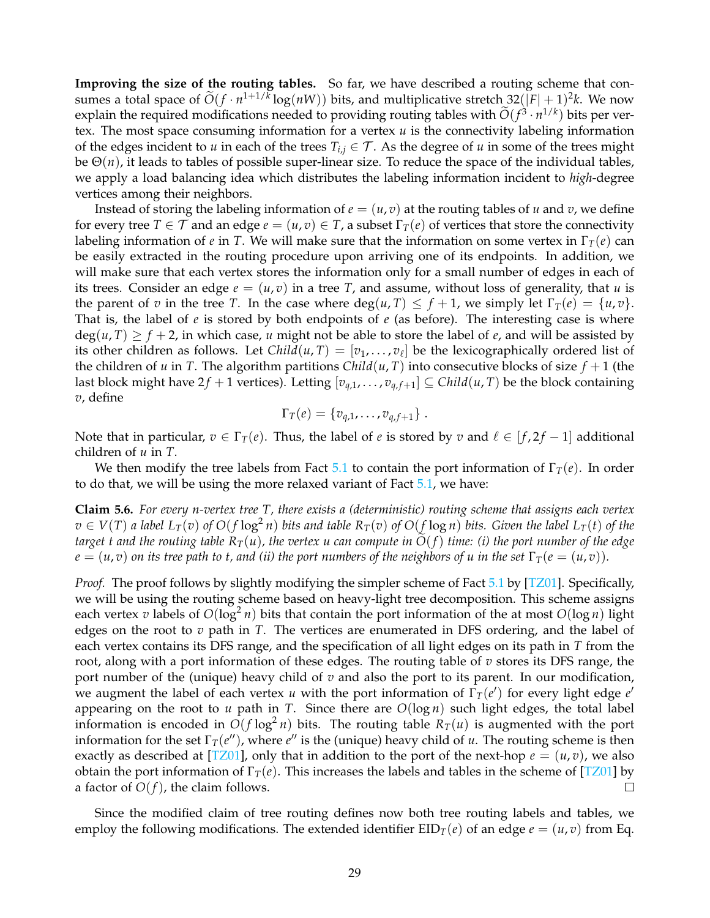**Improving the size of the routing tables.** So far, we have described a routing scheme that consumes a total space of  $\widetilde{O}(f \cdot n^{1+1/k} \log(nW))$  bits, and multiplicative stretch  $32(|F|+1)^2k$ . We now explain the required modifications needed to providing routing tables with  $O(f^3 \cdot n^{1/k})$  bits per vertex. The most space consuming information for a vertex *u* is the connectivity labeling information of the edges incident to *u* in each of the trees  $T_{i,j} \in \mathcal{T}$ . As the degree of *u* in some of the trees might be Θ(*n*), it leads to tables of possible super-linear size. To reduce the space of the individual tables, we apply a load balancing idea which distributes the labeling information incident to *high*-degree vertices among their neighbors.

Instead of storing the labeling information of  $e = (u, v)$  at the routing tables of *u* and *v*, we define for every tree  $T \in \mathcal{T}$  and an edge  $e = (u, v) \in T$ , a subset  $\Gamma_T(e)$  of vertices that store the connectivity labeling information of *e* in *T*. We will make sure that the information on some vertex in  $\Gamma_T(e)$  can be easily extracted in the routing procedure upon arriving one of its endpoints. In addition, we will make sure that each vertex stores the information only for a small number of edges in each of its trees. Consider an edge  $e = (u, v)$  in a tree T, and assume, without loss of generality, that *u* is the parent of *v* in the tree *T*. In the case where  $\deg(u, T) \leq f + 1$ , we simply let  $\Gamma_T(e) = \{u, v\}$ . That is, the label of *e* is stored by both endpoints of *e* (as before). The interesting case is where  $deg(u, T) \ge f + 2$ , in which case, *u* might not be able to store the label of *e*, and will be assisted by its other children as follows. Let  $Child(u, T) = [v_1, \ldots, v_\ell]$  be the lexicographically ordered list of the children of *u* in *T*. The algorithm partitions *Child*( $u$ , *T*) into consecutive blocks of size  $f + 1$  (the last block might have  $2f + 1$  vertices). Letting  $[v_{q,1}, \ldots, v_{q,f+1}] \subseteq \text{Child}(u, T)$  be the block containing *v*, define

$$
\Gamma_T(e) = \{v_{q,1}, \ldots, v_{q,f+1}\}.
$$

Note that in particular,  $v \in \Gamma_T(e)$ . Thus, the label of *e* is stored by *v* and  $\ell \in [f, 2f - 1]$  additional children of *u* in *T*.

We then modify the tree labels from Fact [5.1](#page-23-1) to contain the port information of  $\Gamma_T(e)$ . In order to do that, we will be using the more relaxed variant of Fact [5.1,](#page-23-1) we have:

<span id="page-28-0"></span>**Claim 5.6.** *For every n-vertex tree T, there exists a (deterministic) routing scheme that assigns each vertex*  $v\in V(T)$  a label  $L_T(v)$  of  $O(f\log^2 n)$  bits and table  $R_T(v)$  of  $O(f\log n)$  bits. Given the label  $L_T(t)$  of the *target t and the routing table*  $R_T(u)$ , the vertex u can compute in  $O(f)$  time: (i) the port number of the edge  $e = (u, v)$  *on its tree path to t, and (ii) the port numbers of the neighbors of u in the set*  $\Gamma_T(e = (u, v))$ *.* 

*Proof.* The proof follows by slightly modifying the simpler scheme of Fact [5.1](#page-23-1) by [\[TZ01\]](#page-33-5). Specifically, we will be using the routing scheme based on heavy-light tree decomposition. This scheme assigns each vertex *v* labels of  $O(log^2 n)$  bits that contain the port information of the at most  $O(log n)$  light edges on the root to *v* path in *T*. The vertices are enumerated in DFS ordering, and the label of each vertex contains its DFS range, and the specification of all light edges on its path in *T* from the root, along with a port information of these edges. The routing table of *v* stores its DFS range, the port number of the (unique) heavy child of *v* and also the port to its parent. In our modification, we augment the label of each vertex *u* with the port information of  $\Gamma_T(e')$  for every light edge  $e'$ appearing on the root to *u* path in *T*. Since there are  $O(log n)$  such light edges, the total label information is encoded in  $O(f \log^2 n)$  bits. The routing table  $R_T(u)$  is augmented with the port information for the set  $\Gamma_T(e'')$ , where  $e''$  is the (unique) heavy child of *u*. The routing scheme is then exactly as described at [\[TZ01\]](#page-33-5), only that in addition to the port of the next-hop  $e = (u, v)$ , we also obtain the port information of  $\Gamma_T(e)$ . This increases the labels and tables in the scheme of [\[TZ01\]](#page-33-5) by a factor of  $O(f)$ , the claim follows.  $\Box$ 

Since the modified claim of tree routing defines now both tree routing labels and tables, we employ the following modifications. The extended identifier  $EID_T(e)$  of an edge  $e = (u, v)$  from Eq.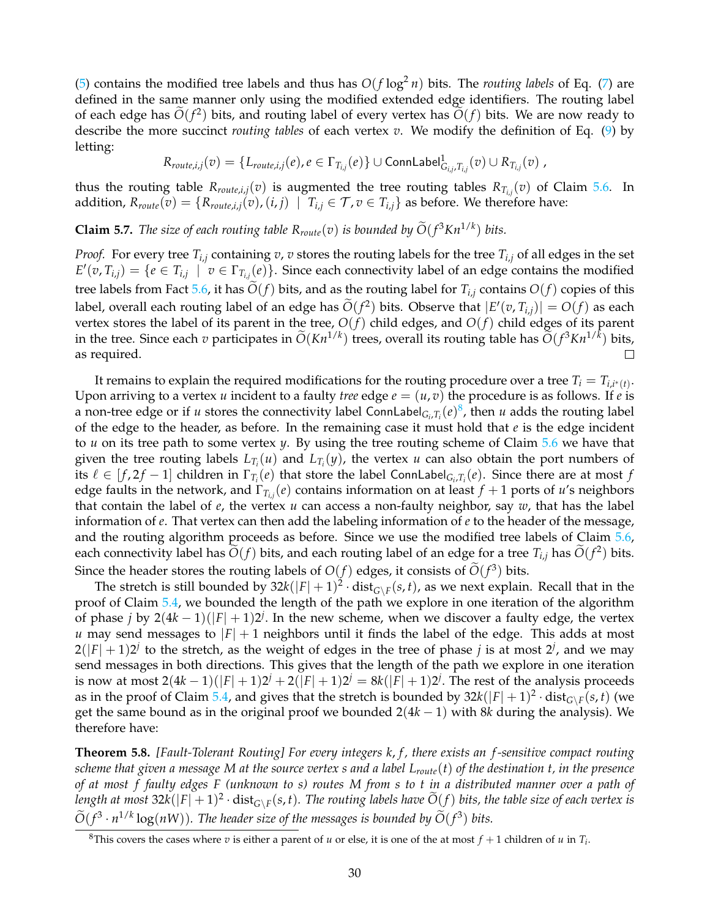[\(5\)](#page-23-3) contains the modified tree labels and thus has  $O(f \log^2 n)$  bits. The *routing labels* of Eq. [\(7\)](#page-25-1) are defined in the same manner only using the modified extended edge identifiers. The routing label of each edge has  $O(f^2)$  bits, and routing label of every vertex has  $O(f)$  bits. We are now ready to describe the more succinct *routing tables* of each vertex *v*. We modify the definition of Eq. [\(9\)](#page-26-0) by letting:

$$
R_{route,i,j}(v) = \{L_{route,i,j}(e), e \in \Gamma_{T_{i,j}}(e)\} \cup \text{ConnLabel}^1_{G_{i,j},T_{i,j}}(v) \cup R_{T_{i,j}}(v) ,
$$

thus the routing table  $R_{route,i,j}(v)$  is augmented the tree routing tables  $R_{T_{i,j}}(v)$  of Claim [5.6.](#page-28-0) In addition,  $R_{route}(v) = \{R_{route,i,j}(v), (i,j) \mid T_{i,j} \in T, v \in T_{i,j}\}$  as before. We therefore have:

**Claim 5.7.** *The size of each routing table*  $R_{route}(v)$  *is bounded by*  $O(f^3Kn^{1/k})$  *bits.* 

*Proof.* For every tree  $T_{i,j}$  containing  $v$ ,  $v$  stores the routing labels for the tree  $T_{i,j}$  of all edges in the set  $E'(v, T_{i,j}) = \{e \in T_{i,j} \mid v \in \Gamma_{T_{i,j}}(e)\}$ . Since each connectivity label of an edge contains the modified tree labels from Fact [5.6,](#page-28-0) it has  $\tilde{O}(f)$  bits, and as the routing label for  $T_{i,j}$  contains  $O(f)$  copies of this label, overall each routing label of an edge has  $\widetilde{O}(f^2)$  bits. Observe that  $|E'(v, T_{i,j})| = O(f)$  as each vertex stores the label of its parent in the tree, *O*(*f*) child edges, and *O*(*f*) child edges of its parent in the tree. Since each *v* participates in  $\tilde{O}(Kn^{1/k})$  trees, overall its routing table has  $\tilde{O}(f^3Kn^{1/k})$  bits, as required.  $\Box$ 

It remains to explain the required modifications for the routing procedure over a tree  $T_i = T_{i,i^*(t)}$ . Upon arriving to a vertex *u* incident to a faulty *tree* edge  $e = (u, v)$  the procedure is as follows. If *e* is a non-tree edge or if *u* stores the connectivity label ConnLabel $_{G_i,T_i}(e)^8$  $_{G_i,T_i}(e)^8$ , then *u* adds the routing label of the edge to the header, as before. In the remaining case it must hold that *e* is the edge incident to *u* on its tree path to some vertex *y*. By using the tree routing scheme of Claim [5.6](#page-28-0) we have that given the tree routing labels  $L_{T_i}(u)$  and  $L_{T_i}(y)$ , the vertex *u* can also obtain the port numbers of its  $\ell \in [f, 2f - 1]$  children in  $\Gamma_{T_i}(e)$  that store the label ConnLabel<sub>G*i*</sub>, $T_i(e)$ . Since there are at most  $f$ edge faults in the network, and Γ*Ti*,*<sup>j</sup>* (*e*) contains information on at least *f* + 1 ports of *u*'s neighbors that contain the label of *e*, the vertex *u* can access a non-faulty neighbor, say *w*, that has the label information of *e*. That vertex can then add the labeling information of *e* to the header of the message, and the routing algorithm proceeds as before. Since we use the modified tree labels of Claim [5.6,](#page-28-0) each connectivity label has  $\tilde{O}(f)$  bits, and each routing label of an edge for a tree  $T_{i,j}$  has  $\tilde{O}(f^2)$  bits. Since the header stores the routing labels of  $O(f)$  edges, it consists of  $O(f^3)$  bits.

The stretch is still bounded by  $32k(|F|+1)^2 \cdot dist_{G\setminus F}(s,t)$ , as we next explain. Recall that in the proof of Claim [5.4,](#page-27-1) we bounded the length of the path we explore in one iteration of the algorithm of phase *j* by  $2(4k-1)(|F|+1)2^j$ . In the new scheme, when we discover a faulty edge, the vertex *u* may send messages to  $|F| + 1$  neighbors until it finds the label of the edge. This adds at most  $2(|F|+1)2^j$  to the stretch, as the weight of edges in the tree of phase *j* is at most  $2^j$ , and we may send messages in both directions. This gives that the length of the path we explore in one iteration is now at most  $2(4k-1)(|F|+1)2^{j} + 2(|F|+1)2^{j} = 8k(|F|+1)2^{j}$ . The rest of the analysis proceeds as in the proof of Claim [5.4,](#page-27-1) and gives that the stretch is bounded by  $32k(|F|+1)^2 \cdot dist_{G\setminus F}(s,t)$  (we get the same bound as in the original proof we bounded 2(4*k* − 1) with 8*k* during the analysis). We therefore have:

**Theorem 5.8.** *[Fault-Tolerant Routing] For every integers k*, *f , there exists an f -sensitive compact routing scheme that given a message M at the source vertex s and a label Lroute*(*t*) *of the destination t, in the presence of at most f faulty edges F (unknown to s) routes M from s to t in a distributed manner over a path of* length at most  $32k(|F|+1)^2 \cdot dist_{G\setminus F}(s,t)$ . The routing labels have  $\tilde{O}(f)$  bits, the table size of each vertex is  $\widetilde{O}(f^3 \cdot n^{1/k} \log(nW))$ . The header size of the messages is bounded by  $\widetilde{O}(f^3)$  bits.

<span id="page-29-0"></span><sup>&</sup>lt;sup>8</sup>This covers the cases where *v* is either a parent of *u* or else, it is one of the at most  $f + 1$  children of *u* in  $T_i$ .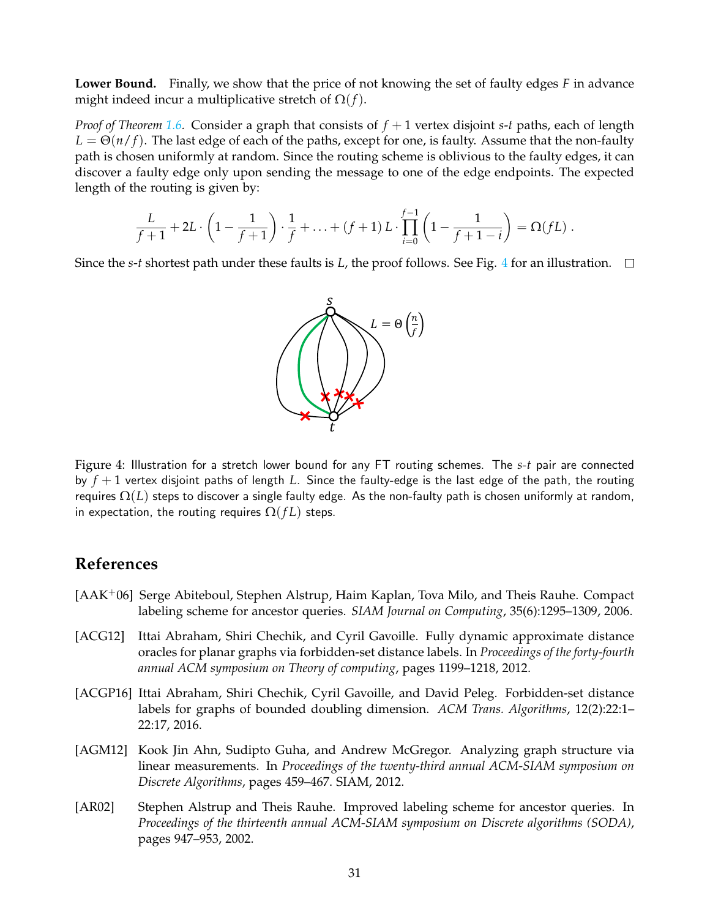**Lower Bound.** Finally, we show that the price of not knowing the set of faulty edges *F* in advance might indeed incur a multiplicative stretch of  $\Omega(f)$ .

*Proof of Theorem [1.6.](#page-4-1)* Consider a graph that consists of *f* + 1 vertex disjoint *s*-*t* paths, each of length  $L = \Theta(n/f)$ . The last edge of each of the paths, except for one, is faulty. Assume that the non-faulty path is chosen uniformly at random. Since the routing scheme is oblivious to the faulty edges, it can discover a faulty edge only upon sending the message to one of the edge endpoints. The expected length of the routing is given by:

$$
\frac{L}{f+1} + 2L \cdot \left(1 - \frac{1}{f+1}\right) \cdot \frac{1}{f} + \ldots + (f+1) L \cdot \prod_{i=0}^{f-1} \left(1 - \frac{1}{f+1-i}\right) = \Omega(fL) .
$$

Since the *s*-*t* shortest path under these faults is *L*, the proof follows. See Fig. [4](#page-30-5) for an illustration.  $\Box$ 

<span id="page-30-5"></span>

Figure 4: Illustration for a stretch lower bound for any FT routing schemes. The *s*-*t* pair are connected by *f* + 1 vertex disjoint paths of length *L*. Since the faulty-edge is the last edge of the path, the routing requires  $\Omega(L)$  steps to discover a single faulty edge. As the non-faulty path is chosen uniformly at random, in expectation, the routing requires  $\Omega(fL)$  steps.

## **References**

- <span id="page-30-3"></span>[AAK+06] Serge Abiteboul, Stephen Alstrup, Haim Kaplan, Tova Milo, and Theis Rauhe. Compact labeling scheme for ancestor queries. *SIAM Journal on Computing*, 35(6):1295–1309, 2006.
- <span id="page-30-2"></span>[ACG12] Ittai Abraham, Shiri Chechik, and Cyril Gavoille. Fully dynamic approximate distance oracles for planar graphs via forbidden-set distance labels. In *Proceedings of the forty-fourth annual ACM symposium on Theory of computing*, pages 1199–1218, 2012.
- <span id="page-30-0"></span>[ACGP16] Ittai Abraham, Shiri Chechik, Cyril Gavoille, and David Peleg. Forbidden-set distance labels for graphs of bounded doubling dimension. *ACM Trans. Algorithms*, 12(2):22:1– 22:17, 2016.
- <span id="page-30-1"></span>[AGM12] Kook Jin Ahn, Sudipto Guha, and Andrew McGregor. Analyzing graph structure via linear measurements. In *Proceedings of the twenty-third annual ACM-SIAM symposium on Discrete Algorithms*, pages 459–467. SIAM, 2012.
- <span id="page-30-4"></span>[AR02] Stephen Alstrup and Theis Rauhe. Improved labeling scheme for ancestor queries. In *Proceedings of the thirteenth annual ACM-SIAM symposium on Discrete algorithms (SODA)*, pages 947–953, 2002.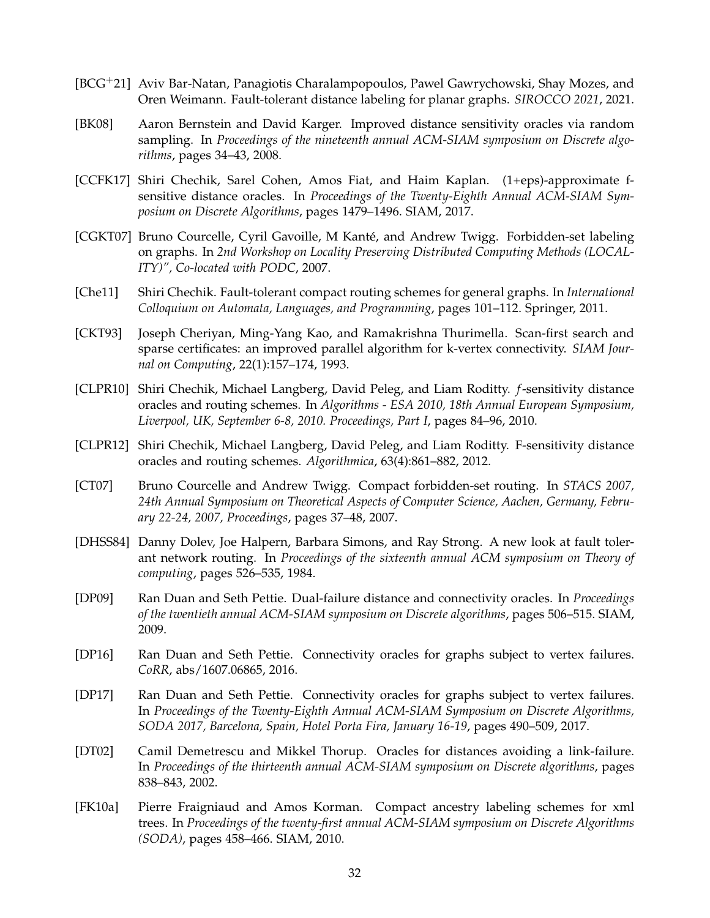- <span id="page-31-7"></span>[BCG+21] Aviv Bar-Natan, Panagiotis Charalampopoulos, Pawel Gawrychowski, Shay Mozes, and Oren Weimann. Fault-tolerant distance labeling for planar graphs. *SIROCCO 2021*, 2021.
- <span id="page-31-9"></span>[BK08] Aaron Bernstein and David Karger. Improved distance sensitivity oracles via random sampling. In *Proceedings of the nineteenth annual ACM-SIAM symposium on Discrete algorithms*, pages 34–43, 2008.
- <span id="page-31-11"></span>[CCFK17] Shiri Chechik, Sarel Cohen, Amos Fiat, and Haim Kaplan. (1+eps)-approximate fsensitive distance oracles. In *Proceedings of the Twenty-Eighth Annual ACM-SIAM Symposium on Discrete Algorithms*, pages 1479–1496. SIAM, 2017.
- <span id="page-31-1"></span>[CGKT07] Bruno Courcelle, Cyril Gavoille, M Kanté, and Andrew Twigg. Forbidden-set labeling on graphs. In *2nd Workshop on Locality Preserving Distributed Computing Methods (LOCAL-ITY)", Co-located with PODC*, 2007.
- <span id="page-31-5"></span>[Che11] Shiri Chechik. Fault-tolerant compact routing schemes for general graphs. In *International Colloquium on Automata, Languages, and Programming*, pages 101–112. Springer, 2011.
- [CKT93] Joseph Cheriyan, Ming-Yang Kao, and Ramakrishna Thurimella. Scan-first search and sparse certificates: an improved parallel algorithm for k-vertex connectivity. *SIAM Journal on Computing*, 22(1):157–174, 1993.
- <span id="page-31-6"></span>[CLPR10] Shiri Chechik, Michael Langberg, David Peleg, and Liam Roditty. *f*-sensitivity distance oracles and routing schemes. In *Algorithms - ESA 2010, 18th Annual European Symposium, Liverpool, UK, September 6-8, 2010. Proceedings, Part I*, pages 84–96, 2010.
- <span id="page-31-4"></span>[CLPR12] Shiri Chechik, Michael Langberg, David Peleg, and Liam Roditty. F-sensitivity distance oracles and routing schemes. *Algorithmica*, 63(4):861–882, 2012.
- <span id="page-31-2"></span>[CT07] Bruno Courcelle and Andrew Twigg. Compact forbidden-set routing. In *STACS 2007, 24th Annual Symposium on Theoretical Aspects of Computer Science, Aachen, Germany, February 22-24, 2007, Proceedings*, pages 37–48, 2007.
- <span id="page-31-0"></span>[DHSS84] Danny Dolev, Joe Halpern, Barbara Simons, and Ray Strong. A new look at fault tolerant network routing. In *Proceedings of the sixteenth annual ACM symposium on Theory of computing*, pages 526–535, 1984.
- <span id="page-31-10"></span>[DP09] Ran Duan and Seth Pettie. Dual-failure distance and connectivity oracles. In *Proceedings of the twentieth annual ACM-SIAM symposium on Discrete algorithms*, pages 506–515. SIAM, 2009.
- <span id="page-31-13"></span>[DP16] Ran Duan and Seth Pettie. Connectivity oracles for graphs subject to vertex failures. *CoRR*, abs/1607.06865, 2016.
- <span id="page-31-3"></span>[DP17] Ran Duan and Seth Pettie. Connectivity oracles for graphs subject to vertex failures. In *Proceedings of the Twenty-Eighth Annual ACM-SIAM Symposium on Discrete Algorithms, SODA 2017, Barcelona, Spain, Hotel Porta Fira, January 16-19*, pages 490–509, 2017.
- <span id="page-31-8"></span>[DT02] Camil Demetrescu and Mikkel Thorup. Oracles for distances avoiding a link-failure. In *Proceedings of the thirteenth annual ACM-SIAM symposium on Discrete algorithms*, pages 838–843, 2002.
- <span id="page-31-12"></span>[FK10a] Pierre Fraigniaud and Amos Korman. Compact ancestry labeling schemes for xml trees. In *Proceedings of the twenty-first annual ACM-SIAM symposium on Discrete Algorithms (SODA)*, pages 458–466. SIAM, 2010.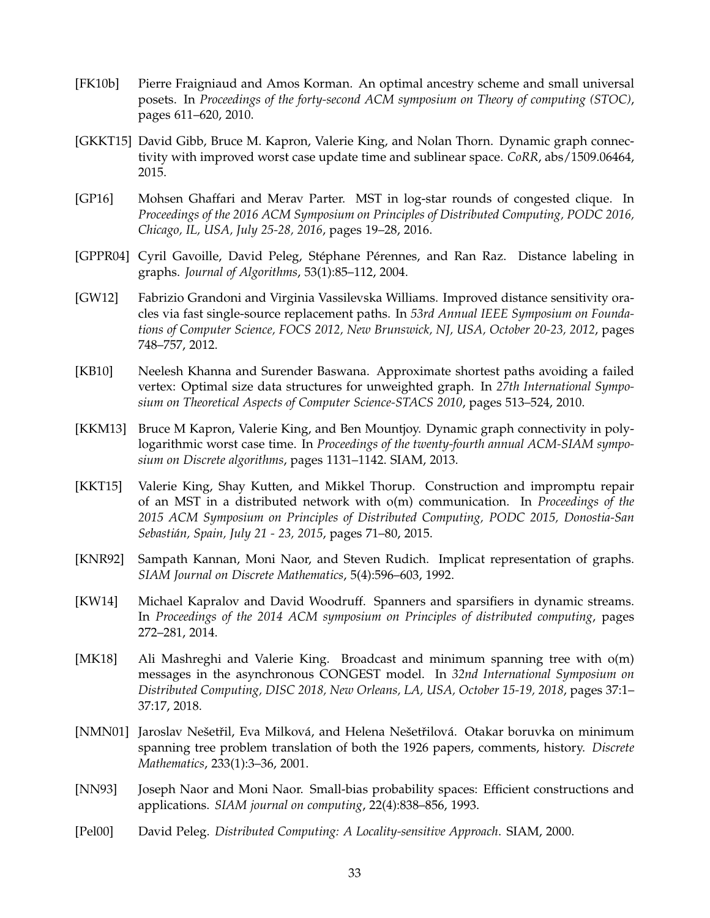- <span id="page-32-11"></span>[FK10b] Pierre Fraigniaud and Amos Korman. An optimal ancestry scheme and small universal posets. In *Proceedings of the forty-second ACM symposium on Theory of computing (STOC)*, pages 611–620, 2010.
- <span id="page-32-4"></span>[GKKT15] David Gibb, Bruce M. Kapron, Valerie King, and Nolan Thorn. Dynamic graph connectivity with improved worst case update time and sublinear space. *CoRR*, abs/1509.06464, 2015.
- <span id="page-32-7"></span>[GP16] Mohsen Ghaffari and Merav Parter. MST in log-star rounds of congested clique. In *Proceedings of the 2016 ACM Symposium on Principles of Distributed Computing, PODC 2016, Chicago, IL, USA, July 25-28, 2016*, pages 19–28, 2016.
- <span id="page-32-10"></span>[GPPR04] Cyril Gavoille, David Peleg, Stéphane Pérennes, and Ran Raz. Distance labeling in graphs. *Journal of Algorithms*, 53(1):85–112, 2004.
- <span id="page-32-9"></span>[GW12] Fabrizio Grandoni and Virginia Vassilevska Williams. Improved distance sensitivity oracles via fast single-source replacement paths. In *53rd Annual IEEE Symposium on Foundations of Computer Science, FOCS 2012, New Brunswick, NJ, USA, October 20-23, 2012*, pages 748–757, 2012.
- <span id="page-32-1"></span>[KB10] Neelesh Khanna and Surender Baswana. Approximate shortest paths avoiding a failed vertex: Optimal size data structures for unweighted graph. In *27th International Symposium on Theoretical Aspects of Computer Science-STACS 2010*, pages 513–524, 2010.
- <span id="page-32-2"></span>[KKM13] Bruce M Kapron, Valerie King, and Ben Mountjoy. Dynamic graph connectivity in polylogarithmic worst case time. In *Proceedings of the twenty-fourth annual ACM-SIAM symposium on Discrete algorithms*, pages 1131–1142. SIAM, 2013.
- <span id="page-32-5"></span>[KKT15] Valerie King, Shay Kutten, and Mikkel Thorup. Construction and impromptu repair of an MST in a distributed network with o(m) communication. In *Proceedings of the 2015 ACM Symposium on Principles of Distributed Computing, PODC 2015, Donostia-San Sebasti´an, Spain, July 21 - 23, 2015*, pages 71–80, 2015.
- <span id="page-32-0"></span>[KNR92] Sampath Kannan, Moni Naor, and Steven Rudich. Implicat representation of graphs. *SIAM Journal on Discrete Mathematics*, 5(4):596–603, 1992.
- <span id="page-32-3"></span>[KW14] Michael Kapralov and David Woodruff. Spanners and sparsifiers in dynamic streams. In *Proceedings of the 2014 ACM symposium on Principles of distributed computing*, pages 272–281, 2014.
- <span id="page-32-6"></span>[MK18] Ali Mashreghi and Valerie King. Broadcast and minimum spanning tree with o(m) messages in the asynchronous CONGEST model. In *32nd International Symposium on Distributed Computing, DISC 2018, New Orleans, LA, USA, October 15-19, 2018*, pages 37:1– 37:17, 2018.
- <span id="page-32-8"></span>[NMN01] Jaroslav Nešetřil, Eva Milková, and Helena Nešetřilová. Otakar boruvka on minimum spanning tree problem translation of both the 1926 papers, comments, history. *Discrete Mathematics*, 233(1):3–36, 2001.
- <span id="page-32-12"></span>[NN93] Joseph Naor and Moni Naor. Small-bias probability spaces: Efficient constructions and applications. *SIAM journal on computing*, 22(4):838–856, 1993.
- <span id="page-32-13"></span>[Pel00] David Peleg. *Distributed Computing: A Locality-sensitive Approach*. SIAM, 2000.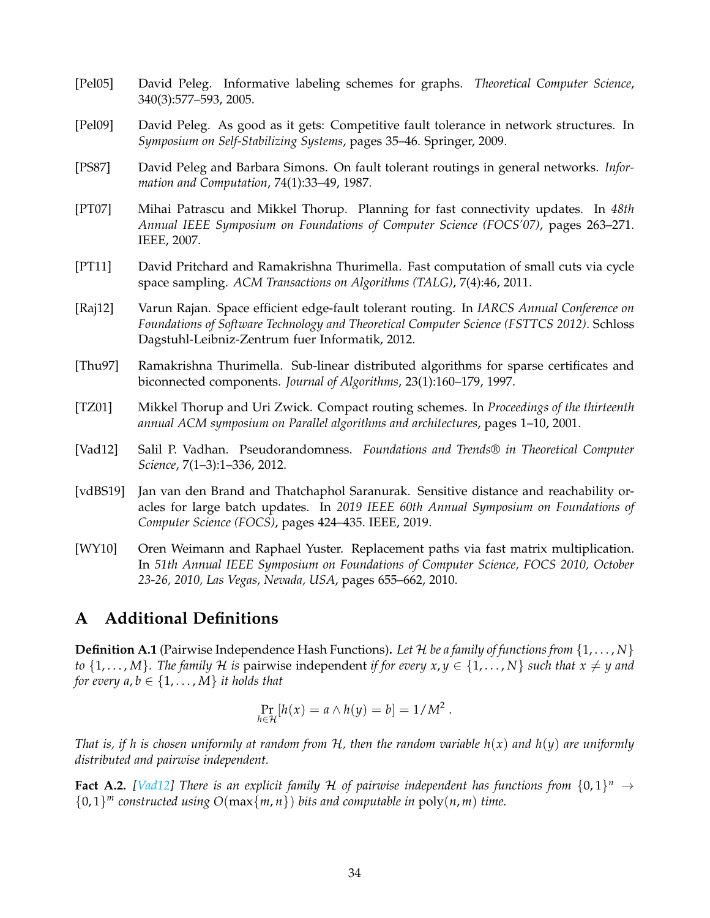- <span id="page-33-2"></span>[Pel05] David Peleg. Informative labeling schemes for graphs. *Theoretical Computer Science*, 340(3):577–593, 2005.
- <span id="page-33-10"></span>[Pel09] David Peleg. As good as it gets: Competitive fault tolerance in network structures. In *Symposium on Self-Stabilizing Systems*, pages 35–46. Springer, 2009.
- <span id="page-33-9"></span>[PS87] David Peleg and Barbara Simons. On fault tolerant routings in general networks. *Information and Computation*, 74(1):33–49, 1987.
- <span id="page-33-3"></span>[PT07] Mihai Patrascu and Mikkel Thorup. Planning for fast connectivity updates. In *48th Annual IEEE Symposium on Foundations of Computer Science (FOCS'07)*, pages 263–271. IEEE, 2007.
- <span id="page-33-7"></span>[PT11] David Pritchard and Ramakrishna Thurimella. Fast computation of small cuts via cycle space sampling. *ACM Transactions on Algorithms (TALG)*, 7(4):46, 2011.
- <span id="page-33-6"></span>[Raj12] Varun Rajan. Space efficient edge-fault tolerant routing. In *IARCS Annual Conference on Foundations of Software Technology and Theoretical Computer Science (FSTTCS 2012)*. Schloss Dagstuhl-Leibniz-Zentrum fuer Informatik, 2012.
- [Thu97] Ramakrishna Thurimella. Sub-linear distributed algorithms for sparse certificates and biconnected components. *Journal of Algorithms*, 23(1):160–179, 1997.
- <span id="page-33-5"></span>[TZ01] Mikkel Thorup and Uri Zwick. Compact routing schemes. In *Proceedings of the thirteenth annual ACM symposium on Parallel algorithms and architectures*, pages 1–10, 2001.
- <span id="page-33-11"></span>[Vad12] Salil P. Vadhan. Pseudorandomness. *Foundations and Trends® in Theoretical Computer Science*, 7(1–3):1–336, 2012.
- <span id="page-33-8"></span>[vdBS19] Jan van den Brand and Thatchaphol Saranurak. Sensitive distance and reachability oracles for large batch updates. In *2019 IEEE 60th Annual Symposium on Foundations of Computer Science (FOCS)*, pages 424–435. IEEE, 2019.
- <span id="page-33-4"></span>[WY10] Oren Weimann and Raphael Yuster. Replacement paths via fast matrix multiplication. In *51th Annual IEEE Symposium on Foundations of Computer Science, FOCS 2010, October 23-26, 2010, Las Vegas, Nevada, USA*, pages 655–662, 2010.

## <span id="page-33-0"></span>**A Additional Definitions**

**Definition A.1** (Pairwise Independence Hash Functions). Let  $H$  be a family of functions from  $\{1, \ldots, N\}$ *to*  $\{1,\ldots,M\}$ . The family H is pairwise independent *if for every*  $x, y \in \{1,\ldots,N\}$  *such that*  $x \neq y$  *and for every a, b*  $\in$  {1, ..., *M*} *it holds that* 

$$
\Pr_{h \in \mathcal{H}}[h(x) = a \wedge h(y) = b] = 1/M^2.
$$

*That is, if h is chosen uniformly at random from* H*, then the random variable h*(*x*) *and h*(*y*) *are uniformly distributed and pairwise independent.*

<span id="page-33-12"></span><span id="page-33-1"></span>**Fact A.2.** [\[Vad12\]](#page-33-11) There is an explicit family H of pairwise independent has functions from  $\{0,1\}^n \to$ {0, 1} *<sup>m</sup> constructed using O*(max{*m*, *n*}) *bits and computable in* poly(*n*, *m*) *time.*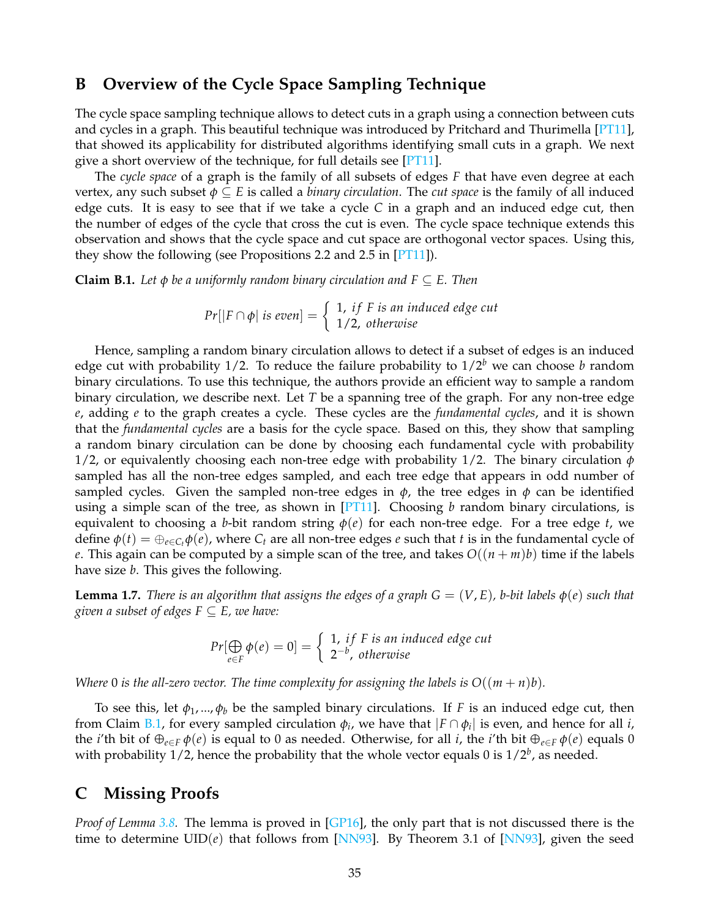## **B Overview of the Cycle Space Sampling Technique**

The cycle space sampling technique allows to detect cuts in a graph using a connection between cuts and cycles in a graph. This beautiful technique was introduced by Pritchard and Thurimella [\[PT11\]](#page-33-7), that showed its applicability for distributed algorithms identifying small cuts in a graph. We next give a short overview of the technique, for full details see [\[PT11\]](#page-33-7).

The *cycle space* of a graph is the family of all subsets of edges *F* that have even degree at each vertex, any such subset *φ* ⊆ *E* is called a *binary circulation*. The *cut space* is the family of all induced edge cuts. It is easy to see that if we take a cycle *C* in a graph and an induced edge cut, then the number of edges of the cycle that cross the cut is even. The cycle space technique extends this observation and shows that the cycle space and cut space are orthogonal vector spaces. Using this, they show the following (see Propositions 2.2 and 2.5 in [\[PT11\]](#page-33-7)).

<span id="page-34-1"></span>**Claim B.1.** Let  $\phi$  be a uniformly random binary circulation and  $F \subseteq E$ . Then

 $Pr[|F \cap \phi|$  *is even*] =  $\begin{cases} 1, & if F is an induced edge cut \ 1/2, & otherwise \end{cases}$ 1/2, *otherwise*

Hence, sampling a random binary circulation allows to detect if a subset of edges is an induced edge cut with probability 1/2. To reduce the failure probability to  $1/2^b$  we can choose *b* random binary circulations. To use this technique, the authors provide an efficient way to sample a random binary circulation, we describe next. Let *T* be a spanning tree of the graph. For any non-tree edge *e*, adding *e* to the graph creates a cycle. These cycles are the *fundamental cycles*, and it is shown that the *fundamental cycles* are a basis for the cycle space. Based on this, they show that sampling a random binary circulation can be done by choosing each fundamental cycle with probability 1/2, or equivalently choosing each non-tree edge with probability 1/2. The binary circulation *φ* sampled has all the non-tree edges sampled, and each tree edge that appears in odd number of sampled cycles. Given the sampled non-tree edges in  $\phi$ , the tree edges in  $\phi$  can be identified using a simple scan of the tree, as shown in [\[PT11\]](#page-33-7). Choosing *b* random binary circulations, is equivalent to choosing a *b*-bit random string  $\varphi(e)$  for each non-tree edge. For a tree edge *t*, we define  $\phi(t) = \bigoplus_{e \in C_t} \phi(e)$ , where  $C_t$  are all non-tree edges *e* such that *t* is in the fundamental cycle of *e*. This again can be computed by a simple scan of the tree, and takes  $O((n + m)b)$  time if the labels have size *b*. This gives the following.

**Lemma 1.7.** *There is an algorithm that assigns the edges of a graph*  $G = (V, E)$ *, b-bit labels*  $\phi(e)$  *such that given a subset of edges*  $F \subseteq E$ *, we have:* 

$$
Pr[\bigoplus_{e \in F} \phi(e) = 0] = \begin{cases} 1, & if F is an induced edge cut \\ 2^{-b}, & otherwise \end{cases}
$$

*Where* 0 *is the all-zero vector. The time complexity for assigning the labels is*  $O((m+n)b)$ *.* 

To see this, let  $\phi_1, ..., \phi_b$  be the sampled binary circulations. If *F* is an induced edge cut, then from Claim [B.1,](#page-34-1) for every sampled circulation  $\phi_i$ , we have that  $|F \cap \phi_i|$  is even, and hence for all *i*, the *i*'th bit of  $\oplus_{e \in F} \phi(e)$  is equal to 0 as needed. Otherwise, for all *i*, the *i*'th bit  $\oplus_{e \in F} \phi(e)$  equals 0 with probability 1/2, hence the probability that the whole vector equals 0 is  $1/2<sup>b</sup>$ , as needed.

## <span id="page-34-0"></span>**C Missing Proofs**

*Proof of Lemma [3.8.](#page-14-1)* The lemma is proved in [\[GP16\]](#page-32-7), the only part that is not discussed there is the time to determine  $UID(e)$  that follows from [\[NN93\]](#page-32-12). By Theorem 3.1 of [NN93], given the seed